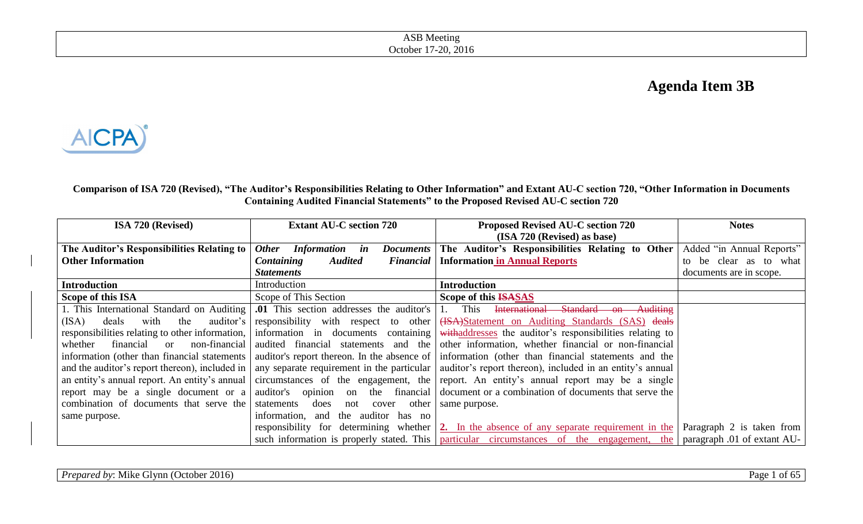| $\cdot$ $\alpha$<br>$\Delta$ B Meeting |
|----------------------------------------|
| October 17-20, 2016                    |

## **Agenda Item 3B**



**Comparison of ISA 720 (Revised), "The Auditor's Responsibilities Relating to Other Information" and Extant AU-C section 720, "Other Information in Documents Containing Audited Financial Statements" to the Proposed Revised AU-C section 720** 

| ISA 720 (Revised)                                                                                 | <b>Extant AU-C section 720</b>                   | <b>Proposed Revised AU-C section 720</b>                                                                 | <b>Notes</b>                |
|---------------------------------------------------------------------------------------------------|--------------------------------------------------|----------------------------------------------------------------------------------------------------------|-----------------------------|
|                                                                                                   |                                                  | (ISA 720 (Revised) as base)                                                                              |                             |
| The Auditor's Responsibilities Relating to                                                        | Other Information in<br><b>Documents</b>         | The Auditor's Responsibilities Relating to Other                                                         | Added "in Annual Reports"   |
| <b>Other Information</b>                                                                          | Containing<br><b>Audited</b><br><b>Financial</b> | <b>Information in Annual Reports</b>                                                                     | to be clear as to what      |
|                                                                                                   | <b>Statements</b>                                |                                                                                                          | documents are in scope.     |
| <b>Introduction</b>                                                                               | Introduction                                     | <b>Introduction</b>                                                                                      |                             |
| Scope of this ISA                                                                                 | Scope of This Section                            | Scope of this ISASAS                                                                                     |                             |
| 1. This International Standard on Auditing $\vert .01 \vert$ This section addresses the auditor's |                                                  | This<br>International Standard on Auditing<br>1.                                                         |                             |
| (ISA)<br>deals<br>with<br>the<br>auditor's                                                        | responsibility with respect to other             | (ISA)Statement on Auditing Standards (SAS) deals                                                         |                             |
| responsibilities relating to other information,                                                   | information in documents<br>containing           | with addresses the auditor's responsibilities relating to                                                |                             |
| financial<br>non-financial<br>whether<br>$\alpha$                                                 | audited financial statements and the             | other information, whether financial or non-financial                                                    |                             |
| information (other than financial statements)                                                     | auditor's report thereon. In the absence of      | information (other than financial statements and the                                                     |                             |
| and the auditor's report thereon), included in $\vert$                                            |                                                  | any separate requirement in the particular   auditor's report thereon), included in an entity's annual   |                             |
| an entity's annual report. An entity's annual circumstances of the engagement, the                |                                                  | report. An entity's annual report may be a single                                                        |                             |
| report may be a single document or a                                                              | the financial<br>auditor's opinion on            | document or a combination of documents that serve the                                                    |                             |
| combination of documents that serve the                                                           | does<br>other<br>statements<br>not<br>cover      | same purpose.                                                                                            |                             |
| same purpose.                                                                                     | the auditor has no<br>information, and           |                                                                                                          |                             |
|                                                                                                   |                                                  | responsibility for determining whether $\frac{2}{2}$ . In the absence of any separate requirement in the | Paragraph 2 is taken from   |
|                                                                                                   |                                                  | such information is properly stated. This particular circumstances of the engagement, the                | paragraph .01 of extant AU- |

*Prepared by:* Mike Glynn (October 2016) Page 1 of 65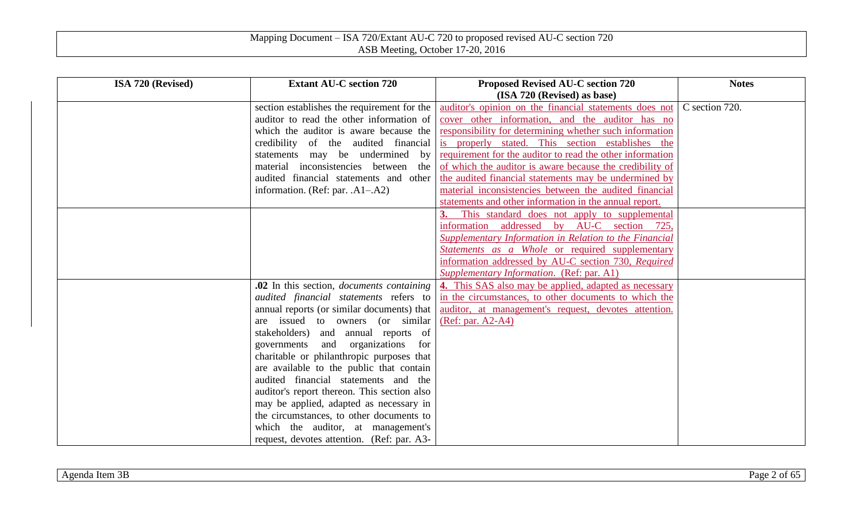| ISA 720 (Revised) | <b>Extant AU-C section 720</b>                   | <b>Proposed Revised AU-C section 720</b>                  | <b>Notes</b>   |
|-------------------|--------------------------------------------------|-----------------------------------------------------------|----------------|
|                   |                                                  | (ISA 720 (Revised) as base)                               |                |
|                   | section establishes the requirement for the      | auditor's opinion on the financial statements does not    | C section 720. |
|                   | auditor to read the other information of         | cover other information, and the auditor has no           |                |
|                   | which the auditor is aware because the           | responsibility for determining whether such information   |                |
|                   | credibility of the audited financial             | is properly stated. This section establishes the          |                |
|                   | statements may be undermined<br>by               | requirement for the auditor to read the other information |                |
|                   | material inconsistencies between<br>the          | of which the auditor is aware because the credibility of  |                |
|                   | audited financial statements and other           | the audited financial statements may be undermined by     |                |
|                   | information. (Ref: par. $.A1-.A2$ )              | material inconsistencies between the audited financial    |                |
|                   |                                                  | statements and other information in the annual report.    |                |
|                   |                                                  | This standard does not apply to supplemental              |                |
|                   |                                                  | addressed<br>by AU-C section<br>information<br>725,       |                |
|                   |                                                  | Supplementary Information in Relation to the Financial    |                |
|                   |                                                  | Statements as a Whole or required supplementary           |                |
|                   |                                                  | information addressed by AU-C section 730, Required       |                |
|                   |                                                  | <b>Supplementary Information.</b> (Ref: par. A1)          |                |
|                   | .02 In this section, <i>documents containing</i> | 4. This SAS also may be applied, adapted as necessary     |                |
|                   | audited financial statements refers to           | in the circumstances, to other documents to which the     |                |
|                   | annual reports (or similar documents) that       | auditor, at management's request, devotes attention.      |                |
|                   | are issued to owners (or similar                 | (Ref: par. A2-A4)                                         |                |
|                   | stakeholders) and annual reports of              |                                                           |                |
|                   | governments and organizations<br>for             |                                                           |                |
|                   | charitable or philanthropic purposes that        |                                                           |                |
|                   | are available to the public that contain         |                                                           |                |
|                   | audited financial statements and the             |                                                           |                |
|                   | auditor's report thereon. This section also      |                                                           |                |
|                   | may be applied, adapted as necessary in          |                                                           |                |
|                   | the circumstances, to other documents to         |                                                           |                |
|                   | which the auditor, at management's               |                                                           |                |
|                   | request, devotes attention. (Ref: par. A3-       |                                                           |                |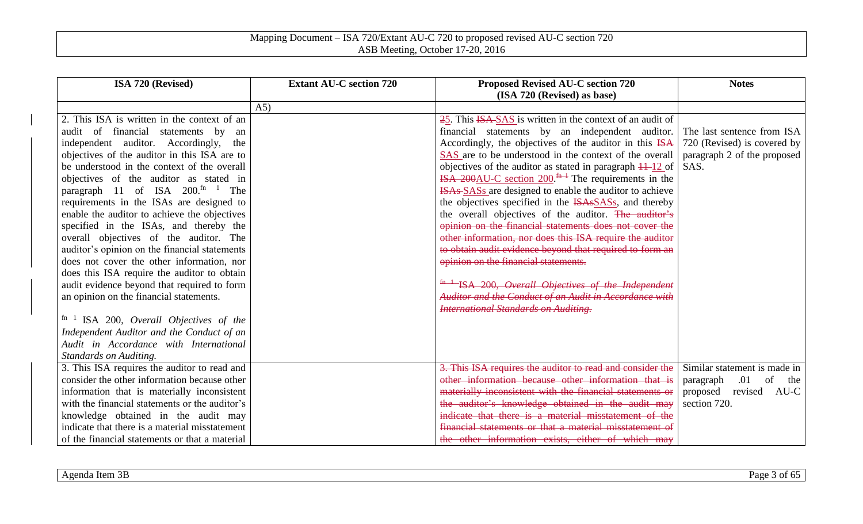| ISA 720 (Revised)                                   | <b>Extant AU-C section 720</b> | <b>Proposed Revised AU-C section 720</b>                         | <b>Notes</b>                  |
|-----------------------------------------------------|--------------------------------|------------------------------------------------------------------|-------------------------------|
|                                                     |                                | (ISA 720 (Revised) as base)                                      |                               |
|                                                     | (A5)                           |                                                                  |                               |
| 2. This ISA is written in the context of an         |                                | 25. This ISA SAS is written in the context of an audit of        |                               |
| audit of financial statements by<br>an              |                                | financial statements by an independent auditor.                  | The last sentence from ISA    |
| independent auditor. Accordingly,<br>the            |                                | Accordingly, the objectives of the auditor in this ISA           | 720 (Revised) is covered by   |
| objectives of the auditor in this ISA are to        |                                | SAS are to be understood in the context of the overall           | paragraph 2 of the proposed   |
| be understood in the context of the overall         |                                | objectives of the auditor as stated in paragraph $11-12$ of      | SAS.                          |
| objectives of the auditor as stated in              |                                | ISA 200AU-C section 200. <sup>fn-1</sup> The requirements in the |                               |
| paragraph 11 of ISA 200. <sup>fn 1</sup> The        |                                | <b>ISAs SASs</b> are designed to enable the auditor to achieve   |                               |
| requirements in the ISAs are designed to            |                                | the objectives specified in the ISAsSASs, and thereby            |                               |
| enable the auditor to achieve the objectives        |                                | the overall objectives of the auditor. The auditor's             |                               |
| specified in the ISAs, and thereby the              |                                | opinion on the financial statements does not cover the           |                               |
| overall objectives of the auditor. The              |                                | other information, nor does this ISA require the auditor         |                               |
| auditor's opinion on the financial statements       |                                | to obtain audit evidence beyond that required to form an         |                               |
| does not cover the other information, nor           |                                | opinion on the financial statements.                             |                               |
| does this ISA require the auditor to obtain         |                                |                                                                  |                               |
| audit evidence beyond that required to form         |                                | $\frac{fn+1}{f}$ ISA 200, Overall Objectives of the Independent  |                               |
| an opinion on the financial statements.             |                                | Auditor and the Conduct of an Audit in Accordance with           |                               |
|                                                     |                                | <b>International Standards on Auditing.</b>                      |                               |
| $\ln \quad 1$<br>ISA 200, Overall Objectives of the |                                |                                                                  |                               |
| Independent Auditor and the Conduct of an           |                                |                                                                  |                               |
| Audit in Accordance with International              |                                |                                                                  |                               |
| <b>Standards on Auditing.</b>                       |                                |                                                                  |                               |
| 3. This ISA requires the auditor to read and        |                                | 3. This ISA requires the auditor to read and consider the        | Similar statement is made in  |
| consider the other information because other        |                                | other information because other information that is              | .01<br>of<br>paragraph<br>the |
| information that is materially inconsistent         |                                | materially inconsistent with the financial statements or         | proposed<br>revised AU-C      |
| with the financial statements or the auditor's      |                                | the auditor's knowledge obtained in the audit may                | section 720.                  |
| knowledge obtained in the audit may                 |                                | indicate that there is a material misstatement of the            |                               |
| indicate that there is a material misstatement      |                                | financial statements or that a material misstatement of          |                               |
| of the financial statements or that a material      |                                | the other information exists, either of which may                |                               |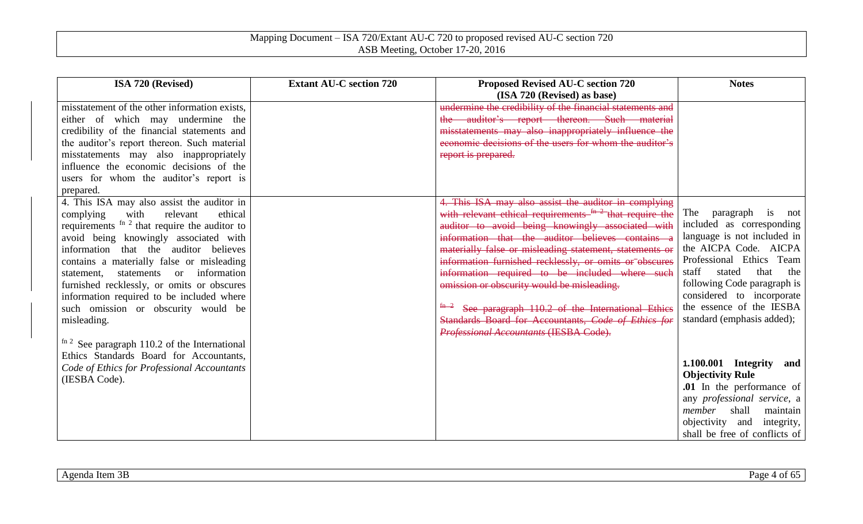| ISA 720 (Revised)                                                                                                                                                                                                                                                                                                                                                                                                                                                                                         | <b>Extant AU-C section 720</b> | <b>Proposed Revised AU-C section 720</b><br>(ISA 720 (Revised) as base)                                                                                                                                                                                                                                                                                                                                                                                                                                                                                         | <b>Notes</b>                                                                                                                                                                                                                                                                                     |
|-----------------------------------------------------------------------------------------------------------------------------------------------------------------------------------------------------------------------------------------------------------------------------------------------------------------------------------------------------------------------------------------------------------------------------------------------------------------------------------------------------------|--------------------------------|-----------------------------------------------------------------------------------------------------------------------------------------------------------------------------------------------------------------------------------------------------------------------------------------------------------------------------------------------------------------------------------------------------------------------------------------------------------------------------------------------------------------------------------------------------------------|--------------------------------------------------------------------------------------------------------------------------------------------------------------------------------------------------------------------------------------------------------------------------------------------------|
| misstatement of the other information exists,<br>either of which may undermine the                                                                                                                                                                                                                                                                                                                                                                                                                        |                                | undermine the credibility of the financial statements and<br>the auditor's report thereon. Such material                                                                                                                                                                                                                                                                                                                                                                                                                                                        |                                                                                                                                                                                                                                                                                                  |
| credibility of the financial statements and<br>the auditor's report thereon. Such material<br>misstatements may also inappropriately<br>influence the economic decisions of the                                                                                                                                                                                                                                                                                                                           |                                | misstatements may also inappropriately influence the<br>economic decisions of the users for whom the auditor's<br>report is prepared.                                                                                                                                                                                                                                                                                                                                                                                                                           |                                                                                                                                                                                                                                                                                                  |
| users for whom the auditor's report is<br>prepared.<br>4. This ISA may also assist the auditor in                                                                                                                                                                                                                                                                                                                                                                                                         |                                | 4. This ISA may also assist the auditor in complying                                                                                                                                                                                                                                                                                                                                                                                                                                                                                                            |                                                                                                                                                                                                                                                                                                  |
| complying<br>relevant<br>ethical<br>with<br>requirements $\sin^2$ that require the auditor to<br>avoid being knowingly associated with<br>that the auditor believes<br>information<br>contains a materially false or misleading<br>statements or information<br>statement,<br>furnished recklessly, or omits or obscures<br>information required to be included where<br>such omission or obscurity would be<br>misleading.<br>$\frac{\text{fn } 2}{\text{See}}$ See paragraph 110.2 of the International |                                | with relevant ethical requirements $\frac{fn-2}{r}$ that require the<br>auditor to avoid being knowingly associated with<br>information that the auditor believes contains a<br>materially false or misleading statement, statements or<br>information furnished recklessly, or omits or obscures<br>information required to be included where such<br>omission or obscurity would be misleading.<br>$fn-2$<br>See paragraph 110.2 of the International Ethics<br>Standards Board for Accountants, Code of Ethics for<br>Professional Accountants (IESBA Code). | The<br>paragraph<br>is not<br>included as corresponding<br>language is not included in<br>the AICPA Code. AICPA<br>Professional Ethics Team<br>staff<br>that the<br>stated<br>following Code paragraph is<br>considered to incorporate<br>the essence of the IESBA<br>standard (emphasis added); |
| Ethics Standards Board for Accountants,<br>Code of Ethics for Professional Accountants<br>(IESBA Code).                                                                                                                                                                                                                                                                                                                                                                                                   |                                |                                                                                                                                                                                                                                                                                                                                                                                                                                                                                                                                                                 | 1.100.001 Integrity<br>and<br><b>Objectivity Rule</b><br>.01 In the performance of<br>any professional service, a<br>member<br>shall<br>maintain<br>objectivity and integrity,<br>shall be free of conflicts of                                                                                  |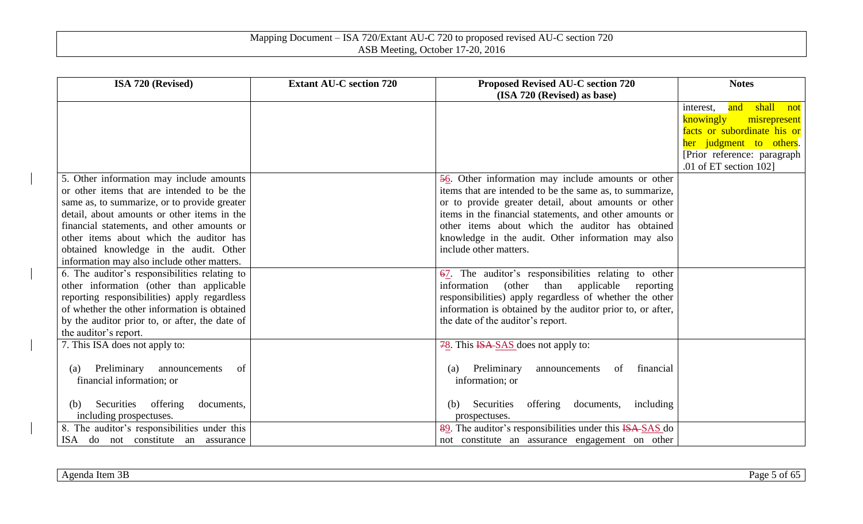| ISA 720 (Revised)                                       | <b>Extant AU-C section 720</b> | <b>Proposed Revised AU-C section 720</b>                           | <b>Notes</b>                     |
|---------------------------------------------------------|--------------------------------|--------------------------------------------------------------------|----------------------------------|
|                                                         |                                | (ISA 720 (Revised) as base)                                        |                                  |
|                                                         |                                |                                                                    | shall<br>interest,<br>and<br>not |
|                                                         |                                |                                                                    | knowingly<br>misrepresent        |
|                                                         |                                |                                                                    | facts or subordinate his or      |
|                                                         |                                |                                                                    | her judgment to others.          |
|                                                         |                                |                                                                    | [Prior reference: paragraph      |
|                                                         |                                |                                                                    | .01 of ET section $102$ ]        |
| 5. Other information may include amounts                |                                | 56. Other information may include amounts or other                 |                                  |
| or other items that are intended to be the              |                                | items that are intended to be the same as, to summarize,           |                                  |
| same as, to summarize, or to provide greater            |                                | or to provide greater detail, about amounts or other               |                                  |
| detail, about amounts or other items in the             |                                | items in the financial statements, and other amounts or            |                                  |
| financial statements, and other amounts or              |                                | other items about which the auditor has obtained                   |                                  |
| other items about which the auditor has                 |                                | knowledge in the audit. Other information may also                 |                                  |
| obtained knowledge in the audit. Other                  |                                | include other matters.                                             |                                  |
| information may also include other matters.             |                                |                                                                    |                                  |
| 6. The auditor's responsibilities relating to           |                                | $\overline{67}$ . The auditor's responsibilities relating to other |                                  |
| other information (other than applicable                |                                | information<br>(other<br>applicable<br>than<br>reporting           |                                  |
| reporting responsibilities) apply regardless            |                                | responsibilities) apply regardless of whether the other            |                                  |
| of whether the other information is obtained            |                                | information is obtained by the auditor prior to, or after,         |                                  |
| by the auditor prior to, or after, the date of          |                                | the date of the auditor's report.                                  |                                  |
| the auditor's report.                                   |                                |                                                                    |                                  |
| 7. This ISA does not apply to:                          |                                | 78. This ISA SAS does not apply to:                                |                                  |
|                                                         |                                |                                                                    |                                  |
| Preliminary<br>announcements<br>of<br>$\left( a\right)$ |                                | Preliminary<br>financial<br>of<br>announcements<br>(a)             |                                  |
| financial information; or                               |                                | information; or                                                    |                                  |
|                                                         |                                |                                                                    |                                  |
| Securities offering<br>documents,<br>(b)                |                                | Securities<br>offering<br>documents,<br>including<br>(b)           |                                  |
| including prospectuses.                                 |                                | prospectuses.                                                      |                                  |
| 8. The auditor's responsibilities under this            |                                | 89. The auditor's responsibilities under this ISA SAS do           |                                  |
| ISA do not constitute an assurance                      |                                | not constitute an assurance engagement on other                    |                                  |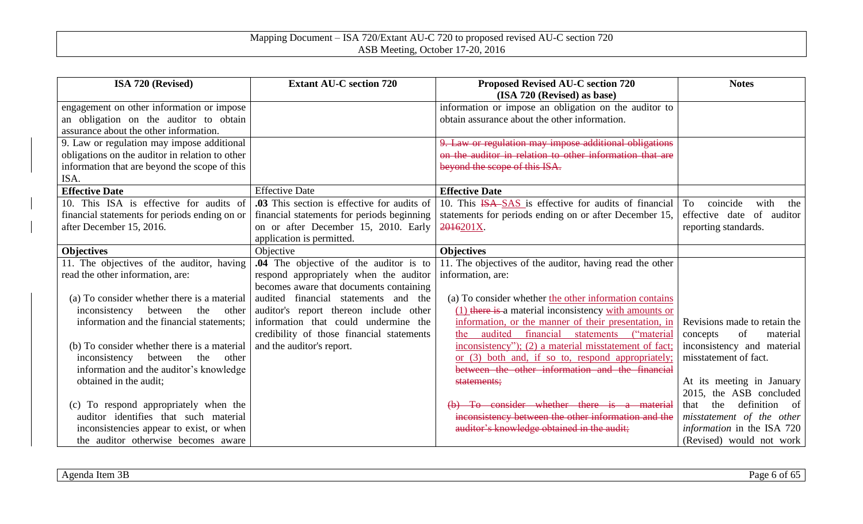| ISA 720 (Revised)                               | <b>Extant AU-C section 720</b>              | <b>Proposed Revised AU-C section 720</b><br>(ISA 720 (Revised) as base) | <b>Notes</b>                      |
|-------------------------------------------------|---------------------------------------------|-------------------------------------------------------------------------|-----------------------------------|
| engagement on other information or impose       |                                             | information or impose an obligation on the auditor to                   |                                   |
| an obligation on the auditor to obtain          |                                             | obtain assurance about the other information.                           |                                   |
| assurance about the other information.          |                                             |                                                                         |                                   |
| 9. Law or regulation may impose additional      |                                             | 9. Law or regulation may impose additional obligations                  |                                   |
| obligations on the auditor in relation to other |                                             | on the auditor in relation to other information that are                |                                   |
| information that are beyond the scope of this   |                                             | beyond the scope of this ISA.                                           |                                   |
| ISA.                                            |                                             |                                                                         |                                   |
| <b>Effective Date</b>                           | <b>Effective Date</b>                       | <b>Effective Date</b>                                                   |                                   |
| 10. This ISA is effective for audits of         | .03 This section is effective for audits of | 10. This ISA SAS is effective for audits of financial                   | with<br>To<br>coincide<br>the     |
| financial statements for periods ending on or   | financial statements for periods beginning  | statements for periods ending on or after December 15,                  | effective date of auditor         |
| after December 15, 2016.                        | on or after December 15, 2010. Early        | 2016201X.                                                               | reporting standards.              |
|                                                 | application is permitted.                   |                                                                         |                                   |
| <b>Objectives</b>                               | Objective                                   | <b>Objectives</b>                                                       |                                   |
| 11. The objectives of the auditor, having       | .04 The objective of the auditor is to      | 11. The objectives of the auditor, having read the other                |                                   |
| read the other information, are:                | respond appropriately when the auditor      | information, are:                                                       |                                   |
|                                                 | becomes aware that documents containing     |                                                                         |                                   |
| (a) To consider whether there is a material     | audited financial statements and the        | (a) To consider whether the other information contains                  |                                   |
| inconsistency<br>between<br>the<br>other        | auditor's report thereon include other      | (1) there is a material inconsistency with amounts or                   |                                   |
| information and the financial statements;       | information that could undermine the        | information, or the manner of their presentation, in                    | Revisions made to retain the      |
|                                                 | credibility of those financial statements   | financial<br>audited<br>statements<br>("material<br>the                 | of<br>concepts<br>material        |
| (b) To consider whether there is a material     | and the auditor's report.                   | inconsistency"); (2) a material misstatement of fact;                   | inconsistency and material        |
| between<br>inconsistency<br>the<br>other        |                                             | or (3) both and, if so to, respond appropriately;                       | misstatement of fact.             |
| information and the auditor's knowledge         |                                             | between the other information and the financial                         |                                   |
| obtained in the audit;                          |                                             | statements;                                                             | At its meeting in January         |
|                                                 |                                             |                                                                         | 2015, the ASB concluded           |
| (c) To respond appropriately when the           |                                             | To consider whether there is a material                                 | definition of<br>the<br>that      |
| auditor identifies that such material           |                                             | inconsistency between the other information and the                     | misstatement of the other         |
| inconsistencies appear to exist, or when        |                                             | auditor's knowledge obtained in the audit;                              | <i>information</i> in the ISA 720 |
| the auditor otherwise becomes aware             |                                             |                                                                         | (Revised) would not work          |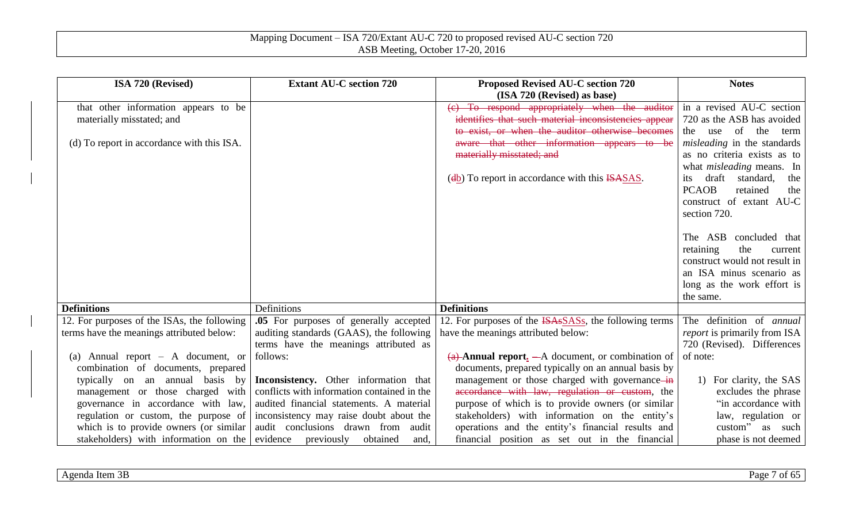| ISA 720 (Revised)                                                                                         | <b>Extant AU-C section 720</b>                                                                                                   | <b>Proposed Revised AU-C section 720</b><br>(ISA 720 (Revised) as base)                                                                                  | <b>Notes</b>                                                                                                                                                  |
|-----------------------------------------------------------------------------------------------------------|----------------------------------------------------------------------------------------------------------------------------------|----------------------------------------------------------------------------------------------------------------------------------------------------------|---------------------------------------------------------------------------------------------------------------------------------------------------------------|
| that other information appears to be<br>materially misstated; and                                         |                                                                                                                                  | (e) To respond appropriately when the auditor<br>identifies that such material inconsistencies appear<br>to exist, or when the auditor otherwise becomes | in a revised AU-C section<br>720 as the ASB has avoided<br>of<br>the<br>the<br>term<br>use                                                                    |
| (d) To report in accordance with this ISA.                                                                |                                                                                                                                  | aware that other information appears to be<br>materially misstated; and                                                                                  | <i>misleading</i> in the standards<br>as no criteria exists as to<br>what <i>misleading</i> means. In                                                         |
|                                                                                                           |                                                                                                                                  | $\frac{d}{db}$ To report in accordance with this $\frac{1}{6}$ SASAS.                                                                                    | draft<br>standard,<br>the<br>its<br><b>PCAOB</b><br>retained<br>the<br>construct of extant AU-C<br>section 720.                                               |
|                                                                                                           |                                                                                                                                  |                                                                                                                                                          | The ASB concluded that<br>retaining<br>the<br>current<br>construct would not result in<br>an ISA minus scenario as<br>long as the work effort is<br>the same. |
| <b>Definitions</b>                                                                                        | Definitions                                                                                                                      | <b>Definitions</b>                                                                                                                                       |                                                                                                                                                               |
| 12. For purposes of the ISAs, the following<br>terms have the meanings attributed below:                  | .05 For purposes of generally accepted<br>auditing standards (GAAS), the following                                               | 12. For purposes of the <b>ISAsSASs</b> , the following terms<br>have the meanings attributed below:                                                     | The definition of <i>annual</i><br><i>report</i> is primarily from ISA                                                                                        |
|                                                                                                           | terms have the meanings attributed as                                                                                            |                                                                                                                                                          | 720 (Revised). Differences                                                                                                                                    |
| (a) Annual report $-$ A document, or<br>combination of documents, prepared                                | follows:                                                                                                                         | $\frac{a}{a}$ Annual report. - A document, or combination of<br>documents, prepared typically on an annual basis by                                      | of note:                                                                                                                                                      |
| typically on an annual basis by<br>management or those charged with<br>governance in accordance with law, | Inconsistency. Other information that<br>conflicts with information contained in the<br>audited financial statements. A material | management or those charged with governance-in<br>accordance with law, regulation or custom, the<br>purpose of which is to provide owners (or similar    | 1) For clarity, the SAS<br>excludes the phrase<br>"in accordance with                                                                                         |
| regulation or custom, the purpose of<br>which is to provide owners (or similar                            | inconsistency may raise doubt about the<br>audit conclusions drawn from<br>audit                                                 | stakeholders) with information on the entity's<br>operations and the entity's financial results and                                                      | law, regulation or<br>custom" as such                                                                                                                         |
| stakeholders) with information on the                                                                     | evidence previously<br>obtained<br>and,                                                                                          | financial position as set out in the financial                                                                                                           | phase is not deemed                                                                                                                                           |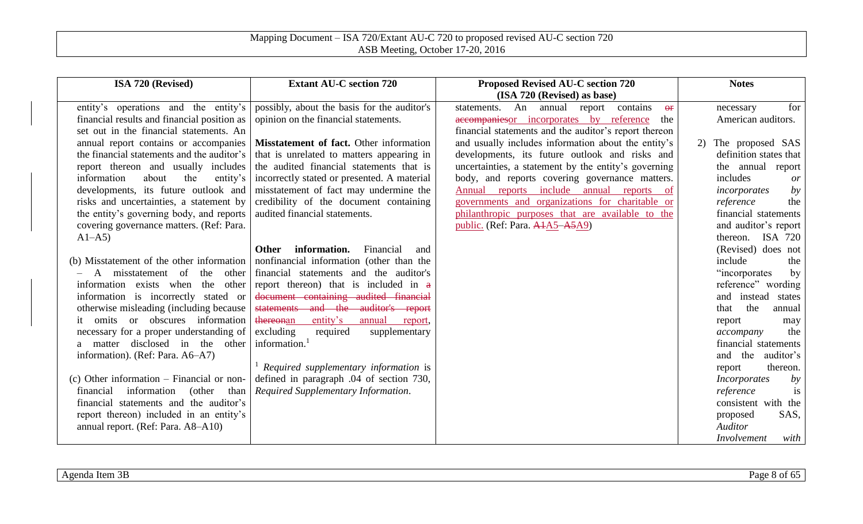| ISA 720 (Revised)                                                        | <b>Extant AU-C section 720</b>                   | <b>Proposed Revised AU-C section 720</b>                            | <b>Notes</b>                    |
|--------------------------------------------------------------------------|--------------------------------------------------|---------------------------------------------------------------------|---------------------------------|
|                                                                          |                                                  | (ISA 720 (Revised) as base)                                         |                                 |
| entity's operations and the entity's                                     | possibly, about the basis for the auditor's      | An<br>annual report<br>contains<br>statements.<br>$\Theta$ <b>F</b> | for<br>necessary                |
| financial results and financial position as                              | opinion on the financial statements.             | accompaniesor incorporates by reference<br>the                      | American auditors.              |
| set out in the financial statements. An                                  |                                                  | financial statements and the auditor's report thereon               |                                 |
| annual report contains or accompanies                                    | Misstatement of fact. Other information          | and usually includes information about the entity's                 | The proposed SAS<br>2)          |
| the financial statements and the auditor's                               | that is unrelated to matters appearing in        | developments, its future outlook and risks and                      | definition states that          |
| report thereon and usually includes                                      | the audited financial statements that is         | uncertainties, a statement by the entity's governing                | annual report<br>the            |
| information<br>the<br>entity's<br>about                                  | incorrectly stated or presented. A material      | body, and reports covering governance matters.                      | includes<br>or                  |
| developments, its future outlook and                                     | misstatement of fact may undermine the           | Annual reports include annual reports of                            | incorporates<br>by              |
| risks and uncertainties, a statement by                                  | credibility of the document containing           | governments and organizations for charitable or                     | reference<br>the                |
| the entity's governing body, and reports                                 | audited financial statements.                    | philanthropic purposes that are available to the                    | financial statements            |
| covering governance matters. (Ref: Para.                                 |                                                  | public. (Ref: Para. $A1A5-A5A9$ )                                   | and auditor's report            |
| $A1-A5$                                                                  |                                                  |                                                                     | ISA 720<br>thereon.             |
|                                                                          | information.<br><b>Other</b><br>Financial<br>and |                                                                     | (Revised) does not              |
| (b) Misstatement of the other information                                | nonfinancial information (other than the         |                                                                     | include<br>the                  |
| misstatement of<br>other<br>the<br>A                                     | financial statements and the auditor's           |                                                                     | "incorporates<br>by             |
| information exists when the other                                        | report thereon) that is included in a            |                                                                     | reference" wording              |
| information is incorrectly stated or                                     | document containing audited financial            |                                                                     | and instead<br>states           |
| otherwise misleading (including because                                  | statements and the auditor's report              |                                                                     | the<br>that<br>annual           |
| it omits or obscures information                                         | entity's<br>thereonan<br>annual<br>report,       |                                                                     | report<br>may                   |
| necessary for a proper understanding of<br>matter disclosed in the other | excluding<br>required<br>supplementary           |                                                                     | the<br>accompany                |
| a<br>information). (Ref: Para. A6–A7)                                    | information. $1$                                 |                                                                     | financial statements<br>and the |
|                                                                          | Required supplementary information is            |                                                                     | auditor's<br>thereon.<br>report |
| $(c)$ Other information – Financial or non-                              | defined in paragraph .04 of section 730,         |                                                                     | <i>Incorporates</i><br>by       |
| information<br>financial<br>than<br>(other)                              | Required Supplementary Information.              |                                                                     | reference<br>$\overline{1}S$    |
| financial statements and the auditor's                                   |                                                  |                                                                     | consistent with the             |
| report thereon) included in an entity's                                  |                                                  |                                                                     | SAS,<br>proposed                |
| annual report. (Ref: Para. A8-A10)                                       |                                                  |                                                                     | Auditor                         |
|                                                                          |                                                  |                                                                     | Involvement<br>with             |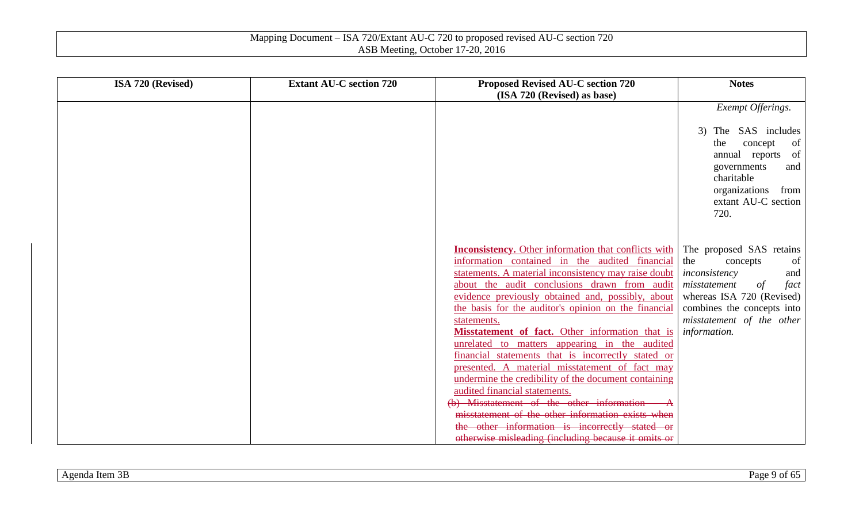| ISA 720 (Revised) | <b>Extant AU-C section 720</b> | <b>Proposed Revised AU-C section 720</b><br>(ISA 720 (Revised) as base)                                                                                                                                                                                                                                                                                                                                                                                                                                                                                                                                                                                                                                                                                                                                                                                           | <b>Notes</b>                                                                                                                                                                                                    |
|-------------------|--------------------------------|-------------------------------------------------------------------------------------------------------------------------------------------------------------------------------------------------------------------------------------------------------------------------------------------------------------------------------------------------------------------------------------------------------------------------------------------------------------------------------------------------------------------------------------------------------------------------------------------------------------------------------------------------------------------------------------------------------------------------------------------------------------------------------------------------------------------------------------------------------------------|-----------------------------------------------------------------------------------------------------------------------------------------------------------------------------------------------------------------|
|                   |                                |                                                                                                                                                                                                                                                                                                                                                                                                                                                                                                                                                                                                                                                                                                                                                                                                                                                                   | Exempt Offerings.<br>The SAS includes<br>3)<br>the<br>of<br>concept<br>annual reports of<br>and<br>governments<br>charitable<br>from<br>organizations<br>extant AU-C section<br>720.                            |
|                   |                                | <b>Inconsistency.</b> Other information that conflicts with<br>information contained in the audited financial<br>statements. A material inconsistency may raise doubt<br>about the audit conclusions drawn from audit<br>evidence previously obtained and, possibly, about<br>the basis for the auditor's opinion on the financial<br>statements.<br>Misstatement of fact. Other information that is<br>unrelated to matters appearing in the audited<br>financial statements that is incorrectly stated or<br>presented. A material misstatement of fact may<br>undermine the credibility of the document containing<br>audited financial statements.<br>(b) Misstatement of the other information<br>misstatement of the other information exists when<br>the other information is incorrectly stated or<br>otherwise misleading (including because it omits or | The proposed SAS retains<br>the<br>of<br>concepts<br>inconsistency<br>and<br>misstatement<br>of<br>fact<br>whereas ISA 720 (Revised)<br>combines the concepts into<br>misstatement of the other<br>information. |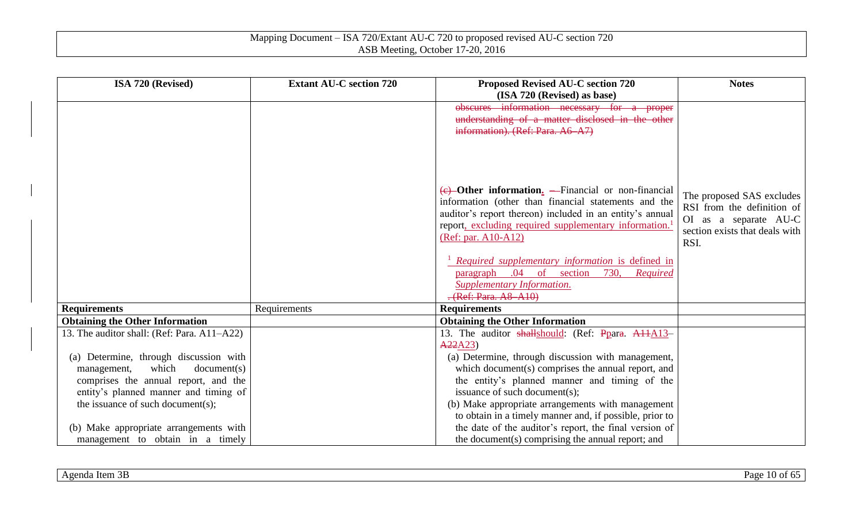| ISA 720 (Revised)                                                                     | <b>Extant AU-C section 720</b> | <b>Proposed Revised AU-C section 720</b><br>(ISA 720 (Revised) as base)                                                                                                                                                                                               | <b>Notes</b>                                                                                                               |
|---------------------------------------------------------------------------------------|--------------------------------|-----------------------------------------------------------------------------------------------------------------------------------------------------------------------------------------------------------------------------------------------------------------------|----------------------------------------------------------------------------------------------------------------------------|
|                                                                                       |                                | obscures information necessary for a proper<br>understanding of a matter disclosed in the other<br>information). (Ref: Para. A6 A7)                                                                                                                                   |                                                                                                                            |
|                                                                                       |                                | $\overline{(e)}$ -Other information. - Financial or non-financial<br>information (other than financial statements and the<br>auditor's report thereon) included in an entity's annual<br>report, excluding required supplementary information.<br>(Ref: par. A10-A12) | The proposed SAS excludes<br>RSI from the definition of<br>OI as a separate AU-C<br>section exists that deals with<br>RSI. |
|                                                                                       |                                | Required supplementary information is defined in<br>.04<br>730,<br><sub>of</sub><br>section<br>paragraph<br>Required<br>Supplementary Information.<br>. (Ref: Para. A8 A10)                                                                                           |                                                                                                                            |
| <b>Requirements</b>                                                                   | Requirements                   | <b>Requirements</b>                                                                                                                                                                                                                                                   |                                                                                                                            |
| <b>Obtaining the Other Information</b>                                                |                                | <b>Obtaining the Other Information</b>                                                                                                                                                                                                                                |                                                                                                                            |
| 13. The auditor shall: (Ref: Para. A11–A22)<br>(a) Determine, through discussion with |                                | 13. The auditor shallshould: (Ref: Ppara. A11A13-<br>A22A23<br>(a) Determine, through discussion with management,                                                                                                                                                     |                                                                                                                            |
| which<br>document(s)<br>management,                                                   |                                | which document(s) comprises the annual report, and                                                                                                                                                                                                                    |                                                                                                                            |
| comprises the annual report, and the                                                  |                                | the entity's planned manner and timing of the                                                                                                                                                                                                                         |                                                                                                                            |
| entity's planned manner and timing of                                                 |                                | issuance of such document(s);                                                                                                                                                                                                                                         |                                                                                                                            |
| the issuance of such document(s);                                                     |                                | (b) Make appropriate arrangements with management                                                                                                                                                                                                                     |                                                                                                                            |
|                                                                                       |                                | to obtain in a timely manner and, if possible, prior to                                                                                                                                                                                                               |                                                                                                                            |
| (b) Make appropriate arrangements with                                                |                                | the date of the auditor's report, the final version of                                                                                                                                                                                                                |                                                                                                                            |
| management to obtain in a timely                                                      |                                | the document (s) comprising the annual report; and                                                                                                                                                                                                                    |                                                                                                                            |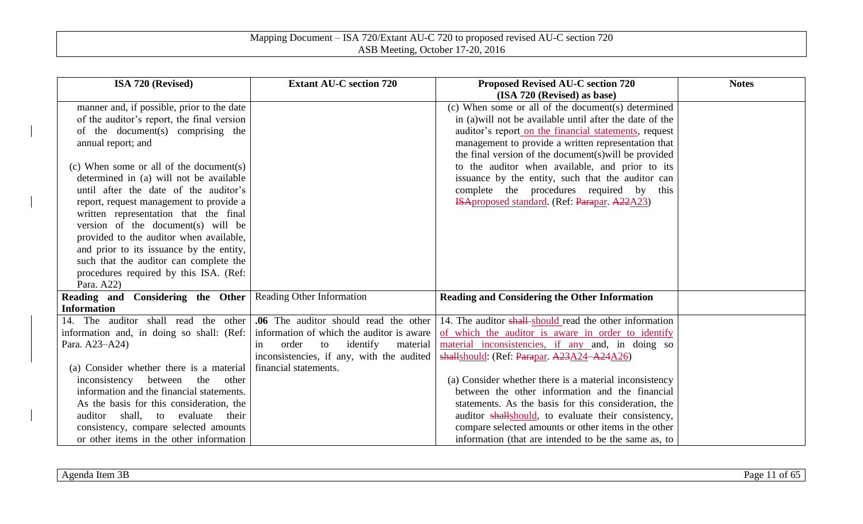| ISA 720 (Revised)                          | <b>Extant AU-C section 720</b>                           | <b>Proposed Revised AU-C section 720</b><br>(ISA 720 (Revised) as base) | <b>Notes</b> |
|--------------------------------------------|----------------------------------------------------------|-------------------------------------------------------------------------|--------------|
| manner and, if possible, prior to the date |                                                          | (c) When some or all of the document(s) determined                      |              |
| of the auditor's report, the final version |                                                          | in (a) will not be available until after the date of the                |              |
| of the document(s) comprising the          |                                                          | auditor's report on the financial statements, request                   |              |
| annual report; and                         |                                                          | management to provide a written representation that                     |              |
|                                            |                                                          | the final version of the document(s) will be provided                   |              |
| (c) When some or all of the document(s)    |                                                          | to the auditor when available, and prior to its                         |              |
| determined in (a) will not be available    |                                                          | issuance by the entity, such that the auditor can                       |              |
| until after the date of the auditor's      |                                                          | complete the procedures required by this                                |              |
| report, request management to provide a    |                                                          | ISAproposed standard. (Ref: Parapar. A22A23)                            |              |
| written representation that the final      |                                                          |                                                                         |              |
| version of the document(s) will be         |                                                          |                                                                         |              |
| provided to the auditor when available,    |                                                          |                                                                         |              |
| and prior to its issuance by the entity,   |                                                          |                                                                         |              |
| such that the auditor can complete the     |                                                          |                                                                         |              |
| procedures required by this ISA. (Ref:     |                                                          |                                                                         |              |
| Para. A22)                                 |                                                          |                                                                         |              |
| Reading and                                | <b>Considering the Other   Reading Other Information</b> | <b>Reading and Considering the Other Information</b>                    |              |
| <b>Information</b>                         |                                                          |                                                                         |              |
| 14. The auditor shall read the<br>other    | .06 The auditor should read the other                    | 14. The auditor shall-should read the other information                 |              |
| information and, in doing so shall: (Ref:  | information of which the auditor is aware                | of which the auditor is aware in order to identify                      |              |
| Para. A23-A24)                             | order<br>identify<br>material<br>to<br>in                | material inconsistencies, if any and, in doing so                       |              |
|                                            | inconsistencies, if any, with the audited                | shallshould: (Ref: Parapar. A23A24-A24A26)                              |              |
| (a) Consider whether there is a material   | financial statements.                                    |                                                                         |              |
| inconsistency between<br>the<br>other      |                                                          | (a) Consider whether there is a material inconsistency                  |              |
| information and the financial statements.  |                                                          | between the other information and the financial                         |              |
| As the basis for this consideration, the   |                                                          | statements. As the basis for this consideration, the                    |              |
| shall, to evaluate<br>auditor<br>their     |                                                          | auditor shallshould, to evaluate their consistency,                     |              |
| consistency, compare selected amounts      |                                                          | compare selected amounts or other items in the other                    |              |
| or other items in the other information    |                                                          | information (that are intended to be the same as, to                    |              |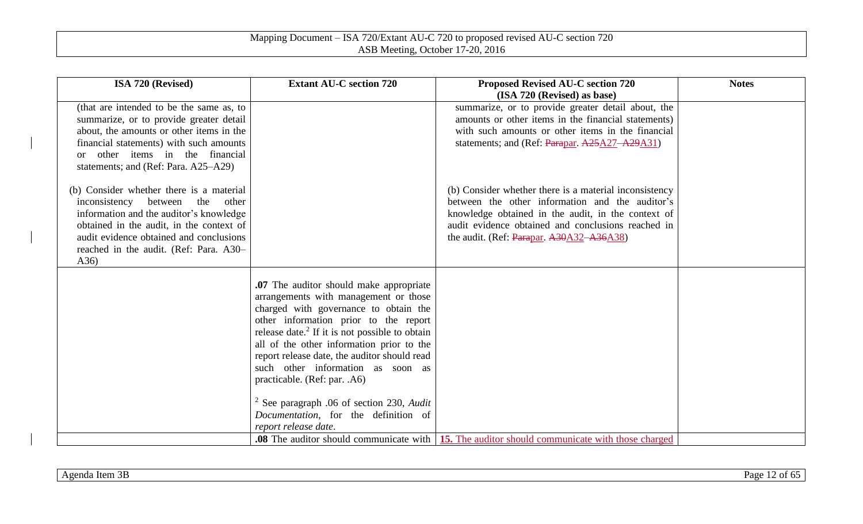| ISA 720 (Revised)                                                                                                                                                                                                                                                   | <b>Extant AU-C section 720</b>                                                                                                                                                                                                                                                                                                                                                                                                                                                                                                    | <b>Proposed Revised AU-C section 720</b><br>(ISA 720 (Revised) as base)                                                                                                                                                                                           | <b>Notes</b> |
|---------------------------------------------------------------------------------------------------------------------------------------------------------------------------------------------------------------------------------------------------------------------|-----------------------------------------------------------------------------------------------------------------------------------------------------------------------------------------------------------------------------------------------------------------------------------------------------------------------------------------------------------------------------------------------------------------------------------------------------------------------------------------------------------------------------------|-------------------------------------------------------------------------------------------------------------------------------------------------------------------------------------------------------------------------------------------------------------------|--------------|
| (that are intended to be the same as, to<br>summarize, or to provide greater detail<br>about, the amounts or other items in the<br>financial statements) with such amounts<br>other items in the financial<br>statements; and (Ref: Para. A25–A29)                  |                                                                                                                                                                                                                                                                                                                                                                                                                                                                                                                                   | summarize, or to provide greater detail about, the<br>amounts or other items in the financial statements)<br>with such amounts or other items in the financial<br>statements; and (Ref: Parapar. A25A27-A29A31)                                                   |              |
| (b) Consider whether there is a material<br>inconsistency between the<br>other<br>information and the auditor's knowledge<br>obtained in the audit, in the context of<br>audit evidence obtained and conclusions<br>reached in the audit. (Ref: Para. A30–<br>(A36) |                                                                                                                                                                                                                                                                                                                                                                                                                                                                                                                                   | (b) Consider whether there is a material inconsistency<br>between the other information and the auditor's<br>knowledge obtained in the audit, in the context of<br>audit evidence obtained and conclusions reached in<br>the audit. (Ref: Parapar. A30A32-A36A38) |              |
|                                                                                                                                                                                                                                                                     | .07 The auditor should make appropriate<br>arrangements with management or those<br>charged with governance to obtain the<br>other information prior to the report<br>release date. <sup>2</sup> If it is not possible to obtain<br>all of the other information prior to the<br>report release date, the auditor should read<br>such other information as soon as<br>practicable. (Ref: par. .A6)<br><sup>2</sup> See paragraph .06 of section 230, <i>Audit</i><br>Documentation, for the definition of<br>report release date. | .08 The auditor should communicate with $\vert$ 15. The auditor should communicate with those charged                                                                                                                                                             |              |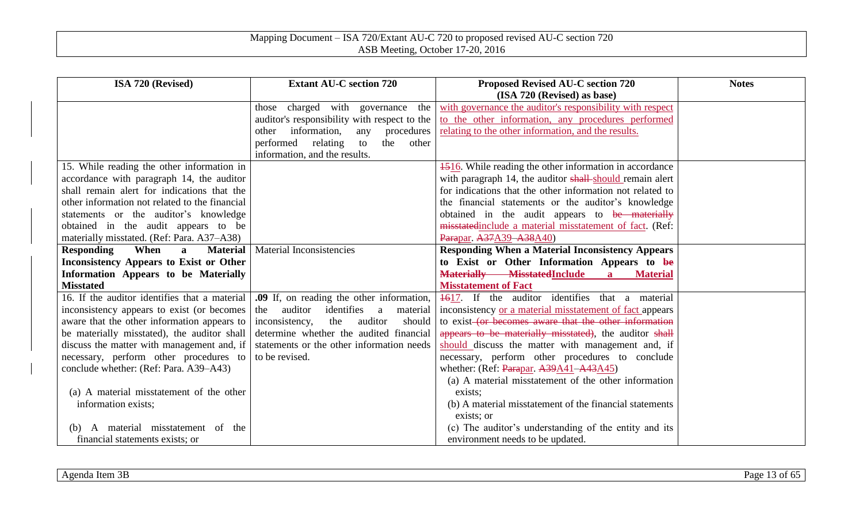| ISA 720 (Revised)                                            | <b>Extant AU-C section 720</b>               | <b>Proposed Revised AU-C section 720</b>                              | <b>Notes</b> |
|--------------------------------------------------------------|----------------------------------------------|-----------------------------------------------------------------------|--------------|
|                                                              |                                              | (ISA 720 (Revised) as base)                                           |              |
|                                                              | those charged with<br>the<br>governance      | with governance the auditor's responsibility with respect             |              |
|                                                              | auditor's responsibility with respect to the | to the other information, any procedures performed                    |              |
|                                                              | other information,<br>procedures<br>any      | relating to the other information, and the results.                   |              |
|                                                              | performed<br>relating<br>the<br>to<br>other  |                                                                       |              |
|                                                              | information, and the results.                |                                                                       |              |
| 15. While reading the other information in                   |                                              | 4516. While reading the other information in accordance               |              |
| accordance with paragraph 14, the auditor                    |                                              | with paragraph 14, the auditor shall-should remain alert              |              |
| shall remain alert for indications that the                  |                                              | for indications that the other information not related to             |              |
| other information not related to the financial               |                                              | the financial statements or the auditor's knowledge                   |              |
| statements or the auditor's knowledge                        |                                              | obtained in the audit appears to be materially                        |              |
| obtained in the audit appears to be                          |                                              | misstatedinclude a material misstatement of fact. (Ref:               |              |
| materially misstated. (Ref: Para. A37–A38)                   |                                              | Parapar. A37A39-A38A40)                                               |              |
| <b>Responding</b><br>When<br><b>Material</b><br>$\mathbf{a}$ | Material Inconsistencies                     | <b>Responding When a Material Inconsistency Appears</b>               |              |
| <b>Inconsistency Appears to Exist or Other</b>               |                                              | to Exist or Other Information Appears to be                           |              |
| Information Appears to be Materially                         |                                              | <b>Materially MisstatedInclude</b><br><b>Material</b><br>$\mathbf{a}$ |              |
| <b>Misstated</b>                                             |                                              | <b>Misstatement of Fact</b>                                           |              |
| 16. If the auditor identifies that a material                | .09 If, on reading the other information,    | 4617. If the auditor identifies that a material                       |              |
| inconsistency appears to exist (or becomes                   | the auditor identifies<br>a<br>material      | inconsistency or a material misstatement of fact appears              |              |
| aware that the other information appears to                  | inconsistency,<br>the<br>auditor<br>should   | to exist (or becomes aware that the other information                 |              |
| be materially misstated), the auditor shall                  | determine whether the audited financial      | appears to be materially misstated), the auditor shall                |              |
| discuss the matter with management and, if                   | statements or the other information needs    | should discuss the matter with management and, if                     |              |
| necessary, perform other procedures to                       | to be revised.                               | necessary, perform other procedures to conclude                       |              |
| conclude whether: (Ref: Para. A39–A43)                       |                                              | whether: (Ref: Parapar. A39A41-A43A45)                                |              |
|                                                              |                                              | (a) A material misstatement of the other information                  |              |
| (a) A material misstatement of the other                     |                                              | exists;                                                               |              |
| information exists;                                          |                                              | (b) A material misstatement of the financial statements               |              |
|                                                              |                                              | exists; or                                                            |              |
| A material misstatement of the<br>(h)                        |                                              | (c) The auditor's understanding of the entity and its                 |              |
| financial statements exists; or                              |                                              | environment needs to be updated.                                      |              |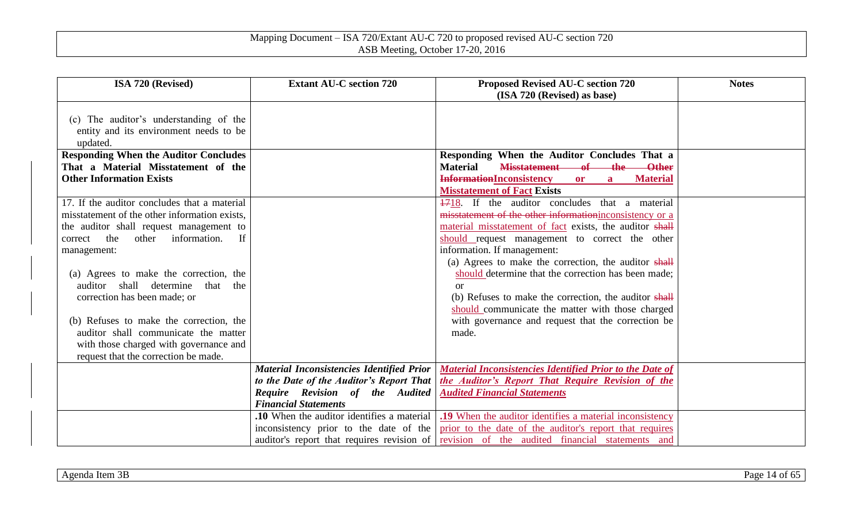| ISA 720 (Revised)                                                                            | <b>Extant AU-C section 720</b>                   | <b>Proposed Revised AU-C section 720</b><br>(ISA 720 (Revised) as base)                            | <b>Notes</b> |
|----------------------------------------------------------------------------------------------|--------------------------------------------------|----------------------------------------------------------------------------------------------------|--------------|
| (c) The auditor's understanding of the<br>entity and its environment needs to be<br>updated. |                                                  |                                                                                                    |              |
| <b>Responding When the Auditor Concludes</b>                                                 |                                                  | Responding When the Auditor Concludes That a                                                       |              |
| That a Material Misstatement of the                                                          |                                                  | <b>Material</b><br>Misstatement of the Other                                                       |              |
| <b>Other Information Exists</b>                                                              |                                                  | <b>InformationInconsistency</b><br><b>Material</b><br>or<br>$\mathbf{a}$                           |              |
|                                                                                              |                                                  | <b>Misstatement of Fact Exists</b>                                                                 |              |
| 17. If the auditor concludes that a material                                                 |                                                  | 4718. If the auditor concludes that a material                                                     |              |
| misstatement of the other information exists,                                                |                                                  | misstatement of the other informationinconsistency or a                                            |              |
| the auditor shall request management to                                                      |                                                  | material misstatement of fact exists, the auditor shall                                            |              |
| the<br>other information.<br>If<br>correct                                                   |                                                  | should request management to correct the other                                                     |              |
| management:                                                                                  |                                                  | information. If management:                                                                        |              |
|                                                                                              |                                                  | (a) Agrees to make the correction, the auditor shall                                               |              |
| (a) Agrees to make the correction, the                                                       |                                                  | should determine that the correction has been made;                                                |              |
| shall determine<br>auditor<br>that<br>the                                                    |                                                  | or                                                                                                 |              |
| correction has been made; or                                                                 |                                                  | (b) Refuses to make the correction, the auditor shall                                              |              |
|                                                                                              |                                                  | should communicate the matter with those charged                                                   |              |
| (b) Refuses to make the correction, the                                                      |                                                  | with governance and request that the correction be                                                 |              |
| auditor shall communicate the matter                                                         |                                                  | made.                                                                                              |              |
| with those charged with governance and                                                       |                                                  |                                                                                                    |              |
| request that the correction be made.                                                         |                                                  |                                                                                                    |              |
|                                                                                              | <b>Material Inconsistencies Identified Prior</b> | <b>Material Inconsistencies Identified Prior to the Date of</b>                                    |              |
|                                                                                              | to the Date of the Auditor's Report That         | the Auditor's Report That Require Revision of the                                                  |              |
|                                                                                              | Require Revision of the Audited                  | <b>Audited Financial Statements</b>                                                                |              |
|                                                                                              | <b>Financial Statements</b>                      |                                                                                                    |              |
|                                                                                              |                                                  | 10 When the auditor identifies a material 19 When the auditor identifies a material inconsistency  |              |
|                                                                                              |                                                  | inconsistency prior to the date of the prior to the date of the auditor's report that requires     |              |
|                                                                                              |                                                  | auditor's report that requires revision of <u>revision of the audited financial statements and</u> |              |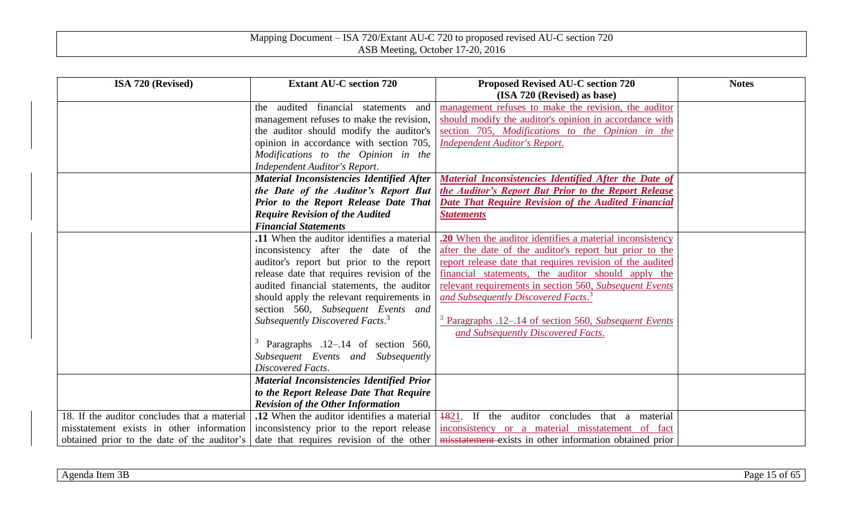## Mapping Document – ISA 720/Extant AU-C 720 to proposed revised AU-C section 720 ASB Meeting, October 17-20, 2016

| ISA 720 (Revised)                            | <b>Extant AU-C section 720</b>                   | <b>Proposed Revised AU-C section 720</b>                   | <b>Notes</b> |
|----------------------------------------------|--------------------------------------------------|------------------------------------------------------------|--------------|
|                                              |                                                  | (ISA 720 (Revised) as base)                                |              |
|                                              | audited financial statements and<br>the          | management refuses to make the revision, the auditor       |              |
|                                              | management refuses to make the revision,         | should modify the auditor's opinion in accordance with     |              |
|                                              | the auditor should modify the auditor's          | section 705, Modifications to the Opinion in the           |              |
|                                              | opinion in accordance with section 705,          | <b>Independent Auditor's Report.</b>                       |              |
|                                              | Modifications to the Opinion in the              |                                                            |              |
|                                              | <b>Independent Auditor's Report.</b>             |                                                            |              |
|                                              | <b>Material Inconsistencies Identified After</b> | Material Inconsistencies Identified After the Date of      |              |
|                                              | the Date of the Auditor's Report But             | the Auditor's Report But Prior to the Report Release       |              |
|                                              | Prior to the Report Release Date That            | <b>Date That Require Revision of the Audited Financial</b> |              |
|                                              | <b>Require Revision of the Audited</b>           | <u>Statements</u>                                          |              |
|                                              | <b>Financial Statements</b>                      |                                                            |              |
|                                              | .11 When the auditor identifies a material       | .20 When the auditor identifies a material inconsistency   |              |
|                                              | inconsistency after the date of the              | after the date of the auditor's report but prior to the    |              |
|                                              | auditor's report but prior to the report         | report release date that requires revision of the audited  |              |
|                                              | release date that requires revision of the       | financial statements, the auditor should apply the         |              |
|                                              | audited financial statements, the auditor        | relevant requirements in section 560, Subsequent Events    |              |
|                                              | should apply the relevant requirements in        | and Subsequently Discovered Facts. <sup>3</sup>            |              |
|                                              | section 560, Subsequent Events and               |                                                            |              |
|                                              | Subsequently Discovered Facts. <sup>3</sup>      | Paragraphs .12-.14 of section 560, Subsequent Events       |              |
|                                              |                                                  | and Subsequently Discovered Facts.                         |              |
|                                              | Paragraphs $.12-.14$ of section 560,             |                                                            |              |
|                                              | Subsequent Events and Subsequently               |                                                            |              |
|                                              | Discovered Facts.                                |                                                            |              |
|                                              | <b>Material Inconsistencies Identified Prior</b> |                                                            |              |
|                                              | to the Report Release Date That Require          |                                                            |              |
|                                              | <b>Revision of the Other Information</b>         |                                                            |              |
| 18. If the auditor concludes that a material | .12 When the auditor identifies a material       | 4821. If the auditor concludes that a<br>material          |              |
| misstatement exists in other information     | inconsistency prior to the report release        | inconsistency or a material misstatement of fact           |              |
| obtained prior to the date of the auditor's  | date that requires revision of the other         | misstatement exists in other information obtained prior    |              |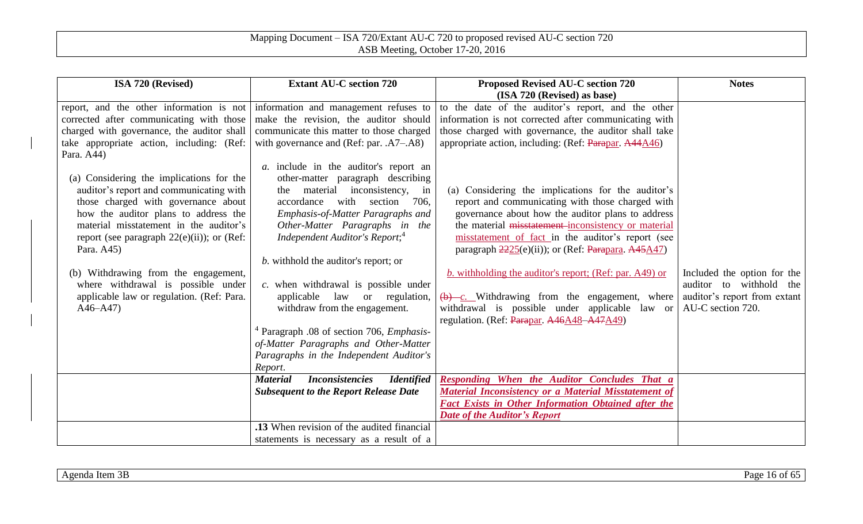| ISA 720 (Revised)                                                                      | <b>Extant AU-C section 720</b>                                                    | <b>Proposed Revised AU-C section 720</b><br>(ISA 720 (Revised) as base)                                        | <b>Notes</b>                 |
|----------------------------------------------------------------------------------------|-----------------------------------------------------------------------------------|----------------------------------------------------------------------------------------------------------------|------------------------------|
| report, and the other information is not information and management refuses to         |                                                                                   | to the date of the auditor's report, and the other                                                             |                              |
| corrected after communicating with those<br>charged with governance, the auditor shall | make the revision, the auditor should<br>communicate this matter to those charged | information is not corrected after communicating with<br>those charged with governance, the auditor shall take |                              |
| take appropriate action, including: (Ref:                                              | with governance and (Ref: par. .A7–.A8)                                           | appropriate action, including: (Ref: Parapar. A44A46)                                                          |                              |
| Para. A44)                                                                             |                                                                                   |                                                                                                                |                              |
|                                                                                        | a. include in the auditor's report an                                             |                                                                                                                |                              |
| (a) Considering the implications for the<br>auditor's report and communicating with    | other-matter paragraph describing<br>material inconsistency, in<br>the            | (a) Considering the implications for the auditor's                                                             |                              |
| those charged with governance about                                                    | accordance with section<br>706.                                                   | report and communicating with those charged with                                                               |                              |
| how the auditor plans to address the                                                   | Emphasis-of-Matter Paragraphs and                                                 | governance about how the auditor plans to address                                                              |                              |
| material misstatement in the auditor's                                                 | Other-Matter Paragraphs in the                                                    | the material misstatement-inconsistency or material                                                            |                              |
| report (see paragraph $22(e)(ii)$ ); or (Ref:                                          | Independent Auditor's Report; <sup>4</sup>                                        | misstatement of fact in the auditor's report (see                                                              |                              |
| Para. A45)                                                                             |                                                                                   | paragraph $2225(e)(ii)$ ; or (Ref: Parapara, A45A47)                                                           |                              |
| (b) Withdrawing from the engagement,                                                   | b. withhold the auditor's report; or                                              | b. withholding the auditor's report; (Ref: par. A49) or                                                        | Included the option for the  |
| where withdrawal is possible under                                                     | c. when withdrawal is possible under                                              |                                                                                                                | auditor to withhold the      |
| applicable law or regulation. (Ref: Para.                                              | applicable law or regulation,                                                     | $\frac{1}{10}$ - <i>c</i> . Withdrawing from the engagement, where                                             | auditor's report from extant |
| $A46 - A47$                                                                            | withdraw from the engagement.                                                     | withdrawal is possible under applicable law or                                                                 | AU-C section 720.            |
|                                                                                        |                                                                                   | regulation. (Ref: Parapar. A46A48-A47A49)                                                                      |                              |
|                                                                                        | <sup>4</sup> Paragraph .08 of section 706, <i>Emphasis</i> -                      |                                                                                                                |                              |
|                                                                                        | of-Matter Paragraphs and Other-Matter                                             |                                                                                                                |                              |
|                                                                                        | Paragraphs in the Independent Auditor's                                           |                                                                                                                |                              |
|                                                                                        | Report.<br><b>Material</b><br><b>Identified</b><br><i>Inconsistencies</i>         | Responding When the Auditor Concludes That a                                                                   |                              |
|                                                                                        | <b>Subsequent to the Report Release Date</b>                                      | <b>Material Inconsistency or a Material Misstatement of</b>                                                    |                              |
|                                                                                        |                                                                                   | <b>Fact Exists in Other Information Obtained after the</b>                                                     |                              |
|                                                                                        |                                                                                   | <b>Date of the Auditor's Report</b>                                                                            |                              |
|                                                                                        | .13 When revision of the audited financial                                        |                                                                                                                |                              |
|                                                                                        | statements is necessary as a result of a                                          |                                                                                                                |                              |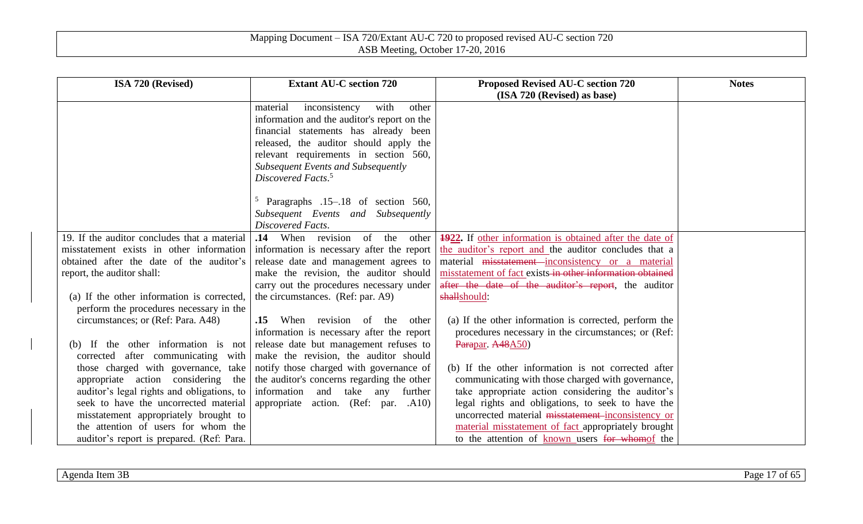| ISA 720 (Revised)                            | <b>Extant AU-C section 720</b>               | <b>Proposed Revised AU-C section 720</b><br>(ISA 720 (Revised) as base) | <b>Notes</b> |
|----------------------------------------------|----------------------------------------------|-------------------------------------------------------------------------|--------------|
|                                              | material<br>inconsistency<br>with<br>other   |                                                                         |              |
|                                              | information and the auditor's report on the  |                                                                         |              |
|                                              | financial statements has already been        |                                                                         |              |
|                                              | released, the auditor should apply the       |                                                                         |              |
|                                              | relevant requirements in section 560,        |                                                                         |              |
|                                              | <b>Subsequent Events and Subsequently</b>    |                                                                         |              |
|                                              | Discovered Facts. <sup>5</sup>               |                                                                         |              |
|                                              |                                              |                                                                         |              |
|                                              | Paragraphs .15–18 of section 560,            |                                                                         |              |
|                                              | Subsequent Events and Subsequently           |                                                                         |              |
|                                              | Discovered Facts.                            |                                                                         |              |
| 19. If the auditor concludes that a material | .14 When revision of the<br>other            | <b>1922.</b> If other information is obtained after the date of         |              |
| misstatement exists in other information     | information is necessary after the report    | the auditor's report and the auditor concludes that a                   |              |
| obtained after the date of the auditor's     | release date and management agrees to        | material misstatement inconsistency or a material                       |              |
| report, the auditor shall:                   | make the revision, the auditor should        | misstatement of fact exists-in-other information obtained               |              |
|                                              | carry out the procedures necessary under     | after the date of the auditor's report, the auditor                     |              |
| (a) If the other information is corrected,   | the circumstances. (Ref: par. A9)            | shallshould:                                                            |              |
| perform the procedures necessary in the      |                                              |                                                                         |              |
| circumstances; or (Ref: Para. A48)           | When revision of the<br>.15<br>other         | (a) If the other information is corrected, perform the                  |              |
|                                              | information is necessary after the report    | procedures necessary in the circumstances; or (Ref:                     |              |
| the other information is not<br>(b)<br>- If  | release date but management refuses to       | Parapar. A48A50)                                                        |              |
| corrected after communicating with           | make the revision, the auditor should        |                                                                         |              |
| those charged with governance, take          | notify those charged with governance of      | (b) If the other information is not corrected after                     |              |
| appropriate action considering the           | the auditor's concerns regarding the other   | communicating with those charged with governance,                       |              |
| auditor's legal rights and obligations, to   | take<br>information<br>and<br>any<br>further | take appropriate action considering the auditor's                       |              |
| seek to have the uncorrected material        | action. (Ref: par. .A10)<br>appropriate      | legal rights and obligations, to seek to have the                       |              |
| misstatement appropriately brought to        |                                              | uncorrected material misstatement inconsistency or                      |              |
| the attention of users for whom the          |                                              | material misstatement of fact appropriately brought                     |              |
| auditor's report is prepared. (Ref: Para.    |                                              | to the attention of known users for whomof the                          |              |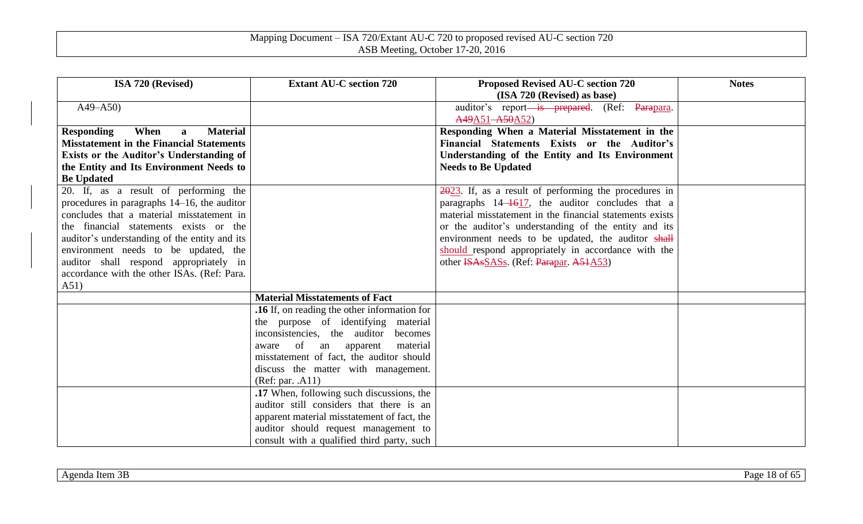| ISA 720 (Revised)                                            | <b>Extant AU-C section 720</b>               | <b>Proposed Revised AU-C section 720</b><br>(ISA 720 (Revised) as base) | <b>Notes</b> |
|--------------------------------------------------------------|----------------------------------------------|-------------------------------------------------------------------------|--------------|
| $A49 - A50$                                                  |                                              | auditor's report <del> is prepared</del> . (Ref: Parapara.              |              |
|                                                              |                                              | A49A51-A50A52)                                                          |              |
| When<br><b>Material</b><br><b>Responding</b><br>$\mathbf{a}$ |                                              | Responding When a Material Misstatement in the                          |              |
| <b>Misstatement in the Financial Statements</b>              |                                              | Financial Statements Exists or the Auditor's                            |              |
| <b>Exists or the Auditor's Understanding of</b>              |                                              | Understanding of the Entity and Its Environment                         |              |
| the Entity and Its Environment Needs to                      |                                              | <b>Needs to Be Updated</b>                                              |              |
| <b>Be Updated</b>                                            |                                              |                                                                         |              |
| 20. If, as a result of performing the                        |                                              | $\frac{2023}{1}$ . If, as a result of performing the procedures in      |              |
| procedures in paragraphs 14–16, the auditor                  |                                              | paragraphs $14-1617$ , the auditor concludes that a                     |              |
| concludes that a material misstatement in                    |                                              | material misstatement in the financial statements exists                |              |
| the financial statements exists or the                       |                                              | or the auditor's understanding of the entity and its                    |              |
| auditor's understanding of the entity and its                |                                              | environment needs to be updated, the auditor shall                      |              |
| environment needs to be updated, the                         |                                              | should respond appropriately in accordance with the                     |              |
| auditor shall respond appropriately in                       |                                              | other ISAsSASs. (Ref: Parapar. A51A53)                                  |              |
| accordance with the other ISAs. (Ref: Para.<br>A51)          |                                              |                                                                         |              |
|                                                              | <b>Material Misstatements of Fact</b>        |                                                                         |              |
|                                                              | .16 If, on reading the other information for |                                                                         |              |
|                                                              | the purpose of identifying material          |                                                                         |              |
|                                                              | inconsistencies, the auditor<br>becomes      |                                                                         |              |
|                                                              | of<br>an<br>apparent<br>material<br>aware    |                                                                         |              |
|                                                              | misstatement of fact, the auditor should     |                                                                         |              |
|                                                              | discuss the matter with management.          |                                                                         |              |
|                                                              | (Ref: par. . A11)                            |                                                                         |              |
|                                                              | .17 When, following such discussions, the    |                                                                         |              |
|                                                              | auditor still considers that there is an     |                                                                         |              |
|                                                              | apparent material misstatement of fact, the  |                                                                         |              |
|                                                              | auditor should request management to         |                                                                         |              |
|                                                              | consult with a qualified third party, such   |                                                                         |              |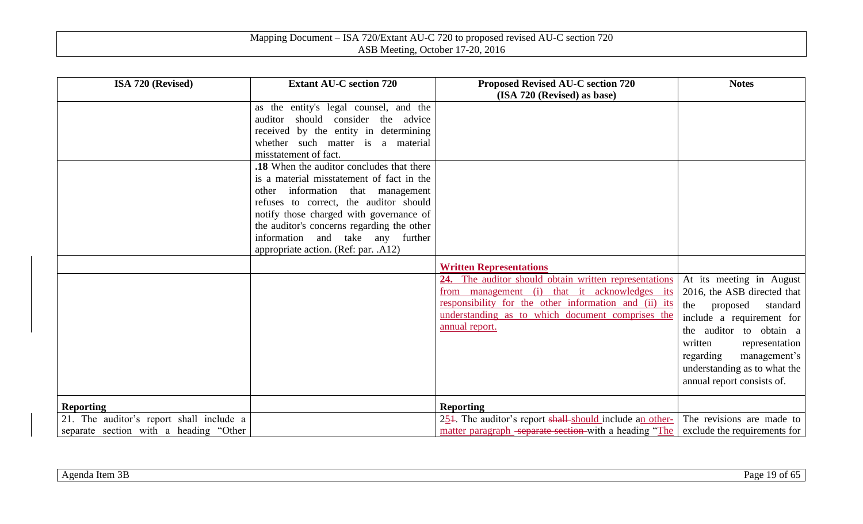## Mapping Document – ISA 720/Extant AU-C 720 to proposed revised AU-C section 720 ASB Meeting, October 17-20, 2016

| At its meeting in August<br>2016, the ASB directed that<br>standard<br>proposed<br>include a requirement for<br>the auditor to obtain $a$<br>written<br>representation<br>management's<br>regarding<br>understanding as to what the<br>annual report consists of. |
|-------------------------------------------------------------------------------------------------------------------------------------------------------------------------------------------------------------------------------------------------------------------|
|                                                                                                                                                                                                                                                                   |
| The revisions are made to<br>matter paragraph -separate section-with a heading "The exclude the requirements for                                                                                                                                                  |
|                                                                                                                                                                                                                                                                   |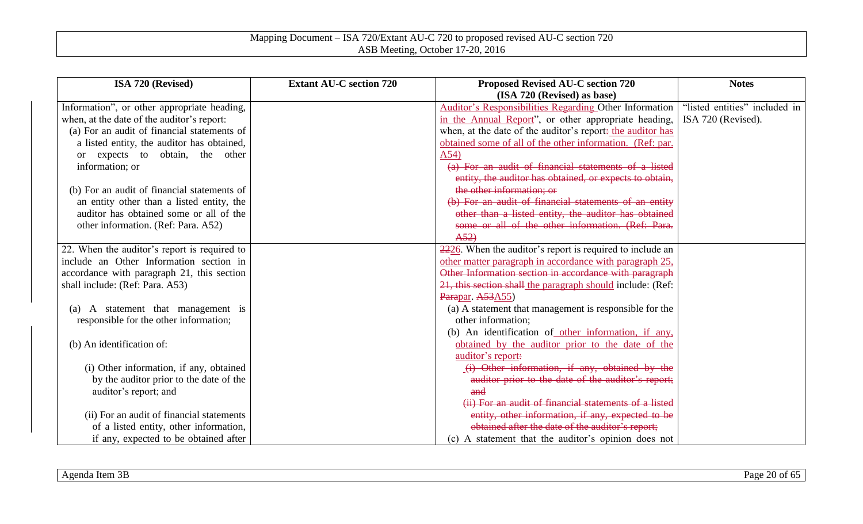| ISA 720 (Revised)                             | <b>Extant AU-C section 720</b> | <b>Proposed Revised AU-C section 720</b>                      | <b>Notes</b>                  |
|-----------------------------------------------|--------------------------------|---------------------------------------------------------------|-------------------------------|
|                                               |                                | (ISA 720 (Revised) as base)                                   |                               |
| Information", or other appropriate heading,   |                                | <b>Auditor's Responsibilities Regarding Other Information</b> | "listed entities" included in |
| when, at the date of the auditor's report:    |                                | in the Annual Report", or other appropriate heading,          | ISA 720 (Revised).            |
| (a) For an audit of financial statements of   |                                | when, at the date of the auditor's report the auditor has     |                               |
| a listed entity, the auditor has obtained,    |                                | obtained some of all of the other information. (Ref: par.     |                               |
| expects to obtain, the other<br><sub>or</sub> |                                | A54)                                                          |                               |
| information; or                               |                                | (a) For an audit of financial statements of a listed          |                               |
|                                               |                                | entity, the auditor has obtained, or expects to obtain,       |                               |
| (b) For an audit of financial statements of   |                                | the other information: or                                     |                               |
| an entity other than a listed entity, the     |                                | (b) For an audit of financial statements of an entity         |                               |
| auditor has obtained some or all of the       |                                | other than a listed entity, the auditor has obtained          |                               |
| other information. (Ref: Para. A52)           |                                | some or all of the other information. (Ref: Para.             |                               |
|                                               |                                | A52                                                           |                               |
| 22. When the auditor's report is required to  |                                | $2226$ . When the auditor's report is required to include an  |                               |
| include an Other Information section in       |                                | other matter paragraph in accordance with paragraph 25,       |                               |
| accordance with paragraph 21, this section    |                                | Other Information section in accordance with paragraph        |                               |
| shall include: (Ref: Para. A53)               |                                | 21, this section shall the paragraph should include: (Ref:    |                               |
|                                               |                                | Parapar. A53A55)                                              |                               |
| A statement that management is<br>(a)         |                                | (a) A statement that management is responsible for the        |                               |
| responsible for the other information;        |                                | other information;                                            |                               |
|                                               |                                | (b) An identification of other information, if any,           |                               |
| (b) An identification of:                     |                                | obtained by the auditor prior to the date of the              |                               |
|                                               |                                | auditor's report:                                             |                               |
| (i) Other information, if any, obtained       |                                | (i) Other information, if any, obtained by the                |                               |
| by the auditor prior to the date of the       |                                | auditor prior to the date of the auditor's report;            |                               |
| auditor's report; and                         |                                | and                                                           |                               |
|                                               |                                | (ii) For an audit of financial statements of a listed         |                               |
| (ii) For an audit of financial statements     |                                | entity, other information, if any, expected to be             |                               |
| of a listed entity, other information,        |                                | obtained after the date of the auditor's report;              |                               |
| if any, expected to be obtained after         |                                | (c) A statement that the auditor's opinion does not           |                               |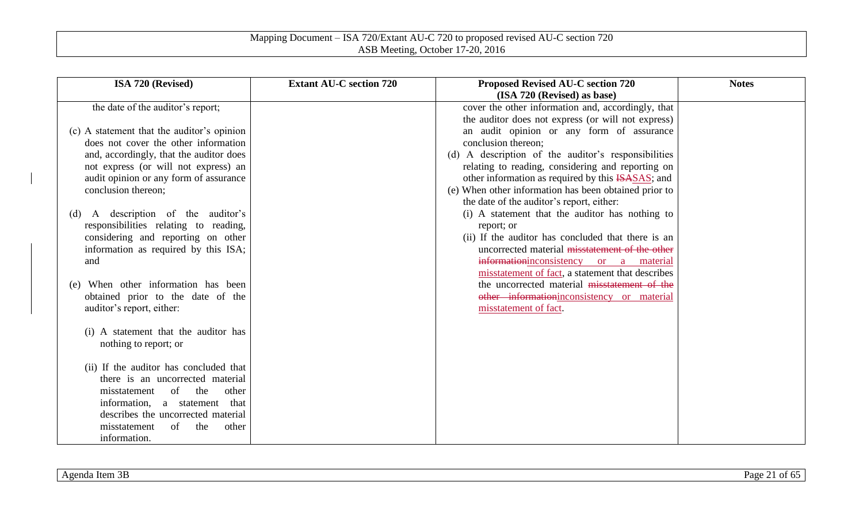| ISA 720 (Revised)                          | <b>Extant AU-C section 720</b> | <b>Proposed Revised AU-C section 720</b><br>(ISA 720 (Revised) as base) | <b>Notes</b> |
|--------------------------------------------|--------------------------------|-------------------------------------------------------------------------|--------------|
| the date of the auditor's report;          |                                | cover the other information and, accordingly, that                      |              |
|                                            |                                | the auditor does not express (or will not express)                      |              |
| (c) A statement that the auditor's opinion |                                | an audit opinion or any form of assurance                               |              |
| does not cover the other information       |                                | conclusion thereon;                                                     |              |
| and, accordingly, that the auditor does    |                                | (d) A description of the auditor's responsibilities                     |              |
| not express (or will not express) an       |                                | relating to reading, considering and reporting on                       |              |
| audit opinion or any form of assurance     |                                | other information as required by this ISASAS; and                       |              |
| conclusion thereon;                        |                                | (e) When other information has been obtained prior to                   |              |
|                                            |                                | the date of the auditor's report, either:                               |              |
| A description of the auditor's<br>(d)      |                                | (i) A statement that the auditor has nothing to                         |              |
| responsibilities relating to reading,      |                                | report; or                                                              |              |
| considering and reporting on other         |                                | (ii) If the auditor has concluded that there is an                      |              |
| information as required by this ISA;       |                                | uncorrected material misstatement of the other                          |              |
| and                                        |                                | informationinconsistency or a material                                  |              |
|                                            |                                | misstatement of fact, a statement that describes                        |              |
| When other information has been<br>(e)     |                                | the uncorrected material misstatement of the                            |              |
| obtained prior to the date of the          |                                | other informationinconsistency or material                              |              |
| auditor's report, either:                  |                                | misstatement of fact.                                                   |              |
|                                            |                                |                                                                         |              |
| (i) A statement that the auditor has       |                                |                                                                         |              |
| nothing to report; or                      |                                |                                                                         |              |
|                                            |                                |                                                                         |              |
| (ii) If the auditor has concluded that     |                                |                                                                         |              |
| there is an uncorrected material           |                                |                                                                         |              |
| of<br>the<br>other<br>misstatement         |                                |                                                                         |              |
| information, a statement<br>that           |                                |                                                                         |              |
| describes the uncorrected material         |                                |                                                                         |              |
| misstatement<br>of<br>the<br>other         |                                |                                                                         |              |
| information.                               |                                |                                                                         |              |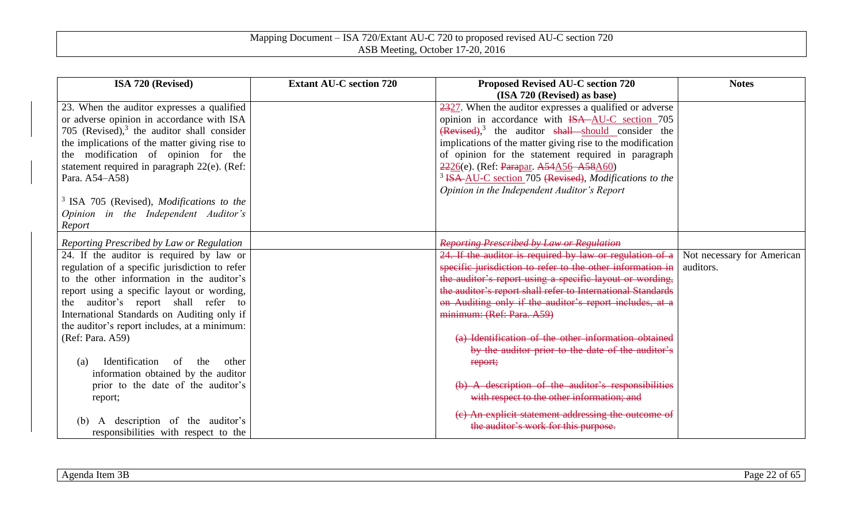| ISA 720 (Revised)                                           | <b>Extant AU-C section 720</b> | <b>Proposed Revised AU-C section 720</b><br>(ISA 720 (Revised) as base) | <b>Notes</b>               |
|-------------------------------------------------------------|--------------------------------|-------------------------------------------------------------------------|----------------------------|
| 23. When the auditor expresses a qualified                  |                                | $\frac{2327}{2}$ . When the auditor expresses a qualified or adverse    |                            |
| or adverse opinion in accordance with ISA                   |                                | opinion in accordance with <del>ISA AU-C</del> section 705              |                            |
| 705 (Revised), $3$ the auditor shall consider               |                                | $(Revised)$ , <sup>3</sup> the auditor shall should consider the        |                            |
| the implications of the matter giving rise to               |                                | implications of the matter giving rise to the modification              |                            |
| the modification of opinion for the                         |                                | of opinion for the statement required in paragraph                      |                            |
| statement required in paragraph 22(e). (Ref:                |                                | 2226(e). (Ref: Parapar. A54A56-A58A60)                                  |                            |
| Para. A54-A58)                                              |                                | <sup>3</sup> ISA-AU-C section 705 (Revised), Modifications to the       |                            |
|                                                             |                                | Opinion in the Independent Auditor's Report                             |                            |
| <sup>3</sup> ISA 705 (Revised), <i>Modifications to the</i> |                                |                                                                         |                            |
| Opinion in the Independent Auditor's                        |                                |                                                                         |                            |
| Report                                                      |                                |                                                                         |                            |
|                                                             |                                |                                                                         |                            |
| Reporting Prescribed by Law or Regulation                   |                                | <b>Reporting Prescribed by Law or Regulation</b>                        |                            |
| 24. If the auditor is required by law or                    |                                | 24. If the auditor is required by law or regulation of a                | Not necessary for American |
| regulation of a specific jurisdiction to refer              |                                | specific jurisdiction to refer to the other information in              | auditors.                  |
| to the other information in the auditor's                   |                                | the auditor's report using a specific layout or wording,                |                            |
| report using a specific layout or wording,                  |                                | the auditor's report shall refer to International Standards             |                            |
| the auditor's report shall refer to                         |                                | on Auditing only if the auditor's report includes, at a                 |                            |
| International Standards on Auditing only if                 |                                | minimum: (Ref: Para. A59)                                               |                            |
| the auditor's report includes, at a minimum:                |                                |                                                                         |                            |
| (Ref: Para. A59)                                            |                                | (a) Identification of the other information obtained                    |                            |
|                                                             |                                | by the auditor prior to the date of the auditor's                       |                            |
| Identification<br>of<br>other<br>the<br>(a)                 |                                | report;                                                                 |                            |
| information obtained by the auditor                         |                                |                                                                         |                            |
| prior to the date of the auditor's                          |                                | (b) A description of the auditor's responsibilities                     |                            |
| report;                                                     |                                | with respect to the other information; and                              |                            |
|                                                             |                                | (c) An explicit statement addressing the outcome of                     |                            |
| A description of the auditor's<br>(b)                       |                                | the auditor's work for this purpose.                                    |                            |
| responsibilities with respect to the                        |                                |                                                                         |                            |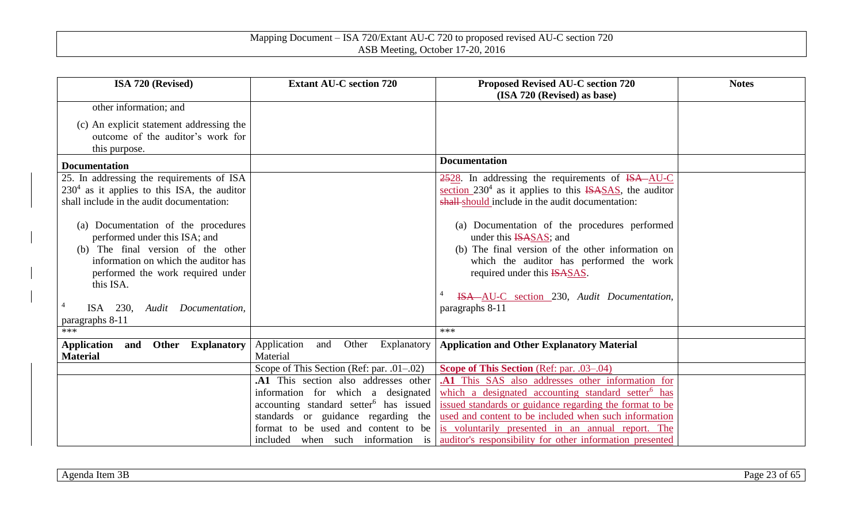| ISA 720 (Revised)                                                                                                                                                              | <b>Extant AU-C section 720</b>                                                                                                                                          | <b>Proposed Revised AU-C section 720</b><br>(ISA 720 (Revised) as base)                                                                                                                                                                                                                                                          | <b>Notes</b> |
|--------------------------------------------------------------------------------------------------------------------------------------------------------------------------------|-------------------------------------------------------------------------------------------------------------------------------------------------------------------------|----------------------------------------------------------------------------------------------------------------------------------------------------------------------------------------------------------------------------------------------------------------------------------------------------------------------------------|--------------|
| other information; and                                                                                                                                                         |                                                                                                                                                                         |                                                                                                                                                                                                                                                                                                                                  |              |
| (c) An explicit statement addressing the<br>outcome of the auditor's work for<br>this purpose.                                                                                 |                                                                                                                                                                         |                                                                                                                                                                                                                                                                                                                                  |              |
| <b>Documentation</b>                                                                                                                                                           |                                                                                                                                                                         | <b>Documentation</b>                                                                                                                                                                                                                                                                                                             |              |
| 25. In addressing the requirements of ISA<br>$2304$ as it applies to this ISA, the auditor<br>shall include in the audit documentation:<br>(a) Documentation of the procedures |                                                                                                                                                                         | $2528$ . In addressing the requirements of $\overline{ASA}$ $\overline{AUC}$<br>section $230^4$ as it applies to this $\frac{1}{8}$ $\frac{1}{9}$ s and to the section $230^4$ as it applies to this $\frac{1}{9}$<br>shall-should include in the audit documentation:<br>(a) Documentation of the procedures performed          |              |
| performed under this ISA; and<br>The final version of the other<br>(h)<br>information on which the auditor has<br>performed the work required under<br>this ISA.               |                                                                                                                                                                         | under this <b>ISAS</b> St, and<br>(b) The final version of the other information on<br>which the auditor has performed the work<br>required under this ISASAS.<br>ISA-AU-C section 230, Audit Documentation,                                                                                                                     |              |
| ISA 230, Audit Documentation,<br>paragraphs 8-11                                                                                                                               |                                                                                                                                                                         | paragraphs 8-11                                                                                                                                                                                                                                                                                                                  |              |
| ***                                                                                                                                                                            |                                                                                                                                                                         | ***                                                                                                                                                                                                                                                                                                                              |              |
| <b>Other Explanatory</b><br><b>Application</b><br>and<br><b>Material</b>                                                                                                       | Application<br>Other<br>Explanatory<br>and<br>Material                                                                                                                  | <b>Application and Other Explanatory Material</b>                                                                                                                                                                                                                                                                                |              |
|                                                                                                                                                                                | Scope of This Section (Ref: par. .01–.02)                                                                                                                               | Scope of This Section (Ref: par. .03-.04)                                                                                                                                                                                                                                                                                        |              |
|                                                                                                                                                                                | A1 This section also addresses other<br>information for which a designated<br>accounting standard setter <sup>6</sup> has issued<br>format to be used and content to be | .A1 This SAS also addresses other information for<br>which a designated accounting standard setter <sup>6</sup> has<br>issued standards or guidance regarding the format to be<br>standards or guidance regarding the used and content to be included when such information<br>is voluntarily presented in an annual report. The |              |
|                                                                                                                                                                                |                                                                                                                                                                         | included when such information is auditor's responsibility for other information presented                                                                                                                                                                                                                                       |              |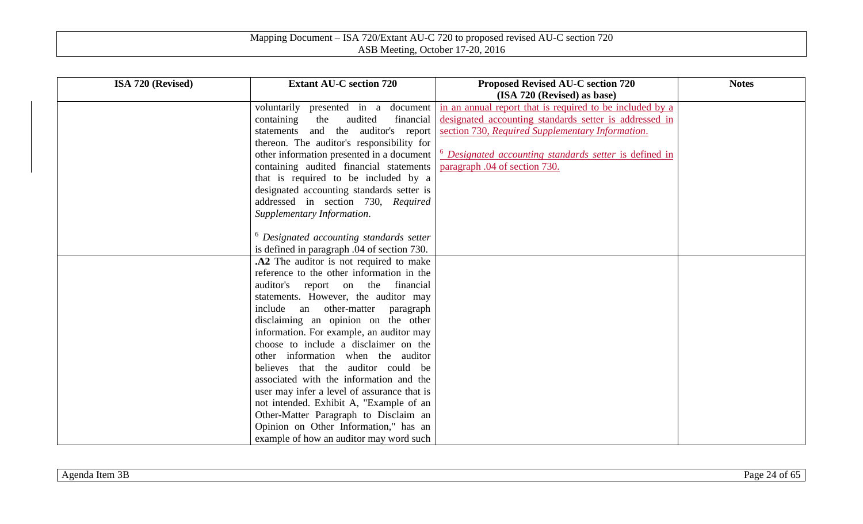| ISA 720 (Revised) | <b>Extant AU-C section 720</b>                      | <b>Proposed Revised AU-C section 720</b><br>(ISA 720 (Revised) as base) | <b>Notes</b> |
|-------------------|-----------------------------------------------------|-------------------------------------------------------------------------|--------------|
|                   | voluntarily presented in a document                 | in an annual report that is required to be included by a                |              |
|                   | containing<br>audited<br>financial<br>the           | designated accounting standards setter is addressed in                  |              |
|                   | and the auditor's report<br>statements              | section 730, Required Supplementary Information.                        |              |
|                   | thereon. The auditor's responsibility for           |                                                                         |              |
|                   | other information presented in a document           | <sup>6</sup> Designated accounting standards setter is defined in       |              |
|                   | containing audited financial statements             | paragraph .04 of section 730.                                           |              |
|                   | that is required to be included by a                |                                                                         |              |
|                   | designated accounting standards setter is           |                                                                         |              |
|                   | addressed in section 730, Required                  |                                                                         |              |
|                   | Supplementary Information.                          |                                                                         |              |
|                   |                                                     |                                                                         |              |
|                   | <sup>6</sup> Designated accounting standards setter |                                                                         |              |
|                   | is defined in paragraph .04 of section 730.         |                                                                         |              |
|                   | .A2 The auditor is not required to make             |                                                                         |              |
|                   | reference to the other information in the           |                                                                         |              |
|                   | auditor's report on the financial                   |                                                                         |              |
|                   | statements. However, the auditor may                |                                                                         |              |
|                   | include an other-matter paragraph                   |                                                                         |              |
|                   | disclaiming an opinion on the other                 |                                                                         |              |
|                   | information. For example, an auditor may            |                                                                         |              |
|                   | choose to include a disclaimer on the               |                                                                         |              |
|                   | other information when the auditor                  |                                                                         |              |
|                   | believes that the auditor could be                  |                                                                         |              |
|                   | associated with the information and the             |                                                                         |              |
|                   | user may infer a level of assurance that is         |                                                                         |              |
|                   | not intended. Exhibit A, "Example of an             |                                                                         |              |
|                   | Other-Matter Paragraph to Disclaim an               |                                                                         |              |
|                   | Opinion on Other Information," has an               |                                                                         |              |
|                   | example of how an auditor may word such             |                                                                         |              |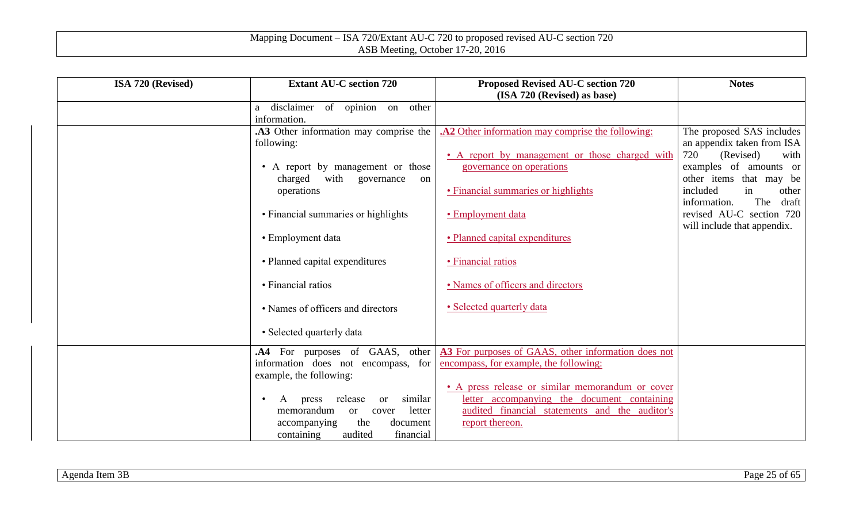| ISA 720 (Revised) | <b>Extant AU-C section 720</b>                                                                      | <b>Proposed Revised AU-C section 720</b><br>(ISA 720 (Revised) as base)                                                                           | <b>Notes</b>                                                                        |
|-------------------|-----------------------------------------------------------------------------------------------------|---------------------------------------------------------------------------------------------------------------------------------------------------|-------------------------------------------------------------------------------------|
|                   | disclaimer of opinion on other<br>a<br>information.                                                 |                                                                                                                                                   |                                                                                     |
|                   | A3 Other information may comprise the<br>following:                                                 | A2 Other information may comprise the following:<br>• A report by management or those charged with                                                | The proposed SAS includes<br>an appendix taken from ISA<br>(Revised)<br>720<br>with |
|                   | • A report by management or those<br>charged with governance<br>on<br>operations                    | governance on operations<br>• Financial summaries or highlights                                                                                   | examples of amounts or<br>other items that may be<br>included<br>in<br>other        |
|                   | • Financial summaries or highlights                                                                 | · Employment data                                                                                                                                 | The<br>information.<br>draft<br>revised AU-C section 720                            |
|                   | • Employment data                                                                                   | • Planned capital expenditures                                                                                                                    | will include that appendix.                                                         |
|                   | • Planned capital expenditures                                                                      | • Financial ratios                                                                                                                                |                                                                                     |
|                   | • Financial ratios                                                                                  | • Names of officers and directors                                                                                                                 |                                                                                     |
|                   | • Names of officers and directors                                                                   | • Selected quarterly data                                                                                                                         |                                                                                     |
|                   | • Selected quarterly data                                                                           |                                                                                                                                                   |                                                                                     |
|                   | .A4 For purposes of GAAS, other<br>information does not encompass, for<br>example, the following:   | A3 For purposes of GAAS, other information does not<br>encompass, for example, the following:                                                     |                                                                                     |
|                   | release<br>similar<br>press<br>A<br><sub>or</sub><br>memorandum<br>letter<br><sub>or</sub><br>cover | • A press release or similar memorandum or cover<br>letter accompanying the document containing<br>audited financial statements and the auditor's |                                                                                     |
|                   | the<br>document<br>accompanying<br>audited<br>containing<br>financial                               | report thereon.                                                                                                                                   |                                                                                     |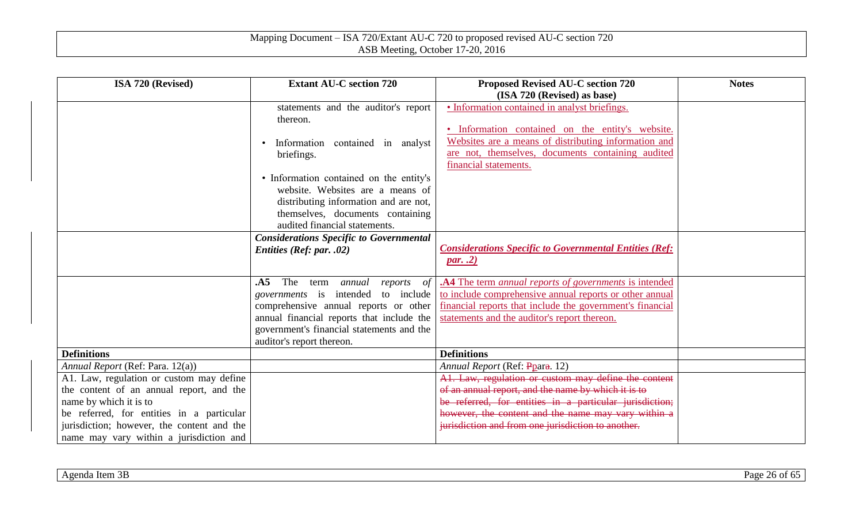| ISA 720 (Revised)                          | <b>Extant AU-C section 720</b>                 | <b>Proposed Revised AU-C section 720</b>                      | <b>Notes</b> |
|--------------------------------------------|------------------------------------------------|---------------------------------------------------------------|--------------|
|                                            |                                                | (ISA 720 (Revised) as base)                                   |              |
|                                            | statements and the auditor's report            | · Information contained in analyst briefings.                 |              |
|                                            | thereon.                                       |                                                               |              |
|                                            |                                                | • Information contained on the entity's website.              |              |
|                                            | Information contained in analyst<br>$\bullet$  | Websites are a means of distributing information and          |              |
|                                            | briefings.                                     | are not, themselves, documents containing audited             |              |
|                                            |                                                | financial statements.                                         |              |
|                                            | • Information contained on the entity's        |                                                               |              |
|                                            | website. Websites are a means of               |                                                               |              |
|                                            | distributing information and are not,          |                                                               |              |
|                                            | themselves, documents containing               |                                                               |              |
|                                            | audited financial statements.                  |                                                               |              |
|                                            | <b>Considerations Specific to Governmental</b> |                                                               |              |
|                                            | Entities (Ref: par. .02)                       | <b>Considerations Specific to Governmental Entities (Ref:</b> |              |
|                                            |                                                | par. 2)                                                       |              |
|                                            |                                                |                                                               |              |
|                                            | The<br>.A5<br>term annual<br>reports of        | A4 The term annual reports of governments is intended         |              |
|                                            | <i>governments</i> is intended<br>to include   | to include comprehensive annual reports or other annual       |              |
|                                            | comprehensive annual reports or other          | financial reports that include the government's financial     |              |
|                                            | annual financial reports that include the      | statements and the auditor's report thereon.                  |              |
|                                            | government's financial statements and the      |                                                               |              |
|                                            | auditor's report thereon.                      |                                                               |              |
| <b>Definitions</b>                         |                                                | <b>Definitions</b>                                            |              |
| Annual Report (Ref: Para. 12(a))           |                                                | Annual Report (Ref: Ppara. 12)                                |              |
| A1. Law, regulation or custom may define   |                                                | A1. Law, regulation or custom may define the content          |              |
| the content of an annual report, and the   |                                                | of an annual report, and the name by which it is to           |              |
| name by which it is to                     |                                                | be referred, for entities in a particular jurisdiction;       |              |
| be referred, for entities in a particular  |                                                | however, the content and the name may vary within a           |              |
| jurisdiction; however, the content and the |                                                | jurisdiction and from one jurisdiction to another.            |              |
| name may vary within a jurisdiction and    |                                                |                                                               |              |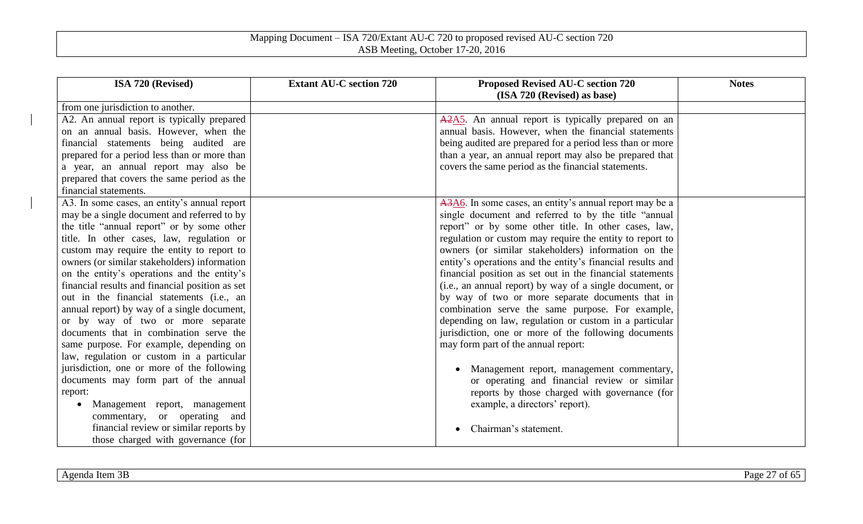| ISA 720 (Revised)                                                                   | <b>Extant AU-C section 720</b> | <b>Proposed Revised AU-C section 720</b><br>(ISA 720 (Revised) as base) | <b>Notes</b> |
|-------------------------------------------------------------------------------------|--------------------------------|-------------------------------------------------------------------------|--------------|
| from one jurisdiction to another.                                                   |                                |                                                                         |              |
| A2. An annual report is typically prepared                                          |                                | A2A5. An annual report is typically prepared on an                      |              |
| on an annual basis. However, when the                                               |                                | annual basis. However, when the financial statements                    |              |
| financial statements being audited are                                              |                                | being audited are prepared for a period less than or more               |              |
| prepared for a period less than or more than                                        |                                | than a year, an annual report may also be prepared that                 |              |
| a year, an annual report may also be                                                |                                | covers the same period as the financial statements.                     |              |
| prepared that covers the same period as the                                         |                                |                                                                         |              |
| financial statements.                                                               |                                |                                                                         |              |
| A3. In some cases, an entity's annual report                                        |                                | A3A6. In some cases, an entity's annual report may be a                 |              |
| may be a single document and referred to by                                         |                                | single document and referred to by the title "annual                    |              |
| the title "annual report" or by some other                                          |                                | report" or by some other title. In other cases, law,                    |              |
| title. In other cases, law, regulation or                                           |                                | regulation or custom may require the entity to report to                |              |
| custom may require the entity to report to                                          |                                | owners (or similar stakeholders) information on the                     |              |
| owners (or similar stakeholders) information                                        |                                | entity's operations and the entity's financial results and              |              |
| on the entity's operations and the entity's                                         |                                | financial position as set out in the financial statements               |              |
| financial results and financial position as set                                     |                                | (i.e., an annual report) by way of a single document, or                |              |
| out in the financial statements (i.e., an                                           |                                | by way of two or more separate documents that in                        |              |
| annual report) by way of a single document,                                         |                                | combination serve the same purpose. For example,                        |              |
| or by way of two or more separate                                                   |                                | depending on law, regulation or custom in a particular                  |              |
| documents that in combination serve the                                             |                                | jurisdiction, one or more of the following documents                    |              |
| same purpose. For example, depending on                                             |                                | may form part of the annual report:                                     |              |
| law, regulation or custom in a particular                                           |                                |                                                                         |              |
|                                                                                     |                                |                                                                         |              |
| jurisdiction, one or more of the following<br>documents may form part of the annual |                                | Management report, management commentary,                               |              |
|                                                                                     |                                | or operating and financial review or similar                            |              |
| report:                                                                             |                                | reports by those charged with governance (for                           |              |
| Management report, management<br>$\bullet$                                          |                                | example, a directors' report).                                          |              |
| commentary, or operating and                                                        |                                |                                                                         |              |
| financial review or similar reports by                                              |                                | Chairman's statement.                                                   |              |
| those charged with governance (for                                                  |                                |                                                                         |              |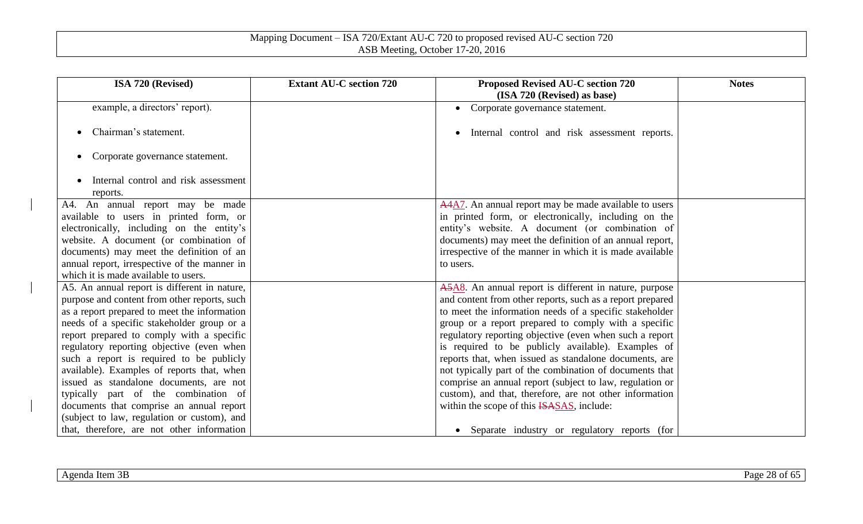| ISA 720 (Revised)                            | <b>Extant AU-C section 720</b> | <b>Proposed Revised AU-C section 720</b><br>(ISA 720 (Revised) as base) | <b>Notes</b> |
|----------------------------------------------|--------------------------------|-------------------------------------------------------------------------|--------------|
| example, a directors' report).               |                                | Corporate governance statement.                                         |              |
| Chairman's statement.                        |                                | Internal control and risk assessment reports.                           |              |
| Corporate governance statement.<br>$\bullet$ |                                |                                                                         |              |
| Internal control and risk assessment         |                                |                                                                         |              |
| reports.                                     |                                |                                                                         |              |
| A4. An annual report may be made             |                                | $\frac{AAA7}{A}$ . An annual report may be made available to users      |              |
| available to users in printed form, or       |                                | in printed form, or electronically, including on the                    |              |
| electronically, including on the entity's    |                                | entity's website. A document (or combination of                         |              |
| website. A document (or combination of       |                                | documents) may meet the definition of an annual report,                 |              |
| documents) may meet the definition of an     |                                | irrespective of the manner in which it is made available                |              |
| annual report, irrespective of the manner in |                                | to users.                                                               |              |
| which it is made available to users.         |                                |                                                                         |              |
| A5. An annual report is different in nature, |                                | A5A8. An annual report is different in nature, purpose                  |              |
| purpose and content from other reports, such |                                | and content from other reports, such as a report prepared               |              |
| as a report prepared to meet the information |                                | to meet the information needs of a specific stakeholder                 |              |
| needs of a specific stakeholder group or a   |                                | group or a report prepared to comply with a specific                    |              |
| report prepared to comply with a specific    |                                | regulatory reporting objective (even when such a report                 |              |
| regulatory reporting objective (even when    |                                | is required to be publicly available). Examples of                      |              |
| such a report is required to be publicly     |                                | reports that, when issued as standalone documents, are                  |              |
| available). Examples of reports that, when   |                                | not typically part of the combination of documents that                 |              |
| issued as standalone documents, are not      |                                | comprise an annual report (subject to law, regulation or                |              |
| typically part of the combination of         |                                | custom), and that, therefore, are not other information                 |              |
| documents that comprise an annual report     |                                | within the scope of this <b>ISASAS</b> , include:                       |              |
| (subject to law, regulation or custom), and  |                                |                                                                         |              |
| that, therefore, are not other information   |                                | Separate industry or regulatory reports (for                            |              |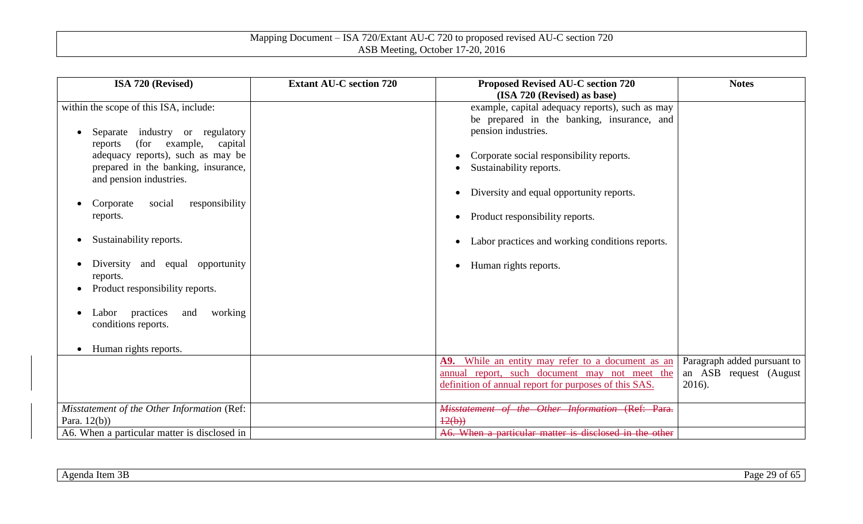| ISA 720 (Revised)                                                                                                                                                                                                                                                               | <b>Extant AU-C section 720</b> | <b>Proposed Revised AU-C section 720</b><br>(ISA 720 (Revised) as base)                                                                                                                                                                                                    | <b>Notes</b>                                                    |
|---------------------------------------------------------------------------------------------------------------------------------------------------------------------------------------------------------------------------------------------------------------------------------|--------------------------------|----------------------------------------------------------------------------------------------------------------------------------------------------------------------------------------------------------------------------------------------------------------------------|-----------------------------------------------------------------|
| within the scope of this ISA, include:<br>Separate industry or regulatory<br>(for<br>example,<br>reports<br>capital<br>adequacy reports), such as may be<br>prepared in the banking, insurance,<br>and pension industries.<br>responsibility<br>Corporate<br>social<br>reports. |                                | example, capital adequacy reports), such as may<br>be prepared in the banking, insurance, and<br>pension industries.<br>Corporate social responsibility reports.<br>Sustainability reports.<br>Diversity and equal opportunity reports.<br>Product responsibility reports. |                                                                 |
| Sustainability reports.<br>Diversity and equal opportunity<br>reports.<br>Product responsibility reports.<br>Labor practices<br>working<br>and<br>conditions reports.                                                                                                           |                                | Labor practices and working conditions reports.<br>Human rights reports.                                                                                                                                                                                                   |                                                                 |
| Human rights reports.                                                                                                                                                                                                                                                           |                                | A9. While an entity may refer to a document as an<br>annual report, such document may not meet the<br>definition of annual report for purposes of this SAS.                                                                                                                | Paragraph added pursuant to<br>an ASB request (August<br>2016). |
| Misstatement of the Other Information (Ref:<br>Para. $12(b)$ )                                                                                                                                                                                                                  |                                | Misstatement of the Other Information (Ref: Para.<br>42(b)                                                                                                                                                                                                                 |                                                                 |
| A6. When a particular matter is disclosed in                                                                                                                                                                                                                                    |                                | A6. When a particular matter is disclosed in the other                                                                                                                                                                                                                     |                                                                 |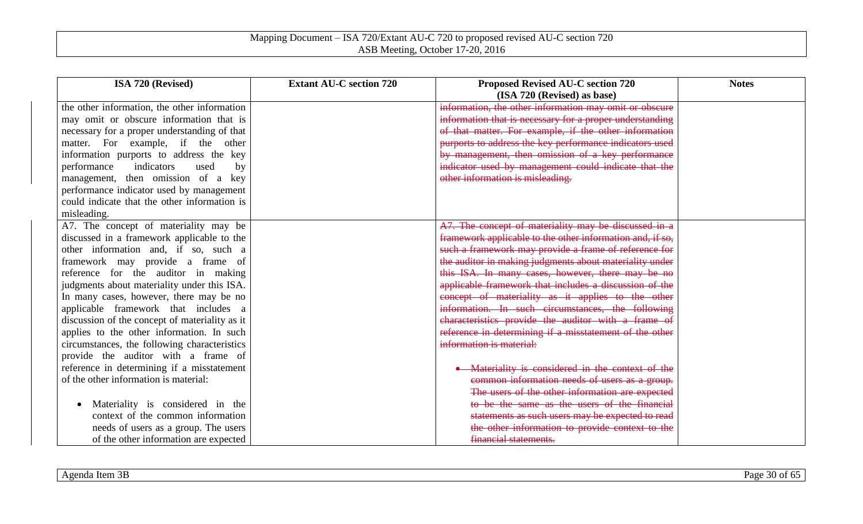| ISA 720 (Revised)                              | <b>Extant AU-C section 720</b> | <b>Proposed Revised AU-C section 720</b><br>(ISA 720 (Revised) as base) | <b>Notes</b> |
|------------------------------------------------|--------------------------------|-------------------------------------------------------------------------|--------------|
| the other information, the other information   |                                | information, the other information may omit or obscure                  |              |
| may omit or obscure information that is        |                                | information that is necessary for a proper understanding                |              |
| necessary for a proper understanding of that   |                                | of that matter. For example, if the other information                   |              |
| matter. For example, if the other              |                                | purports to address the key performance indicators used                 |              |
| information purports to address the key        |                                | by management, then omission of a key performance                       |              |
| indicators<br>performance<br>used<br>by        |                                | indicator used by management could indicate that the                    |              |
| management, then omission of a key             |                                | other information is misleading.                                        |              |
| performance indicator used by management       |                                |                                                                         |              |
| could indicate that the other information is   |                                |                                                                         |              |
| misleading.                                    |                                |                                                                         |              |
| A7. The concept of materiality may be          |                                | A7. The concept of materiality may be discussed in a                    |              |
| discussed in a framework applicable to the     |                                | framework applicable to the other information and, if so,               |              |
| other information and, if so, such a           |                                | such a framework may provide a frame of reference for                   |              |
| framework may provide a frame of               |                                | the auditor in making judgments about materiality under                 |              |
| reference for the auditor in making            |                                | this ISA. In many cases, however, there may be no                       |              |
| judgments about materiality under this ISA.    |                                | applicable framework that includes a discussion of the                  |              |
| In many cases, however, there may be no        |                                | concept of materiality as it applies to the other                       |              |
| applicable framework that includes a           |                                | information. In such circumstances, the following                       |              |
| discussion of the concept of materiality as it |                                | characteristics provide the auditor with a frame of                     |              |
| applies to the other information. In such      |                                | reference in determining if a misstatement of the other                 |              |
| circumstances, the following characteristics   |                                | information is material:                                                |              |
| provide the auditor with a frame of            |                                |                                                                         |              |
| reference in determining if a misstatement     |                                | Materiality is considered in the context of the                         |              |
| of the other information is material:          |                                | common information needs of users as a group.                           |              |
|                                                |                                | The users of the other information are expected                         |              |
| Materiality is considered in the<br>$\bullet$  |                                | to be the same as the users of the financial                            |              |
| context of the common information              |                                | statements as such users may be expected to read                        |              |
| needs of users as a group. The users           |                                | the other information to provide context to the                         |              |
| of the other information are expected          |                                | financial statements.                                                   |              |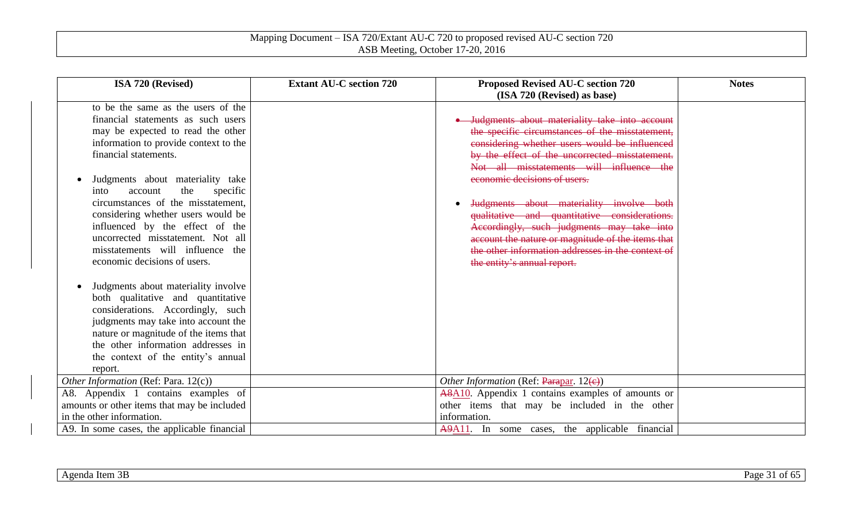| ISA 720 (Revised)                                                                                                                                                                                                                                                                                                                                                                                                                                                                 | <b>Extant AU-C section 720</b> | <b>Proposed Revised AU-C section 720</b><br>(ISA 720 (Revised) as base)                                                                                                                                                                                                                                                                                                                                                                                                                                                                                           | <b>Notes</b> |
|-----------------------------------------------------------------------------------------------------------------------------------------------------------------------------------------------------------------------------------------------------------------------------------------------------------------------------------------------------------------------------------------------------------------------------------------------------------------------------------|--------------------------------|-------------------------------------------------------------------------------------------------------------------------------------------------------------------------------------------------------------------------------------------------------------------------------------------------------------------------------------------------------------------------------------------------------------------------------------------------------------------------------------------------------------------------------------------------------------------|--------------|
| to be the same as the users of the<br>financial statements as such users<br>may be expected to read the other<br>information to provide context to the<br>financial statements.<br>Judgments about materiality take<br>the<br>specific<br>account<br>into<br>circumstances of the misstatement,<br>considering whether users would be<br>influenced by the effect of the<br>uncorrected misstatement. Not all<br>misstatements will influence the<br>economic decisions of users. |                                | Judgments about materiality take into account<br>the specific circumstances of the misstatement,<br>considering whether users would be influenced<br>by the effect of the uncorrected misstatement.<br>Not all misstatements will influence the<br>economic decisions of users.<br>Judgments about materiality involve both<br>qualitative and quantitative considerations.<br>Accordingly, such judgments may take into<br>account the nature or magnitude of the items that<br>the other information addresses in the context of<br>the entity's annual report. |              |
| Judgments about materiality involve<br>both qualitative and quantitative<br>considerations. Accordingly, such<br>judgments may take into account the<br>nature or magnitude of the items that<br>the other information addresses in<br>the context of the entity's annual<br>report.<br>Other Information (Ref: Para. 12(c))<br>A8. Appendix 1 contains examples of                                                                                                               |                                | Other Information (Ref: Parapar. $12(e)$ )<br>A8A10. Appendix 1 contains examples of amounts or                                                                                                                                                                                                                                                                                                                                                                                                                                                                   |              |
| amounts or other items that may be included<br>in the other information.                                                                                                                                                                                                                                                                                                                                                                                                          |                                | other items that may be included in the other<br>information.                                                                                                                                                                                                                                                                                                                                                                                                                                                                                                     |              |
| A9. In some cases, the applicable financial                                                                                                                                                                                                                                                                                                                                                                                                                                       |                                | A9A11. In some cases, the applicable financial                                                                                                                                                                                                                                                                                                                                                                                                                                                                                                                    |              |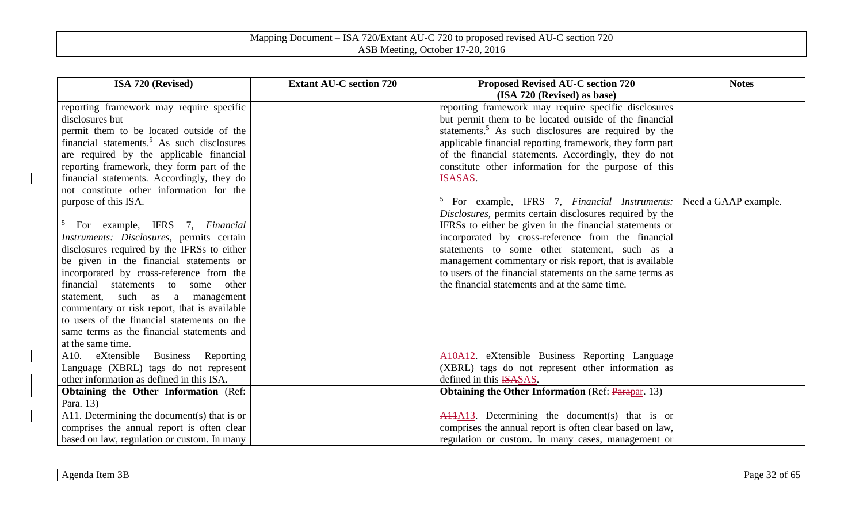| ISA 720 (Revised)                                      | <b>Extant AU-C section 720</b> | <b>Proposed Revised AU-C section 720</b><br>(ISA 720 (Revised) as base) | <b>Notes</b>         |
|--------------------------------------------------------|--------------------------------|-------------------------------------------------------------------------|----------------------|
| reporting framework may require specific               |                                | reporting framework may require specific disclosures                    |                      |
| disclosures but                                        |                                | but permit them to be located outside of the financial                  |                      |
| permit them to be located outside of the               |                                | statements. <sup>5</sup> As such disclosures are required by the        |                      |
| financial statements. <sup>5</sup> As such disclosures |                                | applicable financial reporting framework, they form part                |                      |
| are required by the applicable financial               |                                | of the financial statements. Accordingly, they do not                   |                      |
| reporting framework, they form part of the             |                                | constitute other information for the purpose of this                    |                      |
| financial statements. Accordingly, they do             |                                | ISASAS.                                                                 |                      |
| not constitute other information for the               |                                |                                                                         |                      |
| purpose of this ISA.                                   |                                | For example, IFRS 7, Financial Instruments:                             | Need a GAAP example. |
|                                                        |                                | Disclosures, permits certain disclosures required by the                |                      |
| For example, IFRS 7, Financial                         |                                | IFRSs to either be given in the financial statements or                 |                      |
| Instruments: Disclosures, permits certain              |                                | incorporated by cross-reference from the financial                      |                      |
| disclosures required by the IFRSs to either            |                                | statements to some other statement, such as a                           |                      |
| be given in the financial statements or                |                                | management commentary or risk report, that is available                 |                      |
| incorporated by cross-reference from the               |                                | to users of the financial statements on the same terms as               |                      |
| financial statements<br>other<br>to<br>some            |                                | the financial statements and at the same time.                          |                      |
| such as a management<br>statement,                     |                                |                                                                         |                      |
| commentary or risk report, that is available           |                                |                                                                         |                      |
| to users of the financial statements on the            |                                |                                                                         |                      |
| same terms as the financial statements and             |                                |                                                                         |                      |
| at the same time.                                      |                                |                                                                         |                      |
| A10. eXtensible<br><b>Business</b><br>Reporting        |                                | A10A12. eXtensible Business Reporting Language                          |                      |
| Language (XBRL) tags do not represent                  |                                | (XBRL) tags do not represent other information as                       |                      |
| other information as defined in this ISA.              |                                | defined in this ISASAS.                                                 |                      |
| <b>Obtaining the Other Information (Ref:</b>           |                                | <b>Obtaining the Other Information</b> (Ref: Parapar. 13)               |                      |
| Para. 13)                                              |                                |                                                                         |                      |
| A11. Determining the document(s) that is or            |                                | A11A13. Determining the document(s) that is or                          |                      |
| comprises the annual report is often clear             |                                | comprises the annual report is often clear based on law,                |                      |
| based on law, regulation or custom. In many            |                                | regulation or custom. In many cases, management or                      |                      |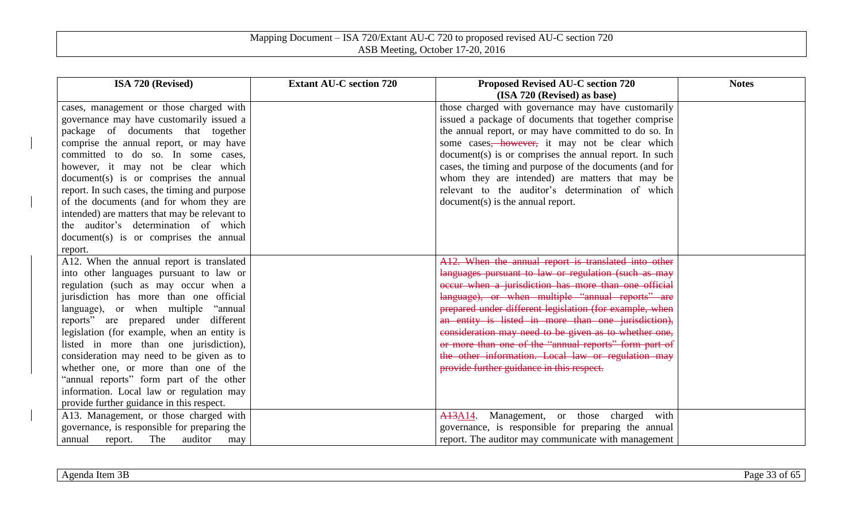| ISA 720 (Revised)                             | <b>Extant AU-C section 720</b> | <b>Proposed Revised AU-C section 720</b><br>(ISA 720 (Revised) as base)   | <b>Notes</b> |
|-----------------------------------------------|--------------------------------|---------------------------------------------------------------------------|--------------|
| cases, management or those charged with       |                                | those charged with governance may have customarily                        |              |
| governance may have customarily issued a      |                                | issued a package of documents that together comprise                      |              |
| package of documents that together            |                                | the annual report, or may have committed to do so. In                     |              |
| comprise the annual report, or may have       |                                | some cases, however, it may not be clear which                            |              |
| committed to do so. In some cases,            |                                | document(s) is or comprises the annual report. In such                    |              |
| however, it may not be clear which            |                                | cases, the timing and purpose of the documents (and for                   |              |
| document(s) is or comprises the annual        |                                | whom they are intended) are matters that may be                           |              |
| report. In such cases, the timing and purpose |                                | relevant to the auditor's determination of which                          |              |
| of the documents (and for whom they are       |                                | $document(s)$ is the annual report.                                       |              |
| intended) are matters that may be relevant to |                                |                                                                           |              |
| the auditor's determination of which          |                                |                                                                           |              |
| document(s) is or comprises the annual        |                                |                                                                           |              |
| report.                                       |                                |                                                                           |              |
| A12. When the annual report is translated     |                                | A12. When the annual report is translated into other                      |              |
| into other languages pursuant to law or       |                                | languages pursuant to law or regulation (such as may                      |              |
| regulation (such as may occur when a          |                                | occur when a jurisdiction has more than one official                      |              |
| jurisdiction has more than one official       |                                | language), or when multiple "annual reports" are                          |              |
| language), or when multiple "annual"          |                                | prepared under different legislation (for example, when                   |              |
| reports" are prepared under different         |                                | an entity is listed in more than one jurisdiction),                       |              |
| legislation (for example, when an entity is   |                                | consideration may need to be given as to whether one,                     |              |
| listed in more than one jurisdiction),        |                                | or more than one of the "annual reports" form part of                     |              |
| consideration may need to be given as to      |                                | the other information. Local law or regulation may                        |              |
| whether one, or more than one of the          |                                | provide further guidance in this respect.                                 |              |
| "annual reports" form part of the other       |                                |                                                                           |              |
| information. Local law or regulation may      |                                |                                                                           |              |
| provide further guidance in this respect.     |                                |                                                                           |              |
| A13. Management, or those charged with        |                                | A <sub>13</sub> A <sub>14</sub> .<br>Management, or those charged<br>with |              |
| governance, is responsible for preparing the  |                                | governance, is responsible for preparing the annual                       |              |
| report. The auditor<br>annual<br>may          |                                | report. The auditor may communicate with management                       |              |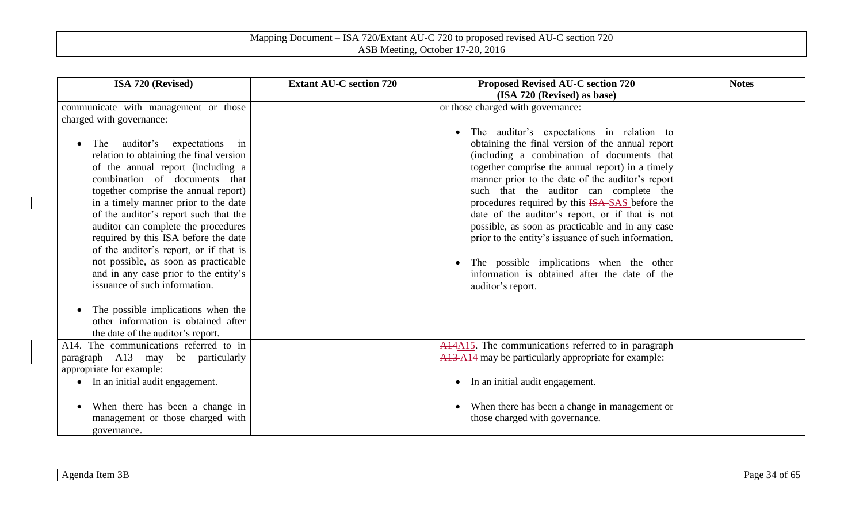| ISA 720 (Revised)                                                                                                                                                                                                                                                                                                                                                                                                                                                                                                           | <b>Extant AU-C section 720</b> | <b>Proposed Revised AU-C section 720</b><br>(ISA 720 (Revised) as base)                                                                                                                                                                                                                                                                                                                                                                                                                                                                                                                                                                | <b>Notes</b> |
|-----------------------------------------------------------------------------------------------------------------------------------------------------------------------------------------------------------------------------------------------------------------------------------------------------------------------------------------------------------------------------------------------------------------------------------------------------------------------------------------------------------------------------|--------------------------------|----------------------------------------------------------------------------------------------------------------------------------------------------------------------------------------------------------------------------------------------------------------------------------------------------------------------------------------------------------------------------------------------------------------------------------------------------------------------------------------------------------------------------------------------------------------------------------------------------------------------------------------|--------------|
| communicate with management or those                                                                                                                                                                                                                                                                                                                                                                                                                                                                                        |                                | or those charged with governance:                                                                                                                                                                                                                                                                                                                                                                                                                                                                                                                                                                                                      |              |
| charged with governance:                                                                                                                                                                                                                                                                                                                                                                                                                                                                                                    |                                |                                                                                                                                                                                                                                                                                                                                                                                                                                                                                                                                                                                                                                        |              |
| auditor's<br>expectations<br>The<br>1n<br>relation to obtaining the final version<br>of the annual report (including a<br>combination of documents that<br>together comprise the annual report)<br>in a timely manner prior to the date<br>of the auditor's report such that the<br>auditor can complete the procedures<br>required by this ISA before the date<br>of the auditor's report, or if that is<br>not possible, as soon as practicable<br>and in any case prior to the entity's<br>issuance of such information. |                                | The auditor's expectations in relation to<br>obtaining the final version of the annual report<br>(including a combination of documents that<br>together comprise the annual report) in a timely<br>manner prior to the date of the auditor's report<br>such that the auditor can complete the<br>procedures required by this <b>ISA-SAS</b> before the<br>date of the auditor's report, or if that is not<br>possible, as soon as practicable and in any case<br>prior to the entity's issuance of such information.<br>The possible implications when the other<br>information is obtained after the date of the<br>auditor's report. |              |
| The possible implications when the<br>other information is obtained after<br>the date of the auditor's report.                                                                                                                                                                                                                                                                                                                                                                                                              |                                |                                                                                                                                                                                                                                                                                                                                                                                                                                                                                                                                                                                                                                        |              |
| A14. The communications referred to in                                                                                                                                                                                                                                                                                                                                                                                                                                                                                      |                                | A14A15. The communications referred to in paragraph                                                                                                                                                                                                                                                                                                                                                                                                                                                                                                                                                                                    |              |
| paragraph A13 may<br>be particularly                                                                                                                                                                                                                                                                                                                                                                                                                                                                                        |                                | A13-A14 may be particularly appropriate for example:                                                                                                                                                                                                                                                                                                                                                                                                                                                                                                                                                                                   |              |
| appropriate for example:                                                                                                                                                                                                                                                                                                                                                                                                                                                                                                    |                                |                                                                                                                                                                                                                                                                                                                                                                                                                                                                                                                                                                                                                                        |              |
| In an initial audit engagement.<br>$\bullet$                                                                                                                                                                                                                                                                                                                                                                                                                                                                                |                                | In an initial audit engagement.                                                                                                                                                                                                                                                                                                                                                                                                                                                                                                                                                                                                        |              |
| When there has been a change in<br>management or those charged with<br>governance.                                                                                                                                                                                                                                                                                                                                                                                                                                          |                                | When there has been a change in management or<br>those charged with governance.                                                                                                                                                                                                                                                                                                                                                                                                                                                                                                                                                        |              |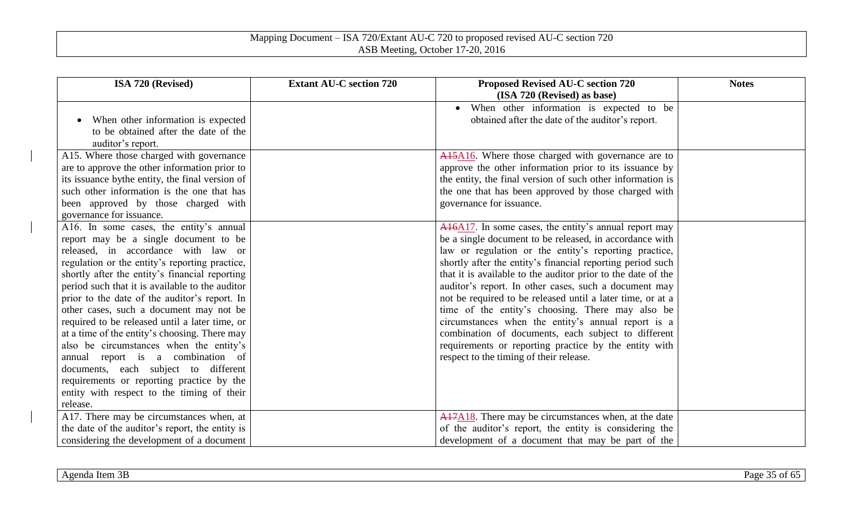| ISA 720 (Revised)                                                                                                                                                                                                                                                                                                                                                                                                                                                                                                                                                                                                                                                                                            | <b>Extant AU-C section 720</b> | <b>Proposed Revised AU-C section 720</b><br>(ISA 720 (Revised) as base)                                                                                                                                                                                                                                                                                                                                                                                                                                                                                                                                                                                                                             | <b>Notes</b> |
|--------------------------------------------------------------------------------------------------------------------------------------------------------------------------------------------------------------------------------------------------------------------------------------------------------------------------------------------------------------------------------------------------------------------------------------------------------------------------------------------------------------------------------------------------------------------------------------------------------------------------------------------------------------------------------------------------------------|--------------------------------|-----------------------------------------------------------------------------------------------------------------------------------------------------------------------------------------------------------------------------------------------------------------------------------------------------------------------------------------------------------------------------------------------------------------------------------------------------------------------------------------------------------------------------------------------------------------------------------------------------------------------------------------------------------------------------------------------------|--------------|
| When other information is expected<br>to be obtained after the date of the<br>auditor's report.                                                                                                                                                                                                                                                                                                                                                                                                                                                                                                                                                                                                              |                                | • When other information is expected to be<br>obtained after the date of the auditor's report.                                                                                                                                                                                                                                                                                                                                                                                                                                                                                                                                                                                                      |              |
| A15. Where those charged with governance<br>are to approve the other information prior to<br>its issuance by the entity, the final version of<br>such other information is the one that has<br>been approved by those charged with<br>governance for issuance.                                                                                                                                                                                                                                                                                                                                                                                                                                               |                                | A <sub>15</sub> A <sub>16</sub> . Where those charged with governance are to<br>approve the other information prior to its issuance by<br>the entity, the final version of such other information is<br>the one that has been approved by those charged with<br>governance for issuance.                                                                                                                                                                                                                                                                                                                                                                                                            |              |
| A16. In some cases, the entity's annual<br>report may be a single document to be<br>released, in accordance with law or<br>regulation or the entity's reporting practice,<br>shortly after the entity's financial reporting<br>period such that it is available to the auditor<br>prior to the date of the auditor's report. In<br>other cases, such a document may not be<br>required to be released until a later time, or<br>at a time of the entity's choosing. There may<br>also be circumstances when the entity's<br>annual report is a combination of<br>documents, each subject to different<br>requirements or reporting practice by the<br>entity with respect to the timing of their<br>release. |                                | A16A17. In some cases, the entity's annual report may<br>be a single document to be released, in accordance with<br>law or regulation or the entity's reporting practice,<br>shortly after the entity's financial reporting period such<br>that it is available to the auditor prior to the date of the<br>auditor's report. In other cases, such a document may<br>not be required to be released until a later time, or at a<br>time of the entity's choosing. There may also be<br>circumstances when the entity's annual report is a<br>combination of documents, each subject to different<br>requirements or reporting practice by the entity with<br>respect to the timing of their release. |              |
| A17. There may be circumstances when, at<br>the date of the auditor's report, the entity is<br>considering the development of a document                                                                                                                                                                                                                                                                                                                                                                                                                                                                                                                                                                     |                                | A17A18. There may be circumstances when, at the date<br>of the auditor's report, the entity is considering the<br>development of a document that may be part of the                                                                                                                                                                                                                                                                                                                                                                                                                                                                                                                                 |              |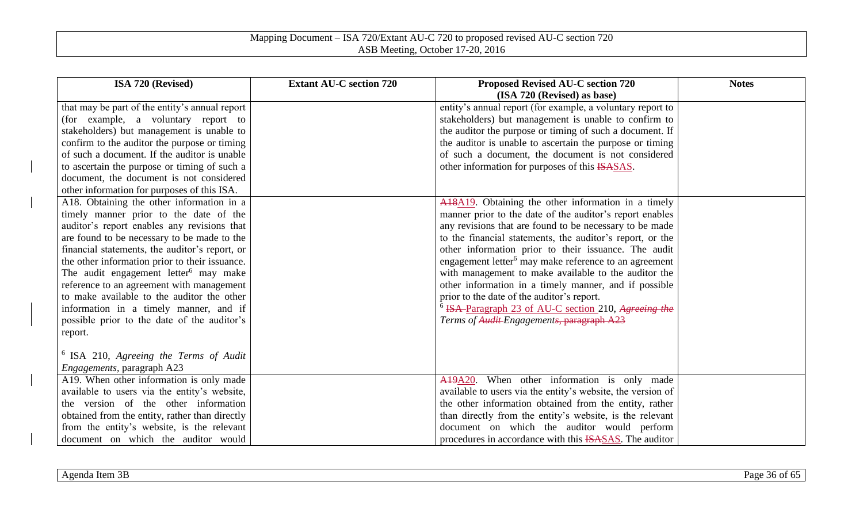| ISA 720 (Revised)                                 | <b>Extant AU-C section 720</b> | <b>Proposed Revised AU-C section 720</b><br>(ISA 720 (Revised) as base) | <b>Notes</b> |
|---------------------------------------------------|--------------------------------|-------------------------------------------------------------------------|--------------|
| that may be part of the entity's annual report    |                                | entity's annual report (for example, a voluntary report to              |              |
| (for example, a voluntary report to               |                                | stakeholders) but management is unable to confirm to                    |              |
| stakeholders) but management is unable to         |                                | the auditor the purpose or timing of such a document. If                |              |
| confirm to the auditor the purpose or timing      |                                | the auditor is unable to ascertain the purpose or timing                |              |
| of such a document. If the auditor is unable      |                                | of such a document, the document is not considered                      |              |
| to ascertain the purpose or timing of such a      |                                | other information for purposes of this <b>ISASAS</b> .                  |              |
| document, the document is not considered          |                                |                                                                         |              |
| other information for purposes of this ISA.       |                                |                                                                         |              |
| A18. Obtaining the other information in a         |                                | A18A19. Obtaining the other information in a timely                     |              |
| timely manner prior to the date of the            |                                | manner prior to the date of the auditor's report enables                |              |
| auditor's report enables any revisions that       |                                | any revisions that are found to be necessary to be made                 |              |
| are found to be necessary to be made to the       |                                | to the financial statements, the auditor's report, or the               |              |
| financial statements, the auditor's report, or    |                                | other information prior to their issuance. The audit                    |              |
| the other information prior to their issuance.    |                                | engagement letter $6$ may make reference to an agreement                |              |
| The audit engagement letter <sup>6</sup> may make |                                | with management to make available to the auditor the                    |              |
| reference to an agreement with management         |                                | other information in a timely manner, and if possible                   |              |
| to make available to the auditor the other        |                                | prior to the date of the auditor's report.                              |              |
| information in a timely manner, and if            |                                | <sup>6</sup> ISA-Paragraph 23 of AU-C section 210, Agreeing the         |              |
| possible prior to the date of the auditor's       |                                | Terms of Audit-Engagements, paragraph A23                               |              |
| report.                                           |                                |                                                                         |              |
|                                                   |                                |                                                                         |              |
| $6$ ISA 210, Agreeing the Terms of Audit          |                                |                                                                         |              |
| Engagements, paragraph A23                        |                                |                                                                         |              |
| A19. When other information is only made          |                                | A19A20. When other information is only made                             |              |
| available to users via the entity's website,      |                                | available to users via the entity's website, the version of             |              |
| the version of the other information              |                                | the other information obtained from the entity, rather                  |              |
| obtained from the entity, rather than directly    |                                | than directly from the entity's website, is the relevant                |              |
| from the entity's website, is the relevant        |                                | document on which the auditor would perform                             |              |
| document on which the auditor would               |                                | procedures in accordance with this <b>ISASAS</b> . The auditor          |              |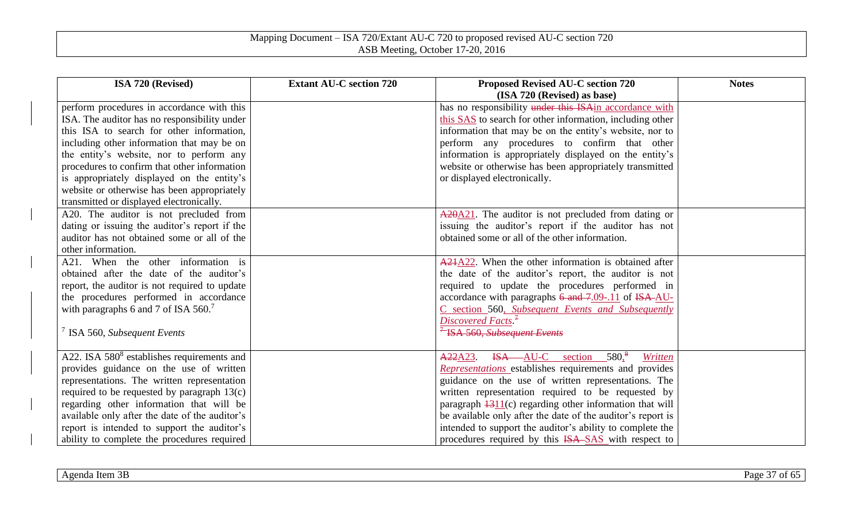| ISA 720 (Revised)                                      | <b>Extant AU-C section 720</b> | <b>Proposed Revised AU-C section 720</b><br>(ISA 720 (Revised) as base)    | <b>Notes</b> |
|--------------------------------------------------------|--------------------------------|----------------------------------------------------------------------------|--------------|
| perform procedures in accordance with this             |                                | has no responsibility under this ISAin accordance with                     |              |
| ISA. The auditor has no responsibility under           |                                | this SAS to search for other information, including other                  |              |
| this ISA to search for other information,              |                                | information that may be on the entity's website, nor to                    |              |
| including other information that may be on             |                                | perform any procedures to confirm that other                               |              |
| the entity's website, nor to perform any               |                                | information is appropriately displayed on the entity's                     |              |
| procedures to confirm that other information           |                                | website or otherwise has been appropriately transmitted                    |              |
| is appropriately displayed on the entity's             |                                | or displayed electronically.                                               |              |
| website or otherwise has been appropriately            |                                |                                                                            |              |
| transmitted or displayed electronically.               |                                |                                                                            |              |
| A20. The auditor is not precluded from                 |                                | $A20A21$ . The auditor is not precluded from dating or                     |              |
| dating or issuing the auditor's report if the          |                                | issuing the auditor's report if the auditor has not                        |              |
| auditor has not obtained some or all of the            |                                | obtained some or all of the other information.                             |              |
| other information.                                     |                                |                                                                            |              |
| A21. When the other information is                     |                                | A21A22. When the other information is obtained after                       |              |
| obtained after the date of the auditor's               |                                | the date of the auditor's report, the auditor is not                       |              |
| report, the auditor is not required to update          |                                | required to update the procedures performed in                             |              |
| the procedures performed in accordance                 |                                | accordance with paragraphs 6 and 7.09-.11 of ISA-AU-                       |              |
| with paragraphs 6 and 7 of ISA $560$ . <sup>7</sup>    |                                | C section 560, Subsequent Events and Subsequently                          |              |
|                                                        |                                | Discovered Facts. <sup>7</sup>                                             |              |
| ISA 560, Subsequent Events                             |                                | <sup>7</sup> ISA 560, Subsequent Events                                    |              |
|                                                        |                                |                                                                            |              |
| A22. ISA 580 <sup>8</sup> establishes requirements and |                                | ISA AU-C<br>section $5808$<br>A <sub>22</sub> A <sub>23</sub> .<br>Written |              |
| provides guidance on the use of written                |                                | Representations establishes requirements and provides                      |              |
| representations. The written representation            |                                | guidance on the use of written representations. The                        |              |
| required to be requested by paragraph $13(c)$          |                                | written representation required to be requested by                         |              |
| regarding other information that will be               |                                | paragraph $\frac{1311}{c}$ regarding other information that will           |              |
| available only after the date of the auditor's         |                                | be available only after the date of the auditor's report is                |              |
| report is intended to support the auditor's            |                                | intended to support the auditor's ability to complete the                  |              |
| ability to complete the procedures required            |                                | procedures required by this <b>ISA-SAS</b> with respect to                 |              |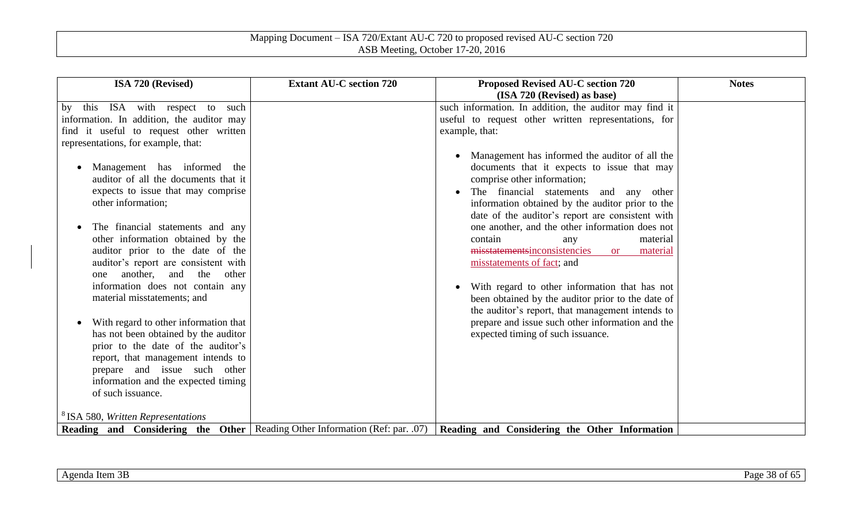| ISA 720 (Revised)                             | <b>Extant AU-C section 720</b> | <b>Proposed Revised AU-C section 720</b>                                                                                         | <b>Notes</b> |
|-----------------------------------------------|--------------------------------|----------------------------------------------------------------------------------------------------------------------------------|--------------|
|                                               |                                | (ISA 720 (Revised) as base)                                                                                                      |              |
| ISA with respect to<br>this<br>such<br>by     |                                | such information. In addition, the auditor may find it                                                                           |              |
| information. In addition, the auditor may     |                                | useful to request other written representations, for                                                                             |              |
| find it useful to request other written       |                                | example, that:                                                                                                                   |              |
| representations, for example, that:           |                                |                                                                                                                                  |              |
|                                               |                                | Management has informed the auditor of all the                                                                                   |              |
| Management has informed the                   |                                | documents that it expects to issue that may                                                                                      |              |
| auditor of all the documents that it          |                                | comprise other information;                                                                                                      |              |
| expects to issue that may comprise            |                                | The financial statements and<br>any other                                                                                        |              |
| other information;                            |                                | information obtained by the auditor prior to the                                                                                 |              |
|                                               |                                | date of the auditor's report are consistent with                                                                                 |              |
| The financial statements and any              |                                | one another, and the other information does not                                                                                  |              |
| other information obtained by the             |                                | contain<br>material<br>any                                                                                                       |              |
| auditor prior to the date of the              |                                | misstatementsinconsistencies<br><b>or</b><br>material                                                                            |              |
| auditor's report are consistent with          |                                | misstatements of fact; and                                                                                                       |              |
| another,<br>the<br>and<br>other<br>one        |                                |                                                                                                                                  |              |
| information does not contain any              |                                |                                                                                                                                  |              |
|                                               |                                | With regard to other information that has not                                                                                    |              |
| material misstatements; and                   |                                | been obtained by the auditor prior to the date of                                                                                |              |
|                                               |                                | the auditor's report, that management intends to                                                                                 |              |
| With regard to other information that         |                                | prepare and issue such other information and the                                                                                 |              |
| has not been obtained by the auditor          |                                | expected timing of such issuance.                                                                                                |              |
| prior to the date of the auditor's            |                                |                                                                                                                                  |              |
| report, that management intends to            |                                |                                                                                                                                  |              |
| prepare and issue such other                  |                                |                                                                                                                                  |              |
| information and the expected timing           |                                |                                                                                                                                  |              |
| of such issuance.                             |                                |                                                                                                                                  |              |
|                                               |                                |                                                                                                                                  |              |
| <sup>8</sup> ISA 580, Written Representations |                                |                                                                                                                                  |              |
|                                               |                                | <b>Reading and Considering the Other Reading Other Information (Ref: par. .07) Reading and Considering the Other Information</b> |              |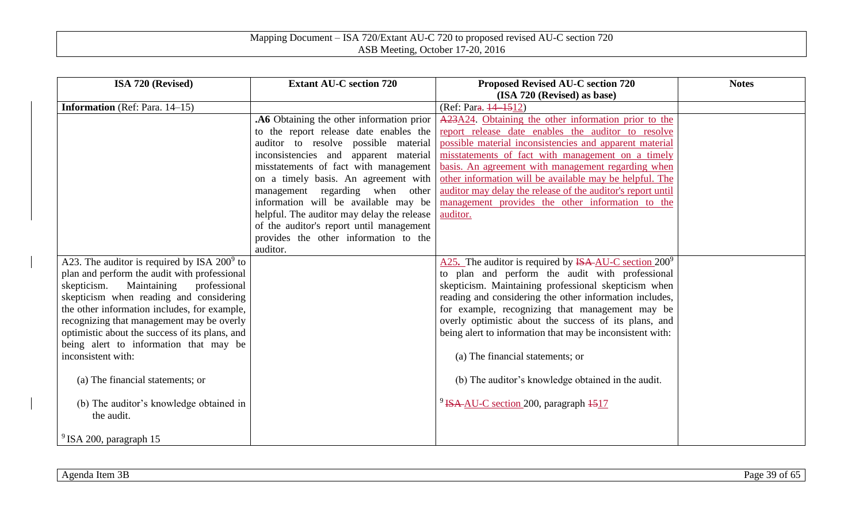| ISA 720 (Revised)                              | <b>Extant AU-C section 720</b>             | <b>Proposed Revised AU-C section 720</b>                                                       | <b>Notes</b> |
|------------------------------------------------|--------------------------------------------|------------------------------------------------------------------------------------------------|--------------|
|                                                |                                            | (ISA 720 (Revised) as base)                                                                    |              |
| <b>Information</b> (Ref: Para. 14–15)          |                                            | (Ref: Para. 14 1512)                                                                           |              |
|                                                | A6 Obtaining the other information prior   | A23A24. Obtaining the other information prior to the                                           |              |
|                                                | to the report release date enables the     | report release date enables the auditor to resolve                                             |              |
|                                                | auditor to resolve possible material       | possible material inconsistencies and apparent material                                        |              |
|                                                | inconsistencies and apparent material      | misstatements of fact with management on a timely                                              |              |
|                                                | misstatements of fact with management      | basis. An agreement with management regarding when                                             |              |
|                                                | on a timely basis. An agreement with       | other information will be available may be helpful. The                                        |              |
|                                                | management regarding when other            | auditor may delay the release of the auditor's report until                                    |              |
|                                                | information will be available may be       | management provides the other information to the                                               |              |
|                                                | helpful. The auditor may delay the release | auditor.                                                                                       |              |
|                                                | of the auditor's report until management   |                                                                                                |              |
|                                                | provides the other information to the      |                                                                                                |              |
|                                                | auditor.                                   |                                                                                                |              |
| A23. The auditor is required by ISA $200^9$ to |                                            | $\frac{\text{A25}}{\text{A25}}$ . The auditor is required by ISA-AU-C section 200 <sup>9</sup> |              |
| plan and perform the audit with professional   |                                            | to plan and perform the audit with professional                                                |              |
| Maintaining<br>skepticism.<br>professional     |                                            | skepticism. Maintaining professional skepticism when                                           |              |
| skepticism when reading and considering        |                                            | reading and considering the other information includes,                                        |              |
| the other information includes, for example,   |                                            | for example, recognizing that management may be                                                |              |
| recognizing that management may be overly      |                                            | overly optimistic about the success of its plans, and                                          |              |
| optimistic about the success of its plans, and |                                            | being alert to information that may be inconsistent with:                                      |              |
| being alert to information that may be         |                                            |                                                                                                |              |
| inconsistent with:                             |                                            | (a) The financial statements; or                                                               |              |
|                                                |                                            |                                                                                                |              |
| (a) The financial statements; or               |                                            | (b) The auditor's knowledge obtained in the audit.                                             |              |
|                                                |                                            |                                                                                                |              |
| (b) The auditor's knowledge obtained in        |                                            | <sup>9</sup> ISA-AU-C section 200, paragraph 4517                                              |              |
| the audit.                                     |                                            |                                                                                                |              |
|                                                |                                            |                                                                                                |              |
| $9$ ISA 200, paragraph 15                      |                                            |                                                                                                |              |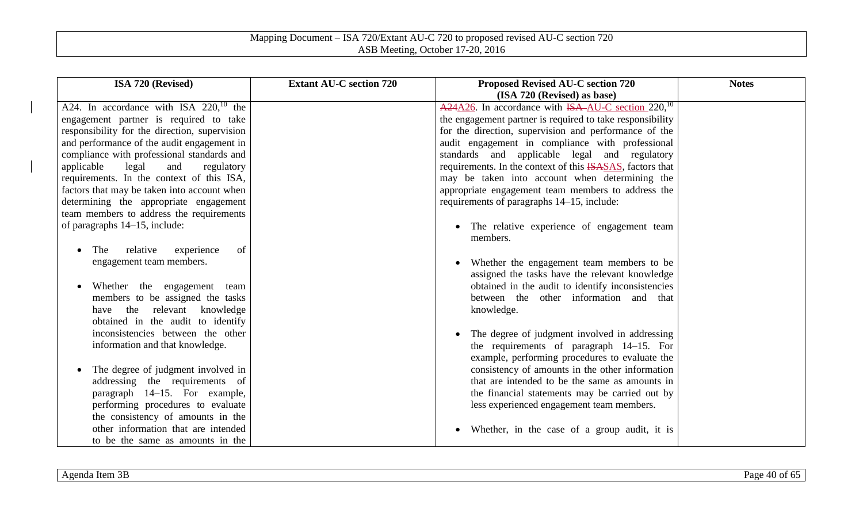| ISA 720 (Revised)                                     | <b>Extant AU-C section 720</b> | <b>Proposed Revised AU-C section 720</b>                          | <b>Notes</b> |
|-------------------------------------------------------|--------------------------------|-------------------------------------------------------------------|--------------|
|                                                       |                                | (ISA 720 (Revised) as base)                                       |              |
| A24. In accordance with ISA $220$ , <sup>10</sup> the |                                | $A24A26$ . In accordance with ISA-AU-C section 220, <sup>10</sup> |              |
| engagement partner is required to take                |                                | the engagement partner is required to take responsibility         |              |
| responsibility for the direction, supervision         |                                | for the direction, supervision and performance of the             |              |
| and performance of the audit engagement in            |                                | audit engagement in compliance with professional                  |              |
| compliance with professional standards and            |                                | standards and applicable legal and regulatory                     |              |
| applicable<br>legal<br>and<br>regulatory              |                                | requirements. In the context of this <b>ISASAS</b> , factors that |              |
| requirements. In the context of this ISA,             |                                | may be taken into account when determining the                    |              |
| factors that may be taken into account when           |                                | appropriate engagement team members to address the                |              |
| determining the appropriate engagement                |                                | requirements of paragraphs 14–15, include:                        |              |
| team members to address the requirements              |                                |                                                                   |              |
| of paragraphs 14–15, include:                         |                                | The relative experience of engagement team<br>$\bullet$           |              |
|                                                       |                                | members.                                                          |              |
| of<br>relative<br>experience<br>The<br>$\bullet$      |                                |                                                                   |              |
| engagement team members.                              |                                | Whether the engagement team members to be                         |              |
|                                                       |                                | assigned the tasks have the relevant knowledge                    |              |
| Whether<br>the engagement<br>team<br>$\bullet$        |                                | obtained in the audit to identify inconsistencies                 |              |
| members to be assigned the tasks                      |                                | between the other information and that                            |              |
| the<br>relevant knowledge<br>have                     |                                | knowledge.                                                        |              |
| obtained in the audit to identify                     |                                |                                                                   |              |
| inconsistencies between the other                     |                                | The degree of judgment involved in addressing                     |              |
| information and that knowledge.                       |                                | the requirements of paragraph 14–15. For                          |              |
|                                                       |                                | example, performing procedures to evaluate the                    |              |
| The degree of judgment involved in<br>$\bullet$       |                                | consistency of amounts in the other information                   |              |
| addressing the requirements of                        |                                | that are intended to be the same as amounts in                    |              |
| paragraph 14-15. For example,                         |                                | the financial statements may be carried out by                    |              |
| performing procedures to evaluate                     |                                | less experienced engagement team members.                         |              |
| the consistency of amounts in the                     |                                |                                                                   |              |
| other information that are intended                   |                                | Whether, in the case of a group audit, it is                      |              |
| to be the same as amounts in the                      |                                |                                                                   |              |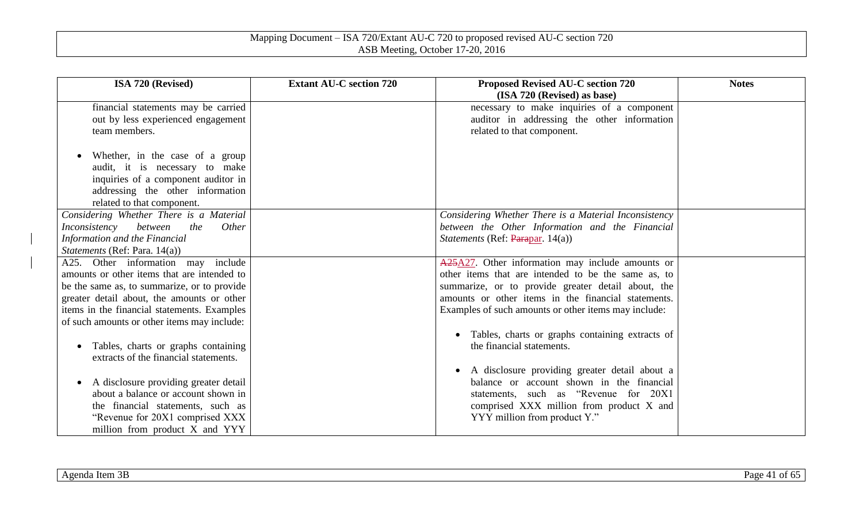| ISA 720 (Revised)                                  | <b>Extant AU-C section 720</b> | <b>Proposed Revised AU-C section 720</b><br>(ISA 720 (Revised) as base) | <b>Notes</b> |
|----------------------------------------------------|--------------------------------|-------------------------------------------------------------------------|--------------|
| financial statements may be carried                |                                | necessary to make inquiries of a component                              |              |
| out by less experienced engagement                 |                                | auditor in addressing the other information                             |              |
| team members.                                      |                                | related to that component.                                              |              |
|                                                    |                                |                                                                         |              |
| Whether, in the case of a group                    |                                |                                                                         |              |
| audit, it is necessary to make                     |                                |                                                                         |              |
| inquiries of a component auditor in                |                                |                                                                         |              |
| addressing the other information                   |                                |                                                                         |              |
| related to that component.                         |                                |                                                                         |              |
| Considering Whether There is a Material            |                                | Considering Whether There is a Material Inconsistency                   |              |
| between<br>Inconsistency<br>the<br>Other           |                                | between the Other Information and the Financial                         |              |
| Information and the Financial                      |                                | <i>Statements</i> (Ref: $\frac{Param}{Param}$ , 14(a))                  |              |
| <i>Statements</i> (Ref: Para. 14(a))               |                                |                                                                         |              |
| include<br>A25. Other information may              |                                | $A25A27$ . Other information may include amounts or                     |              |
| amounts or other items that are intended to        |                                | other items that are intended to be the same as, to                     |              |
| be the same as, to summarize, or to provide        |                                | summarize, or to provide greater detail about, the                      |              |
| greater detail about, the amounts or other         |                                | amounts or other items in the financial statements.                     |              |
| items in the financial statements. Examples        |                                | Examples of such amounts or other items may include:                    |              |
| of such amounts or other items may include:        |                                |                                                                         |              |
|                                                    |                                | Tables, charts or graphs containing extracts of                         |              |
| Tables, charts or graphs containing                |                                | the financial statements.                                               |              |
| extracts of the financial statements.              |                                |                                                                         |              |
|                                                    |                                | A disclosure providing greater detail about a                           |              |
| A disclosure providing greater detail<br>$\bullet$ |                                | balance or account shown in the financial                               |              |
| about a balance or account shown in                |                                | statements, such as "Revenue for 20X1                                   |              |
| the financial statements, such as                  |                                | comprised XXX million from product X and                                |              |
| "Revenue for 20X1 comprised XXX"                   |                                | YYY million from product Y."                                            |              |
| million from product X and YYY                     |                                |                                                                         |              |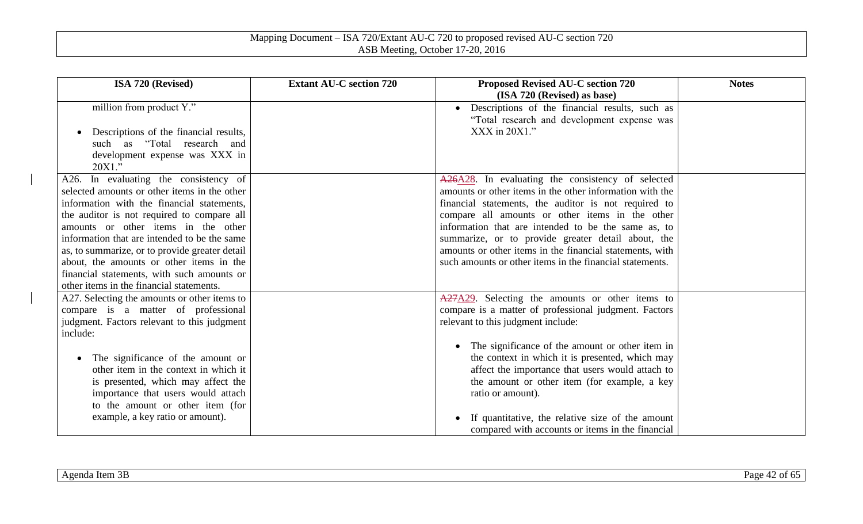| ISA 720 (Revised)                              | <b>Extant AU-C section 720</b> | <b>Proposed Revised AU-C section 720</b><br>(ISA 720 (Revised) as base)                       | <b>Notes</b> |
|------------------------------------------------|--------------------------------|-----------------------------------------------------------------------------------------------|--------------|
| million from product Y."                       |                                | Descriptions of the financial results, such as<br>"Total research and development expense was |              |
| Descriptions of the financial results,         |                                | $XXX$ in $20X1$ ."                                                                            |              |
| "Total research"<br>as<br>and<br>such          |                                |                                                                                               |              |
| development expense was XXX in                 |                                |                                                                                               |              |
| $20X1$ ."                                      |                                |                                                                                               |              |
| A26. In evaluating the consistency of          |                                | A26A28. In evaluating the consistency of selected                                             |              |
| selected amounts or other items in the other   |                                | amounts or other items in the other information with the                                      |              |
| information with the financial statements,     |                                | financial statements, the auditor is not required to                                          |              |
| the auditor is not required to compare all     |                                | compare all amounts or other items in the other                                               |              |
| amounts or other items in the other            |                                | information that are intended to be the same as, to                                           |              |
| information that are intended to be the same   |                                | summarize, or to provide greater detail about, the                                            |              |
| as, to summarize, or to provide greater detail |                                | amounts or other items in the financial statements, with                                      |              |
| about, the amounts or other items in the       |                                | such amounts or other items in the financial statements.                                      |              |
| financial statements, with such amounts or     |                                |                                                                                               |              |
| other items in the financial statements.       |                                |                                                                                               |              |
| A27. Selecting the amounts or other items to   |                                | $\frac{\text{A27A29}}{\text{A27A29}}$ . Selecting the amounts or other items to               |              |
| compare is a matter of professional            |                                | compare is a matter of professional judgment. Factors                                         |              |
| judgment. Factors relevant to this judgment    |                                | relevant to this judgment include:                                                            |              |
| include:                                       |                                |                                                                                               |              |
|                                                |                                | The significance of the amount or other item in                                               |              |
| The significance of the amount or              |                                | the context in which it is presented, which may                                               |              |
| other item in the context in which it          |                                | affect the importance that users would attach to                                              |              |
| is presented, which may affect the             |                                | the amount or other item (for example, a key                                                  |              |
| importance that users would attach             |                                | ratio or amount).                                                                             |              |
| to the amount or other item (for               |                                |                                                                                               |              |
| example, a key ratio or amount).               |                                | If quantitative, the relative size of the amount                                              |              |
|                                                |                                | compared with accounts or items in the financial                                              |              |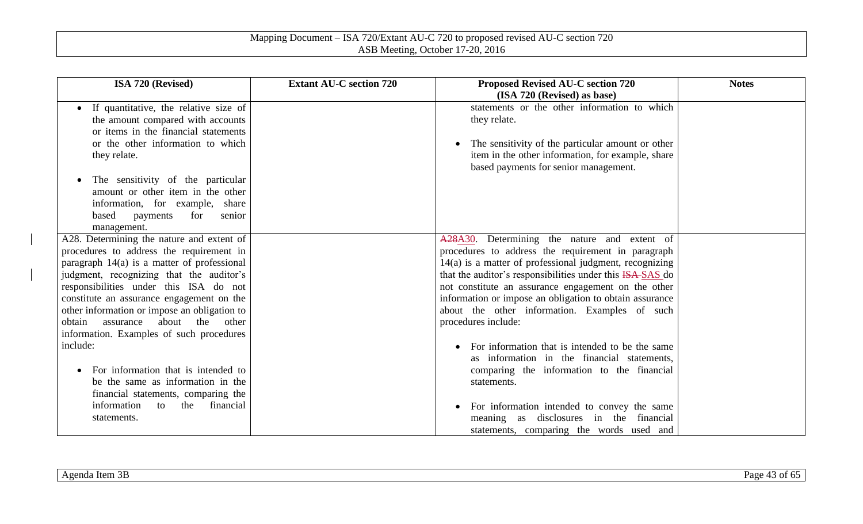| ISA 720 (Revised)                                                                                                                                                                    | <b>Extant AU-C section 720</b> | <b>Proposed Revised AU-C section 720</b><br>(ISA 720 (Revised) as base)                                                                                                                                         | <b>Notes</b> |
|--------------------------------------------------------------------------------------------------------------------------------------------------------------------------------------|--------------------------------|-----------------------------------------------------------------------------------------------------------------------------------------------------------------------------------------------------------------|--------------|
| If quantitative, the relative size of<br>$\bullet$<br>the amount compared with accounts<br>or items in the financial statements<br>or the other information to which<br>they relate. |                                | statements or the other information to which<br>they relate.<br>The sensitivity of the particular amount or other<br>item in the other information, for example, share<br>based payments for senior management. |              |
| The sensitivity of the particular<br>amount or other item in the other<br>information, for example, share<br>for<br>based<br>payments<br>senior<br>management.                       |                                |                                                                                                                                                                                                                 |              |
| A28. Determining the nature and extent of                                                                                                                                            |                                | A28A30. Determining the nature and extent of                                                                                                                                                                    |              |
| procedures to address the requirement in                                                                                                                                             |                                | procedures to address the requirement in paragraph                                                                                                                                                              |              |
| paragraph 14(a) is a matter of professional<br>judgment, recognizing that the auditor's                                                                                              |                                | $14(a)$ is a matter of professional judgment, recognizing<br>that the auditor's responsibilities under this ISA SAS do                                                                                          |              |
| responsibilities under this ISA do not                                                                                                                                               |                                | not constitute an assurance engagement on the other                                                                                                                                                             |              |
| constitute an assurance engagement on the                                                                                                                                            |                                | information or impose an obligation to obtain assurance                                                                                                                                                         |              |
| other information or impose an obligation to                                                                                                                                         |                                | about the other information. Examples of such                                                                                                                                                                   |              |
| about<br>the<br>obtain<br>assurance<br>other                                                                                                                                         |                                | procedures include:                                                                                                                                                                                             |              |
| information. Examples of such procedures                                                                                                                                             |                                |                                                                                                                                                                                                                 |              |
| include:                                                                                                                                                                             |                                | For information that is intended to be the same<br>as information in the financial statements,                                                                                                                  |              |
| For information that is intended to                                                                                                                                                  |                                | comparing the information to the financial                                                                                                                                                                      |              |
| be the same as information in the                                                                                                                                                    |                                | statements.                                                                                                                                                                                                     |              |
| financial statements, comparing the                                                                                                                                                  |                                |                                                                                                                                                                                                                 |              |
| information<br>financial<br>to<br>the                                                                                                                                                |                                | For information intended to convey the same                                                                                                                                                                     |              |
| statements.                                                                                                                                                                          |                                | meaning as disclosures in the financial                                                                                                                                                                         |              |
|                                                                                                                                                                                      |                                | statements, comparing the words used and                                                                                                                                                                        |              |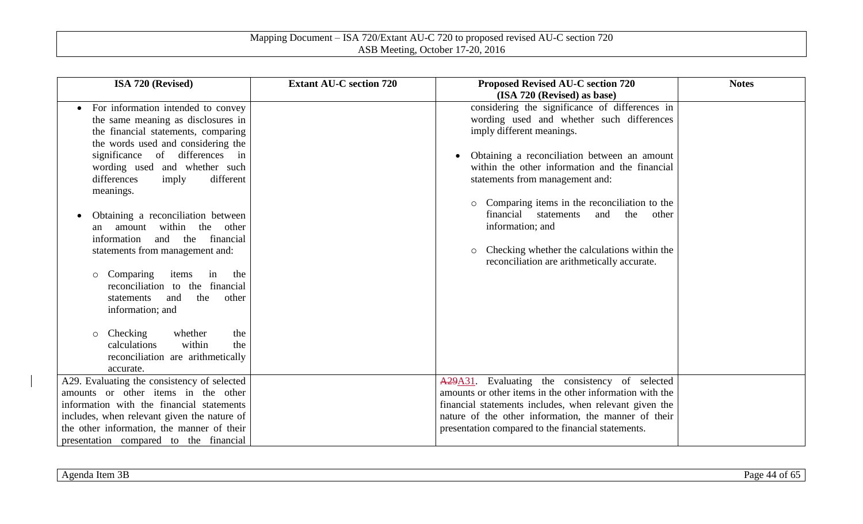| ISA 720 (Revised)                                                                                                                                                                                                                                                                                | <b>Extant AU-C section 720</b> | <b>Proposed Revised AU-C section 720</b><br>(ISA 720 (Revised) as base)                                                                                                                                                                                                                                                  | <b>Notes</b> |
|--------------------------------------------------------------------------------------------------------------------------------------------------------------------------------------------------------------------------------------------------------------------------------------------------|--------------------------------|--------------------------------------------------------------------------------------------------------------------------------------------------------------------------------------------------------------------------------------------------------------------------------------------------------------------------|--------------|
| For information intended to convey<br>$\bullet$<br>the same meaning as disclosures in<br>the financial statements, comparing<br>the words used and considering the<br>of differences in<br>significance<br>wording used and whether such<br>different<br>differences<br>imply<br>meanings.       |                                | considering the significance of differences in<br>wording used and whether such differences<br>imply different meanings.<br>Obtaining a reconciliation between an amount<br>within the other information and the financial<br>statements from management and:<br>Comparing items in the reconciliation to the<br>$\circ$ |              |
| Obtaining a reconciliation between<br>within<br>the<br>other<br>amount<br>an<br>and the<br>financial<br>information<br>statements from management and:<br>Comparing<br>items<br>the<br>in<br>$\circ$<br>reconciliation to the financial<br>and<br>the<br>other<br>statements<br>information; and |                                | financial<br>the<br>statements<br>and<br>other<br>information; and<br>Checking whether the calculations within the<br>$\circ$<br>reconciliation are arithmetically accurate.                                                                                                                                             |              |
| Checking<br>whether<br>the<br>$\circ$<br>within<br>calculations<br>the<br>reconciliation are arithmetically<br>accurate.                                                                                                                                                                         |                                |                                                                                                                                                                                                                                                                                                                          |              |
| A29. Evaluating the consistency of selected<br>amounts or other items in the other<br>information with the financial statements<br>includes, when relevant given the nature of<br>the other information, the manner of their<br>presentation compared to the financial                           |                                | A29A31. Evaluating the consistency of selected<br>amounts or other items in the other information with the<br>financial statements includes, when relevant given the<br>nature of the other information, the manner of their<br>presentation compared to the financial statements.                                       |              |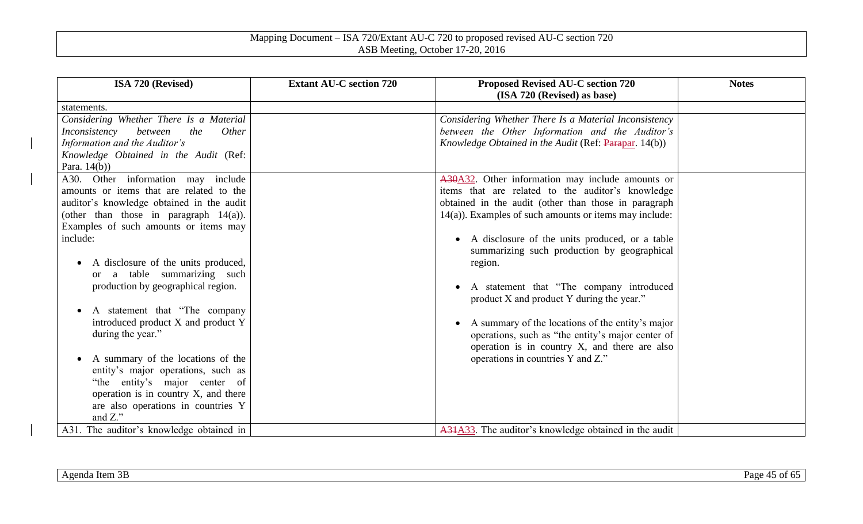| ISA 720 (Revised)                               | <b>Extant AU-C section 720</b> | <b>Proposed Revised AU-C section 720</b><br>(ISA 720 (Revised) as base)               | <b>Notes</b> |
|-------------------------------------------------|--------------------------------|---------------------------------------------------------------------------------------|--------------|
| statements.                                     |                                |                                                                                       |              |
| Considering Whether There Is a Material         |                                | Considering Whether There Is a Material Inconsistency                                 |              |
| Inconsistency<br>between<br>the<br><b>Other</b> |                                | between the Other Information and the Auditor's                                       |              |
| Information and the Auditor's                   |                                | <i>Knowledge Obtained in the Audit</i> (Ref: Parapar. 14(b))                          |              |
| Knowledge Obtained in the Audit (Ref:           |                                |                                                                                       |              |
| Para. $14(b)$ )                                 |                                |                                                                                       |              |
| A30. Other information may include              |                                | A30A32. Other information may include amounts or                                      |              |
| amounts or items that are related to the        |                                | items that are related to the auditor's knowledge                                     |              |
| auditor's knowledge obtained in the audit       |                                | obtained in the audit (other than those in paragraph                                  |              |
| (other than those in paragraph $14(a)$ ).       |                                | $14(a)$ ). Examples of such amounts or items may include:                             |              |
| Examples of such amounts or items may           |                                |                                                                                       |              |
| include:                                        |                                | A disclosure of the units produced, or a table                                        |              |
|                                                 |                                | summarizing such production by geographical                                           |              |
| A disclosure of the units produced,             |                                | region.                                                                               |              |
| a table summarizing such<br><sub>or</sub>       |                                |                                                                                       |              |
| production by geographical region.              |                                | A statement that "The company introduced<br>product X and product Y during the year." |              |
| A statement that "The company                   |                                |                                                                                       |              |
| introduced product X and product Y              |                                | A summary of the locations of the entity's major                                      |              |
| during the year."                               |                                | operations, such as "the entity's major center of                                     |              |
|                                                 |                                | operation is in country X, and there are also                                         |              |
| A summary of the locations of the               |                                | operations in countries Y and Z."                                                     |              |
| entity's major operations, such as              |                                |                                                                                       |              |
| "the entity's major center of                   |                                |                                                                                       |              |
| operation is in country X, and there            |                                |                                                                                       |              |
| are also operations in countries Y              |                                |                                                                                       |              |
| and $Z$ ."                                      |                                |                                                                                       |              |
| A31. The auditor's knowledge obtained in        |                                | A31A33. The auditor's knowledge obtained in the audit                                 |              |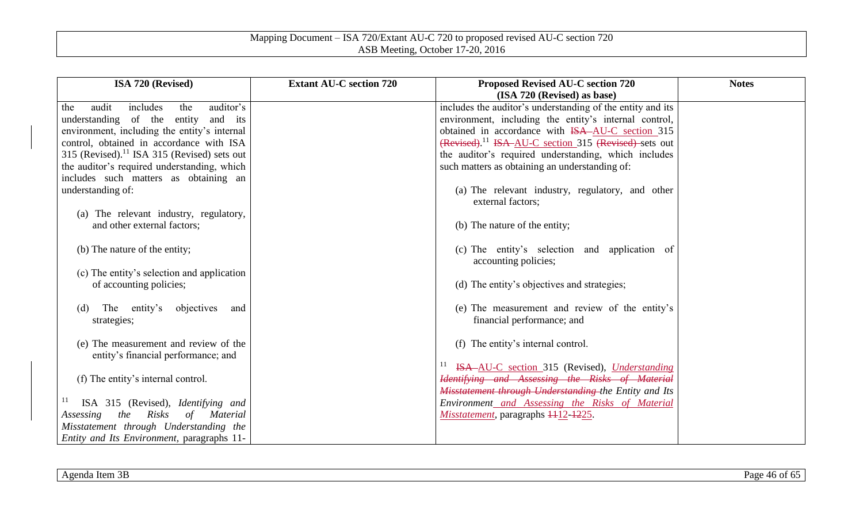| ISA 720 (Revised)                                       | <b>Extant AU-C section 720</b> | <b>Proposed Revised AU-C section 720</b>                              | <b>Notes</b> |
|---------------------------------------------------------|--------------------------------|-----------------------------------------------------------------------|--------------|
|                                                         |                                | (ISA 720 (Revised) as base)                                           |              |
| auditor's<br>includes<br>the<br>audit<br>the            |                                | includes the auditor's understanding of the entity and its            |              |
| understanding of the<br>and its<br>entity               |                                | environment, including the entity's internal control,                 |              |
| environment, including the entity's internal            |                                | obtained in accordance with ISA-AU-C section 315                      |              |
| control, obtained in accordance with ISA                |                                | (Revised). <sup>11</sup> ISA-AU-C section 315 (Revised) sets out      |              |
| 315 (Revised). <sup>11</sup> ISA 315 (Revised) sets out |                                | the auditor's required understanding, which includes                  |              |
| the auditor's required understanding, which             |                                | such matters as obtaining an understanding of:                        |              |
| includes such matters as obtaining an                   |                                |                                                                       |              |
| understanding of:                                       |                                | (a) The relevant industry, regulatory, and other<br>external factors; |              |
| (a) The relevant industry, regulatory,                  |                                |                                                                       |              |
| and other external factors;                             |                                | (b) The nature of the entity;                                         |              |
|                                                         |                                |                                                                       |              |
| (b) The nature of the entity;                           |                                | (c) The entity's selection and application of                         |              |
|                                                         |                                | accounting policies;                                                  |              |
| (c) The entity's selection and application              |                                |                                                                       |              |
| of accounting policies;                                 |                                | (d) The entity's objectives and strategies;                           |              |
|                                                         |                                |                                                                       |              |
| objectives<br>The entity's<br>(d)<br>and                |                                | (e) The measurement and review of the entity's                        |              |
| strategies;                                             |                                | financial performance; and                                            |              |
|                                                         |                                |                                                                       |              |
| (e) The measurement and review of the                   |                                | (f) The entity's internal control.                                    |              |
| entity's financial performance; and                     |                                |                                                                       |              |
|                                                         |                                | ISA-AU-C section 315 (Revised), <i>Understanding</i><br>$\pm$         |              |
| (f) The entity's internal control.                      |                                | <b>Identifying and Assessing the Risks of Material</b>                |              |
|                                                         |                                | Misstatement through Understanding the Entity and Its                 |              |
| ISA 315 (Revised), Identifying and                      |                                | Environment and Assessing the Risks of Material                       |              |
| <i>the Risks</i><br>of<br>Material<br>Assessing         |                                | Misstatement, paragraphs 4412-4225.                                   |              |
| Misstatement through Understanding the                  |                                |                                                                       |              |
| Entity and Its Environment, paragraphs 11-              |                                |                                                                       |              |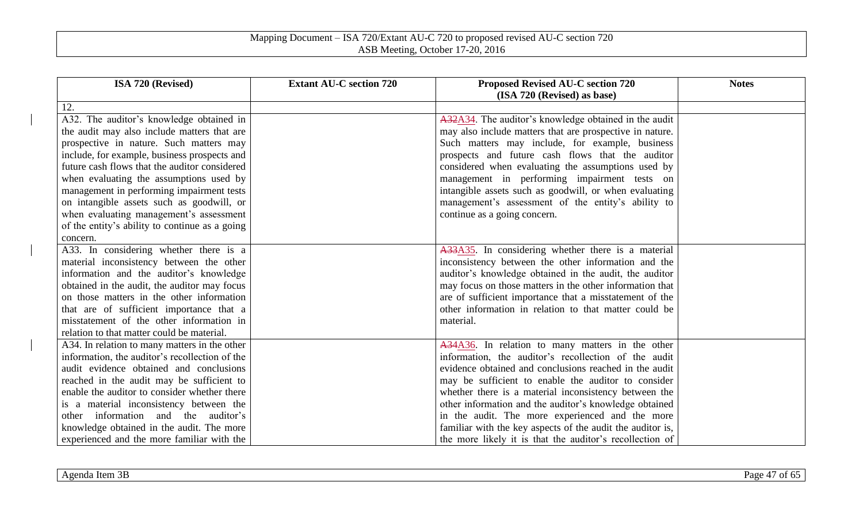| ISA 720 (Revised)                              | <b>Extant AU-C section 720</b> | <b>Proposed Revised AU-C section 720</b><br>(ISA 720 (Revised) as base) | <b>Notes</b> |
|------------------------------------------------|--------------------------------|-------------------------------------------------------------------------|--------------|
| 12.                                            |                                |                                                                         |              |
| A32. The auditor's knowledge obtained in       |                                | A32A34. The auditor's knowledge obtained in the audit                   |              |
| the audit may also include matters that are    |                                | may also include matters that are prospective in nature.                |              |
| prospective in nature. Such matters may        |                                | Such matters may include, for example, business                         |              |
| include, for example, business prospects and   |                                | prospects and future cash flows that the auditor                        |              |
| future cash flows that the auditor considered  |                                | considered when evaluating the assumptions used by                      |              |
| when evaluating the assumptions used by        |                                | management in performing impairment tests on                            |              |
| management in performing impairment tests      |                                | intangible assets such as goodwill, or when evaluating                  |              |
| on intangible assets such as goodwill, or      |                                | management's assessment of the entity's ability to                      |              |
| when evaluating management's assessment        |                                | continue as a going concern.                                            |              |
| of the entity's ability to continue as a going |                                |                                                                         |              |
| concern.                                       |                                |                                                                         |              |
| A33. In considering whether there is a         |                                | A33A35. In considering whether there is a material                      |              |
| material inconsistency between the other       |                                | inconsistency between the other information and the                     |              |
| information and the auditor's knowledge        |                                | auditor's knowledge obtained in the audit, the auditor                  |              |
| obtained in the audit, the auditor may focus   |                                | may focus on those matters in the other information that                |              |
| on those matters in the other information      |                                | are of sufficient importance that a misstatement of the                 |              |
| that are of sufficient importance that a       |                                | other information in relation to that matter could be                   |              |
| misstatement of the other information in       |                                | material.                                                               |              |
| relation to that matter could be material.     |                                |                                                                         |              |
| A34. In relation to many matters in the other  |                                | A34A36. In relation to many matters in the other                        |              |
| information, the auditor's recollection of the |                                | information, the auditor's recollection of the audit                    |              |
| audit evidence obtained and conclusions        |                                | evidence obtained and conclusions reached in the audit                  |              |
| reached in the audit may be sufficient to      |                                | may be sufficient to enable the auditor to consider                     |              |
| enable the auditor to consider whether there   |                                | whether there is a material inconsistency between the                   |              |
| is a material inconsistency between the        |                                | other information and the auditor's knowledge obtained                  |              |
| other information and the auditor's            |                                | in the audit. The more experienced and the more                         |              |
| knowledge obtained in the audit. The more      |                                | familiar with the key aspects of the audit the auditor is,              |              |
| experienced and the more familiar with the     |                                | the more likely it is that the auditor's recollection of                |              |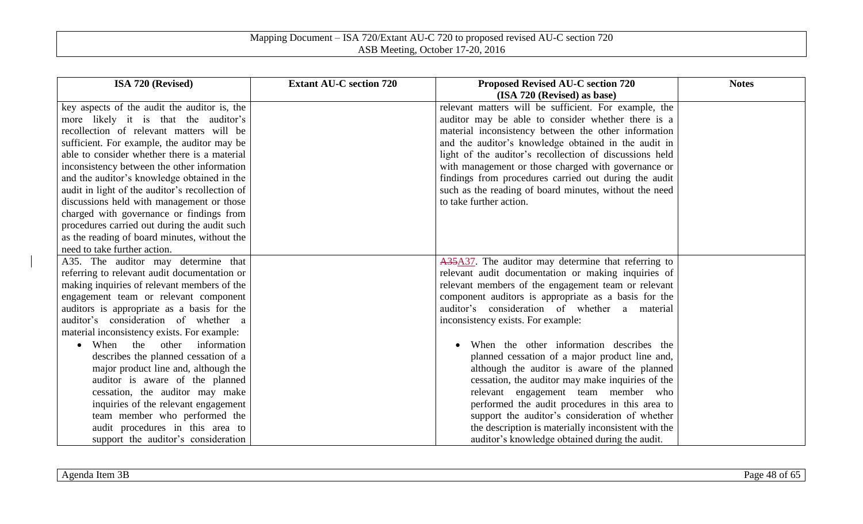| ISA 720 (Revised)                                | <b>Extant AU-C section 720</b> | <b>Proposed Revised AU-C section 720</b>                | <b>Notes</b> |
|--------------------------------------------------|--------------------------------|---------------------------------------------------------|--------------|
|                                                  |                                | (ISA 720 (Revised) as base)                             |              |
| key aspects of the audit the auditor is, the     |                                | relevant matters will be sufficient. For example, the   |              |
| more likely it is that the auditor's             |                                | auditor may be able to consider whether there is a      |              |
| recollection of relevant matters will be         |                                | material inconsistency between the other information    |              |
| sufficient. For example, the auditor may be      |                                | and the auditor's knowledge obtained in the audit in    |              |
| able to consider whether there is a material     |                                | light of the auditor's recollection of discussions held |              |
| inconsistency between the other information      |                                | with management or those charged with governance or     |              |
| and the auditor's knowledge obtained in the      |                                | findings from procedures carried out during the audit   |              |
| audit in light of the auditor's recollection of  |                                | such as the reading of board minutes, without the need  |              |
| discussions held with management or those        |                                | to take further action.                                 |              |
| charged with governance or findings from         |                                |                                                         |              |
| procedures carried out during the audit such     |                                |                                                         |              |
| as the reading of board minutes, without the     |                                |                                                         |              |
| need to take further action.                     |                                |                                                         |              |
| A35. The auditor may determine that              |                                | A35A37. The auditor may determine that referring to     |              |
| referring to relevant audit documentation or     |                                | relevant audit documentation or making inquiries of     |              |
| making inquiries of relevant members of the      |                                | relevant members of the engagement team or relevant     |              |
| engagement team or relevant component            |                                | component auditors is appropriate as a basis for the    |              |
| auditors is appropriate as a basis for the       |                                | auditor's consideration of whether a material           |              |
| auditor's consideration of whether a             |                                | inconsistency exists. For example:                      |              |
| material inconsistency exists. For example:      |                                |                                                         |              |
| information<br>When<br>the<br>other<br>$\bullet$ |                                | When the other information describes the                |              |
| describes the planned cessation of a             |                                | planned cessation of a major product line and,          |              |
| major product line and, although the             |                                | although the auditor is aware of the planned            |              |
| auditor is aware of the planned                  |                                | cessation, the auditor may make inquiries of the        |              |
| cessation, the auditor may make                  |                                | relevant engagement team member who                     |              |
| inquiries of the relevant engagement             |                                | performed the audit procedures in this area to          |              |
| team member who performed the                    |                                | support the auditor's consideration of whether          |              |
| audit procedures in this area to                 |                                | the description is materially inconsistent with the     |              |
| support the auditor's consideration              |                                | auditor's knowledge obtained during the audit.          |              |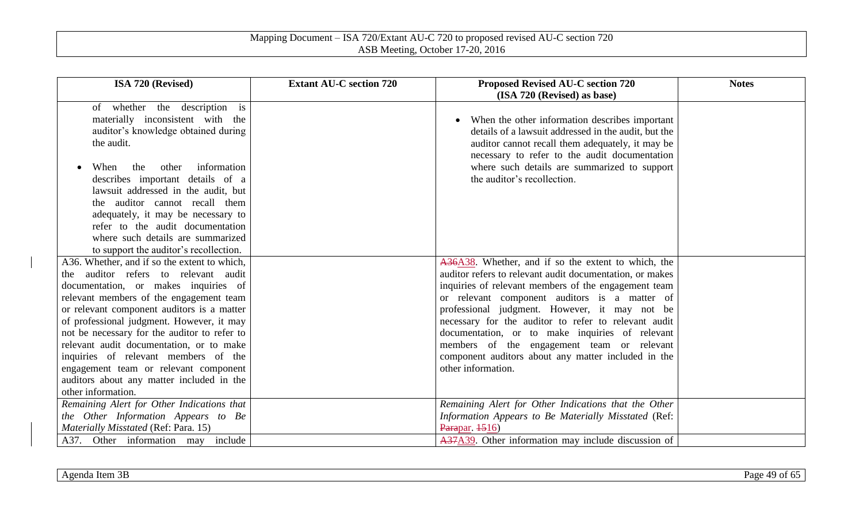| ISA 720 (Revised)                                                                                                                                                                                                                                                                                                                                                                                                                                                                                                                                               | <b>Extant AU-C section 720</b> | <b>Proposed Revised AU-C section 720</b><br>(ISA 720 (Revised) as base)                                                                                                                                                                                                                                                                                                                                                                                                                                         | <b>Notes</b> |
|-----------------------------------------------------------------------------------------------------------------------------------------------------------------------------------------------------------------------------------------------------------------------------------------------------------------------------------------------------------------------------------------------------------------------------------------------------------------------------------------------------------------------------------------------------------------|--------------------------------|-----------------------------------------------------------------------------------------------------------------------------------------------------------------------------------------------------------------------------------------------------------------------------------------------------------------------------------------------------------------------------------------------------------------------------------------------------------------------------------------------------------------|--------------|
| of whether the description is<br>materially inconsistent with the<br>auditor's knowledge obtained during<br>the audit.<br>information<br>When<br>other<br>the<br>describes important details of a<br>lawsuit addressed in the audit, but<br>the auditor cannot recall them<br>adequately, it may be necessary to<br>refer to the audit documentation<br>where such details are summarized                                                                                                                                                                       |                                | When the other information describes important<br>details of a lawsuit addressed in the audit, but the<br>auditor cannot recall them adequately, it may be<br>necessary to refer to the audit documentation<br>where such details are summarized to support<br>the auditor's recollection.                                                                                                                                                                                                                      |              |
| to support the auditor's recollection.<br>A36. Whether, and if so the extent to which,<br>auditor refers to relevant audit<br>the<br>documentation, or makes inquiries of<br>relevant members of the engagement team<br>or relevant component auditors is a matter<br>of professional judgment. However, it may<br>not be necessary for the auditor to refer to<br>relevant audit documentation, or to make<br>inquiries of relevant members of the<br>engagement team or relevant component<br>auditors about any matter included in the<br>other information. |                                | A36A38. Whether, and if so the extent to which, the<br>auditor refers to relevant audit documentation, or makes<br>inquiries of relevant members of the engagement team<br>or relevant component auditors is a matter of<br>professional judgment. However, it may not be<br>necessary for the auditor to refer to relevant audit<br>documentation, or to make inquiries of relevant<br>members of the engagement team or relevant<br>component auditors about any matter included in the<br>other information. |              |
| Remaining Alert for Other Indications that<br>the Other Information Appears to Be<br>Materially Misstated (Ref: Para. 15)<br>A37. Other information may include                                                                                                                                                                                                                                                                                                                                                                                                 |                                | Remaining Alert for Other Indications that the Other<br>Information Appears to Be Materially Misstated (Ref:<br>Parapar. $1516$<br>A37A39. Other information may include discussion of                                                                                                                                                                                                                                                                                                                          |              |
|                                                                                                                                                                                                                                                                                                                                                                                                                                                                                                                                                                 |                                |                                                                                                                                                                                                                                                                                                                                                                                                                                                                                                                 |              |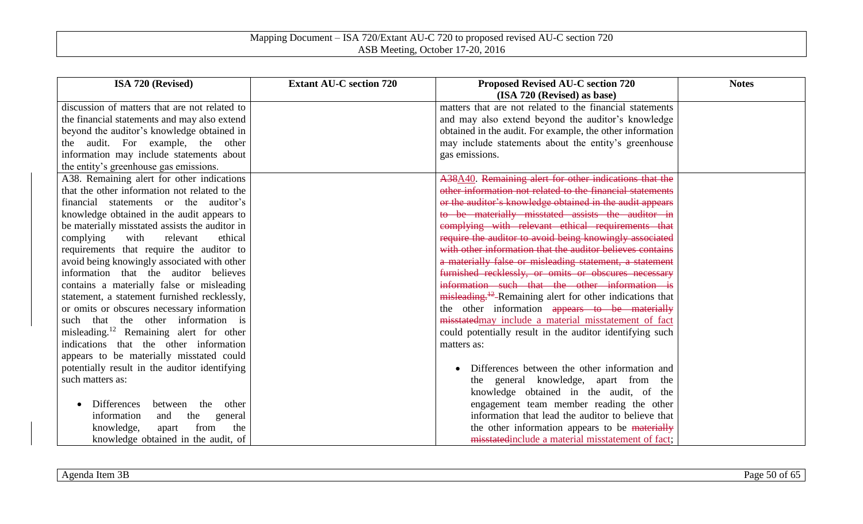| ISA 720 (Revised)                                                                                                 | <b>Extant AU-C section 720</b> | <b>Proposed Revised AU-C section 720</b><br>(ISA 720 (Revised) as base)                                                                                   | <b>Notes</b> |
|-------------------------------------------------------------------------------------------------------------------|--------------------------------|-----------------------------------------------------------------------------------------------------------------------------------------------------------|--------------|
| discussion of matters that are not related to                                                                     |                                | matters that are not related to the financial statements                                                                                                  |              |
| the financial statements and may also extend                                                                      |                                | and may also extend beyond the auditor's knowledge                                                                                                        |              |
|                                                                                                                   |                                |                                                                                                                                                           |              |
| beyond the auditor's knowledge obtained in<br>the audit. For example, the other                                   |                                | obtained in the audit. For example, the other information                                                                                                 |              |
|                                                                                                                   |                                | may include statements about the entity's greenhouse                                                                                                      |              |
| information may include statements about                                                                          |                                | gas emissions.                                                                                                                                            |              |
| the entity's greenhouse gas emissions.                                                                            |                                |                                                                                                                                                           |              |
| A38. Remaining alert for other indications                                                                        |                                | A38A40. Remaining alert for other indications that the                                                                                                    |              |
| that the other information not related to the                                                                     |                                | other information not related to the financial statements                                                                                                 |              |
| financial statements or the auditor's                                                                             |                                | or the auditor's knowledge obtained in the audit appears                                                                                                  |              |
| knowledge obtained in the audit appears to                                                                        |                                | to be materially misstated assists the auditor in                                                                                                         |              |
| be materially misstated assists the auditor in                                                                    |                                | complying with relevant ethical requirements that                                                                                                         |              |
| complying<br>ethical<br>with<br>relevant                                                                          |                                | require the auditor to avoid being knowingly associated                                                                                                   |              |
| requirements that require the auditor to                                                                          |                                | with other information that the auditor believes contains                                                                                                 |              |
| avoid being knowingly associated with other                                                                       |                                | a materially false or misleading statement, a statement                                                                                                   |              |
| information that the auditor believes                                                                             |                                | furnished recklessly, or omits or obscures necessary                                                                                                      |              |
| contains a materially false or misleading                                                                         |                                | information such that the other information is                                                                                                            |              |
| statement, a statement furnished recklessly,                                                                      |                                | $misleading.12$ -Remaining alert for other indications that                                                                                               |              |
| or omits or obscures necessary information                                                                        |                                | the other information appears to be materially                                                                                                            |              |
| such that the other information is                                                                                |                                | misstated may include a material misstatement of fact                                                                                                     |              |
| misleading. <sup>12</sup> Remaining alert for other                                                               |                                | could potentially result in the auditor identifying such                                                                                                  |              |
| indications that the other information                                                                            |                                | matters as:                                                                                                                                               |              |
| appears to be materially misstated could                                                                          |                                |                                                                                                                                                           |              |
| potentially result in the auditor identifying                                                                     |                                | Differences between the other information and                                                                                                             |              |
| such matters as:                                                                                                  |                                | general knowledge, apart from the<br>the                                                                                                                  |              |
|                                                                                                                   |                                | knowledge obtained in the audit, of the                                                                                                                   |              |
| <b>Differences</b><br>between<br>the<br>other                                                                     |                                | engagement team member reading the other                                                                                                                  |              |
|                                                                                                                   |                                |                                                                                                                                                           |              |
|                                                                                                                   |                                |                                                                                                                                                           |              |
|                                                                                                                   |                                |                                                                                                                                                           |              |
| information<br>the<br>and<br>general<br>from<br>knowledge,<br>the<br>apart<br>knowledge obtained in the audit, of |                                | information that lead the auditor to believe that<br>the other information appears to be materially<br>misstated include a material misstatement of fact; |              |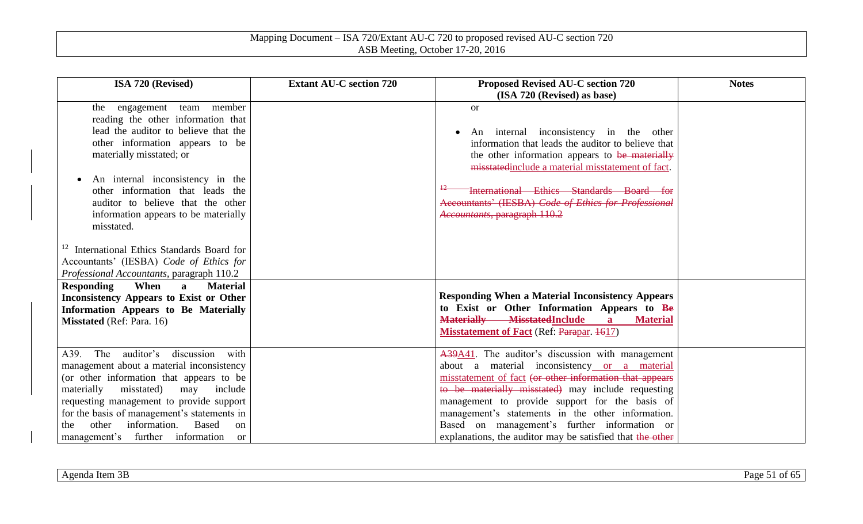| ISA 720 (Revised)                                            | <b>Extant AU-C section 720</b> | <b>Proposed Revised AU-C section 720</b><br>(ISA 720 (Revised) as base)                             | <b>Notes</b> |
|--------------------------------------------------------------|--------------------------------|-----------------------------------------------------------------------------------------------------|--------------|
| engagement team member<br>the                                |                                | <b>or</b>                                                                                           |              |
| reading the other information that                           |                                |                                                                                                     |              |
| lead the auditor to believe that the                         |                                | internal inconsistency in the other<br>An                                                           |              |
| other information appears to be                              |                                | information that leads the auditor to believe that                                                  |              |
| materially misstated; or                                     |                                | the other information appears to be materially<br>misstatedinclude a material misstatement of fact. |              |
| An internal inconsistency in the<br>$\bullet$                |                                |                                                                                                     |              |
| other information that leads the                             |                                | International Ethics Standards Board for                                                            |              |
| auditor to believe that the other                            |                                | Accountants' (IESBA) Code of Ethics for Professional                                                |              |
| information appears to be materially                         |                                | Accountants, paragraph 110.2                                                                        |              |
| misstated.                                                   |                                |                                                                                                     |              |
|                                                              |                                |                                                                                                     |              |
| 12<br>International Ethics Standards Board for               |                                |                                                                                                     |              |
| Accountants' (IESBA) Code of Ethics for                      |                                |                                                                                                     |              |
| <i>Professional Accountants, paragraph 110.2</i>             |                                |                                                                                                     |              |
| When<br><b>Material</b><br><b>Responding</b><br>$\mathbf{a}$ |                                |                                                                                                     |              |
| <b>Inconsistency Appears to Exist or Other</b>               |                                | <b>Responding When a Material Inconsistency Appears</b>                                             |              |
| <b>Information Appears to Be Materially</b>                  |                                | to Exist or Other Information Appears to Be                                                         |              |
| Misstated (Ref: Para. 16)                                    |                                | <b>Materially MisstatedInclude</b><br>$\mathbf{a}$<br><b>Material</b>                               |              |
|                                                              |                                | <b>Misstatement of Fact</b> (Ref: Parapar, 1617)                                                    |              |
| A39. The<br>auditor's<br>discussion<br>with                  |                                | A39A41. The auditor's discussion with management                                                    |              |
| management about a material inconsistency                    |                                | about a material inconsistency or a material                                                        |              |
| (or other information that appears to be                     |                                | misstatement of fact (or other information that appears                                             |              |
| materially<br>misstated)<br>may<br>include                   |                                | to be materially misstated) may include requesting                                                  |              |
| requesting management to provide support                     |                                | management to provide support for the basis of                                                      |              |
| for the basis of management's statements in                  |                                | management's statements in the other information.                                                   |              |
| information.<br><b>Based</b><br>other<br>the<br>on           |                                | Based on management's further information or                                                        |              |
| management's further information<br><sub>or</sub>            |                                | explanations, the auditor may be satisfied that the other                                           |              |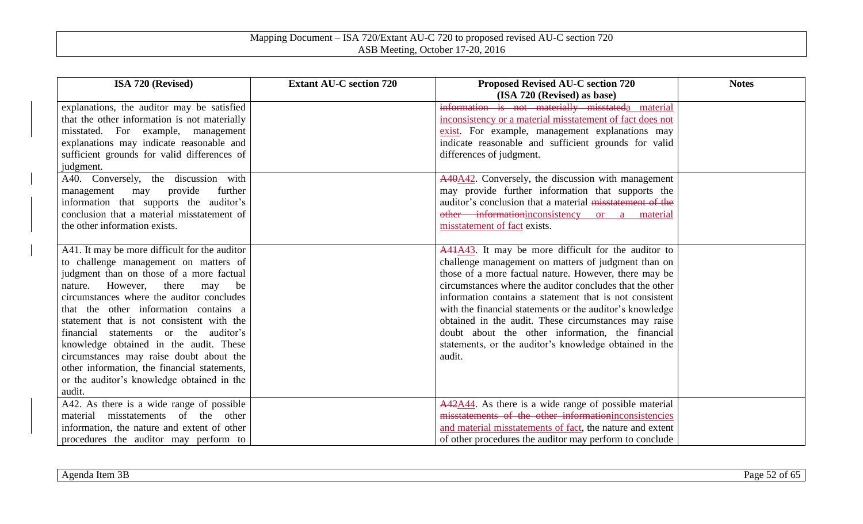| ISA 720 (Revised)                             | <b>Extant AU-C section 720</b> | <b>Proposed Revised AU-C section 720</b><br>(ISA 720 (Revised) as base) | <b>Notes</b> |
|-----------------------------------------------|--------------------------------|-------------------------------------------------------------------------|--------------|
| explanations, the auditor may be satisfied    |                                | information is not materially misstateda material                       |              |
| that the other information is not materially  |                                | inconsistency or a material misstatement of fact does not               |              |
| misstated. For example, management            |                                | exist. For example, management explanations may                         |              |
| explanations may indicate reasonable and      |                                | indicate reasonable and sufficient grounds for valid                    |              |
| sufficient grounds for valid differences of   |                                | differences of judgment.                                                |              |
| judgment.                                     |                                |                                                                         |              |
| A40. Conversely, the discussion with          |                                | A40A42. Conversely, the discussion with management                      |              |
| provide<br>further<br>management<br>may       |                                | may provide further information that supports the                       |              |
| information that supports the auditor's       |                                | auditor's conclusion that a material misstatement of the                |              |
| conclusion that a material misstatement of    |                                | other informationinconsistency or a material                            |              |
| the other information exists.                 |                                | misstatement of fact exists.                                            |              |
|                                               |                                |                                                                         |              |
| A41. It may be more difficult for the auditor |                                | A41A43. It may be more difficult for the auditor to                     |              |
| to challenge management on matters of         |                                | challenge management on matters of judgment than on                     |              |
| judgment than on those of a more factual      |                                | those of a more factual nature. However, there may be                   |              |
| However,<br>there<br>nature.<br>may<br>be     |                                | circumstances where the auditor concludes that the other                |              |
| circumstances where the auditor concludes     |                                | information contains a statement that is not consistent                 |              |
| that the other information contains a         |                                | with the financial statements or the auditor's knowledge                |              |
| statement that is not consistent with the     |                                | obtained in the audit. These circumstances may raise                    |              |
| financial statements or the auditor's         |                                | doubt about the other information, the financial                        |              |
| knowledge obtained in the audit. These        |                                | statements, or the auditor's knowledge obtained in the                  |              |
| circumstances may raise doubt about the       |                                | audit.                                                                  |              |
| other information, the financial statements,  |                                |                                                                         |              |
| or the auditor's knowledge obtained in the    |                                |                                                                         |              |
| audit.                                        |                                |                                                                         |              |
| A42. As there is a wide range of possible     |                                | A42A44. As there is a wide range of possible material                   |              |
| material misstatements of the other           |                                | misstatements of the other informationinconsistencies                   |              |
| information, the nature and extent of other   |                                | and material misstatements of fact, the nature and extent               |              |
| procedures the auditor may perform to         |                                | of other procedures the auditor may perform to conclude                 |              |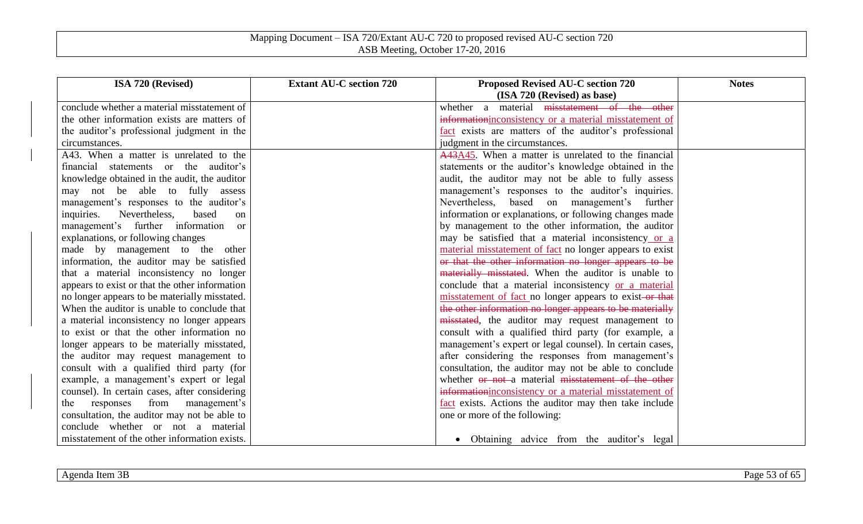| ISA 720 (Revised)                                     | <b>Extant AU-C section 720</b> | <b>Proposed Revised AU-C section 720</b>                 | <b>Notes</b> |
|-------------------------------------------------------|--------------------------------|----------------------------------------------------------|--------------|
|                                                       |                                | (ISA 720 (Revised) as base)                              |              |
| conclude whether a material misstatement of           |                                | whether a material misstatement of the other             |              |
| the other information exists are matters of           |                                | informationinconsistency or a material misstatement of   |              |
| the auditor's professional judgment in the            |                                | fact exists are matters of the auditor's professional    |              |
| circumstances.                                        |                                | judgment in the circumstances.                           |              |
| A43. When a matter is unrelated to the                |                                | A43A45. When a matter is unrelated to the financial      |              |
| financial statements or the auditor's                 |                                | statements or the auditor's knowledge obtained in the    |              |
| knowledge obtained in the audit, the auditor          |                                | audit, the auditor may not be able to fully assess       |              |
| may not be able to fully assess                       |                                | management's responses to the auditor's inquiries.       |              |
| management's responses to the auditor's               |                                | Nevertheless, based on management's further              |              |
| Nevertheless,<br>inquiries.<br>based<br><sub>on</sub> |                                | information or explanations, or following changes made   |              |
| management's further information<br>or                |                                | by management to the other information, the auditor      |              |
| explanations, or following changes                    |                                | may be satisfied that a material inconsistency or a      |              |
| made by management to the other                       |                                | material misstatement of fact no longer appears to exist |              |
| information, the auditor may be satisfied             |                                | or that the other information no longer appears to be    |              |
| that a material inconsistency no longer               |                                | materially misstated. When the auditor is unable to      |              |
| appears to exist or that the other information        |                                | conclude that a material inconsistency or a material     |              |
| no longer appears to be materially misstated.         |                                | misstatement of fact no longer appears to exist-or that  |              |
| When the auditor is unable to conclude that           |                                | the other information no longer appears to be materially |              |
| a material inconsistency no longer appears            |                                | misstated, the auditor may request management to         |              |
| to exist or that the other information no             |                                | consult with a qualified third party (for example, a     |              |
| longer appears to be materially misstated,            |                                | management's expert or legal counsel). In certain cases, |              |
| the auditor may request management to                 |                                | after considering the responses from management's        |              |
| consult with a qualified third party (for             |                                | consultation, the auditor may not be able to conclude    |              |
| example, a management's expert or legal               |                                | whether or not a material misstatement of the other      |              |
| counsel). In certain cases, after considering         |                                | informationinconsistency or a material misstatement of   |              |
| from<br>the<br>responses<br>management's              |                                | fact exists. Actions the auditor may then take include   |              |
| consultation, the auditor may not be able to          |                                | one or more of the following:                            |              |
| conclude whether or not a material                    |                                |                                                          |              |
| misstatement of the other information exists.         |                                | Obtaining advice from the auditor's legal                |              |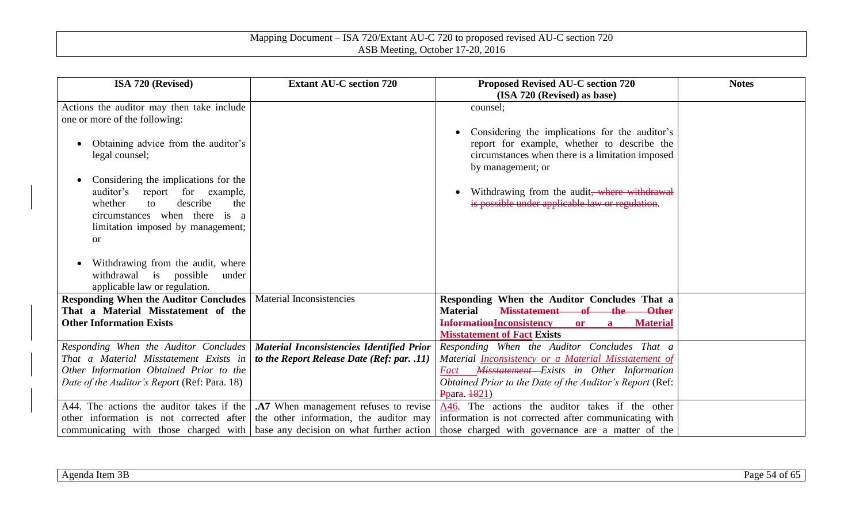| ISA 720 (Revised)                                                                                                                                                          | <b>Extant AU-C section 720</b>             | <b>Proposed Revised AU-C section 720</b><br>(ISA 720 (Revised) as base)                                                                                                | <b>Notes</b> |
|----------------------------------------------------------------------------------------------------------------------------------------------------------------------------|--------------------------------------------|------------------------------------------------------------------------------------------------------------------------------------------------------------------------|--------------|
| Actions the auditor may then take include                                                                                                                                  |                                            | counsel;                                                                                                                                                               |              |
| one or more of the following:                                                                                                                                              |                                            |                                                                                                                                                                        |              |
| Obtaining advice from the auditor's<br>legal counsel;                                                                                                                      |                                            | Considering the implications for the auditor's<br>report for example, whether to describe the<br>circumstances when there is a limitation imposed<br>by management; or |              |
| Considering the implications for the<br>$\bullet$                                                                                                                          |                                            |                                                                                                                                                                        |              |
| auditor's<br>report for<br>example,                                                                                                                                        |                                            | Withdrawing from the audit, where withdrawal                                                                                                                           |              |
| whether<br>describe<br>the<br>to                                                                                                                                           |                                            | is possible under applicable law or regulation.                                                                                                                        |              |
| circumstances when there is a<br>limitation imposed by management;                                                                                                         |                                            |                                                                                                                                                                        |              |
| <sub>or</sub>                                                                                                                                                              |                                            |                                                                                                                                                                        |              |
|                                                                                                                                                                            |                                            |                                                                                                                                                                        |              |
| Withdrawing from the audit, where<br>$\bullet$<br>withdrawal is possible<br>under<br>applicable law or regulation.                                                         |                                            |                                                                                                                                                                        |              |
| <b>Responding When the Auditor Concludes</b>                                                                                                                               | Material Inconsistencies                   | Responding When the Auditor Concludes That a                                                                                                                           |              |
| That a Material Misstatement of the                                                                                                                                        |                                            | <b>Material</b><br><b>Other</b><br><b>Misstatement</b><br>$-6f$<br><del>–the</del>                                                                                     |              |
| <b>Other Information Exists</b>                                                                                                                                            |                                            | <b>InformationInconsistency</b><br><b>Material</b><br>or<br>$\mathbf{a}$                                                                                               |              |
|                                                                                                                                                                            |                                            | <b>Misstatement of Fact Exists</b>                                                                                                                                     |              |
| Responding When the Auditor Concludes   Material Inconsistencies Identified Prior                                                                                          |                                            | Responding When the Auditor Concludes That a                                                                                                                           |              |
| That a Material Misstatement Exists in                                                                                                                                     | to the Report Release Date (Ref: par. .11) | Material Inconsistency or a Material Misstatement of                                                                                                                   |              |
| Other Information Obtained Prior to the                                                                                                                                    |                                            | Fact Misstatement-Exists in Other Information                                                                                                                          |              |
| Date of the Auditor's Report (Ref: Para. 18)                                                                                                                               |                                            | Obtained Prior to the Date of the Auditor's Report (Ref:                                                                                                               |              |
|                                                                                                                                                                            |                                            | Ppara. $\frac{1821}{2}$<br>A46. The actions the auditor takes if the other                                                                                             |              |
| A44. The actions the auditor takes if the $\vert$ .A7 When management refuses to revise<br>other information is not corrected after the other information, the auditor may |                                            | information is not corrected after communicating with                                                                                                                  |              |
| communicating with those charged with base any decision on what further action                                                                                             |                                            | those charged with governance are a matter of the                                                                                                                      |              |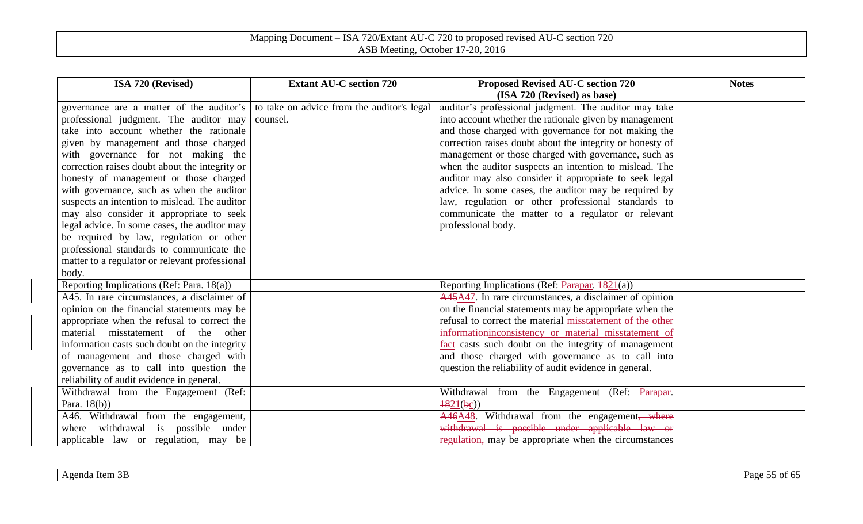| ISA 720 (Revised)                                                                   | <b>Extant AU-C section 720</b> | <b>Proposed Revised AU-C section 720</b>                  | <b>Notes</b> |
|-------------------------------------------------------------------------------------|--------------------------------|-----------------------------------------------------------|--------------|
|                                                                                     |                                | (ISA 720 (Revised) as base)                               |              |
| governance are a matter of the auditor's to take on advice from the auditor's legal |                                | auditor's professional judgment. The auditor may take     |              |
| professional judgment. The auditor may                                              | counsel.                       | into account whether the rationale given by management    |              |
| take into account whether the rationale                                             |                                | and those charged with governance for not making the      |              |
| given by management and those charged                                               |                                | correction raises doubt about the integrity or honesty of |              |
| with governance for not making the                                                  |                                | management or those charged with governance, such as      |              |
| correction raises doubt about the integrity or                                      |                                | when the auditor suspects an intention to mislead. The    |              |
| honesty of management or those charged                                              |                                | auditor may also consider it appropriate to seek legal    |              |
| with governance, such as when the auditor                                           |                                | advice. In some cases, the auditor may be required by     |              |
| suspects an intention to mislead. The auditor                                       |                                | law, regulation or other professional standards to        |              |
| may also consider it appropriate to seek                                            |                                | communicate the matter to a regulator or relevant         |              |
| legal advice. In some cases, the auditor may                                        |                                | professional body.                                        |              |
| be required by law, regulation or other                                             |                                |                                                           |              |
| professional standards to communicate the                                           |                                |                                                           |              |
| matter to a regulator or relevant professional                                      |                                |                                                           |              |
| body.                                                                               |                                |                                                           |              |
| Reporting Implications (Ref: Para. 18(a))                                           |                                | Reporting Implications (Ref: Parapar, $\frac{1821}{a}$ )  |              |
| A45. In rare circumstances, a disclaimer of                                         |                                | A45A47. In rare circumstances, a disclaimer of opinion    |              |
| opinion on the financial statements may be                                          |                                | on the financial statements may be appropriate when the   |              |
| appropriate when the refusal to correct the                                         |                                | refusal to correct the material misstatement of the other |              |
| material misstatement of the<br>other                                               |                                | informationinconsistency or material misstatement of      |              |
| information casts such doubt on the integrity                                       |                                | fact casts such doubt on the integrity of management      |              |
| of management and those charged with                                                |                                | and those charged with governance as to call into         |              |
| governance as to call into question the                                             |                                | question the reliability of audit evidence in general.    |              |
| reliability of audit evidence in general.                                           |                                |                                                           |              |
| Withdrawal from the Engagement (Ref:                                                |                                | Withdrawal from the Engagement (Ref: Parapar.             |              |
| Para. $18(b)$ )                                                                     |                                | $\frac{1821}{(bc)}$                                       |              |
| A46. Withdrawal from the engagement,                                                |                                | A46A48. Withdrawal from the engagement, where             |              |
| where withdrawal is possible under                                                  |                                | withdrawal is possible under applicable law or            |              |
| applicable law or regulation, may be                                                |                                | regulation, may be appropriate when the circumstances     |              |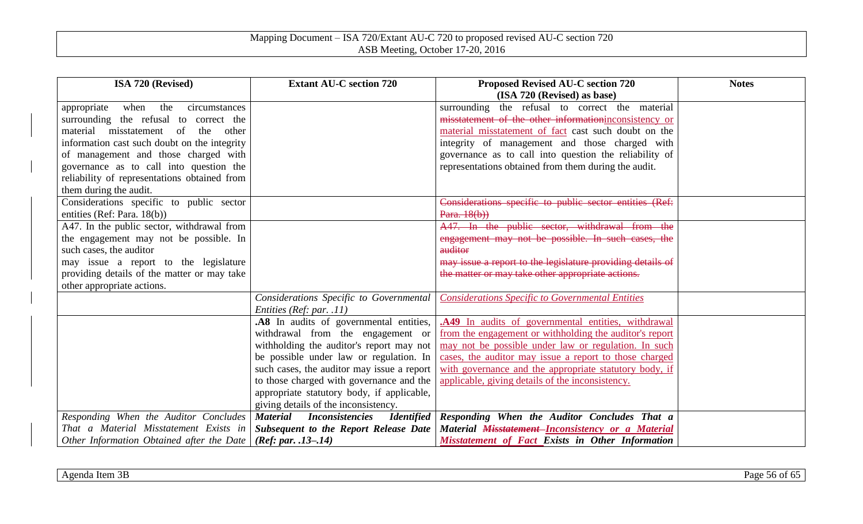| ISA 720 (Revised)                            | <b>Extant AU-C section 720</b>                       | <b>Proposed Revised AU-C section 720</b>                   | <b>Notes</b> |
|----------------------------------------------|------------------------------------------------------|------------------------------------------------------------|--------------|
|                                              |                                                      | (ISA 720 (Revised) as base)                                |              |
| the<br>appropriate<br>when<br>circumstances  |                                                      | surrounding the refusal to correct the material            |              |
| surrounding the refusal to correct the       |                                                      | misstatement of the other informationinconsistency or      |              |
| material<br>misstatement of<br>the<br>other  |                                                      | material misstatement of fact cast such doubt on the       |              |
| information cast such doubt on the integrity |                                                      | integrity of management and those charged with             |              |
| of management and those charged with         |                                                      | governance as to call into question the reliability of     |              |
| governance as to call into question the      |                                                      | representations obtained from them during the audit.       |              |
| reliability of representations obtained from |                                                      |                                                            |              |
| them during the audit.                       |                                                      |                                                            |              |
| Considerations specific to public sector     |                                                      | Considerations specific to public sector entities (Ref:    |              |
| entities (Ref: Para. 18(b))                  |                                                      | Para. $18(b)$                                              |              |
| A47. In the public sector, withdrawal from   |                                                      | A47. In the public sector, withdrawal from the             |              |
| the engagement may not be possible. In       |                                                      | engagement may not be possible. In such cases, the         |              |
| such cases, the auditor                      |                                                      | auditor                                                    |              |
| may issue a report to the legislature        |                                                      | may issue a report to the legislature providing details of |              |
| providing details of the matter or may take  |                                                      | the matter or may take other appropriate actions.          |              |
| other appropriate actions.                   |                                                      |                                                            |              |
|                                              | Considerations Specific to Governmental              | <b>Considerations Specific to Governmental Entities</b>    |              |
|                                              | Entities (Ref: par. .11)                             |                                                            |              |
|                                              | .A8 In audits of governmental entities,              | .A49 In audits of governmental entities, withdrawal        |              |
|                                              | withdrawal from the engagement or                    | from the engagement or withholding the auditor's report    |              |
|                                              | withholding the auditor's report may not             | may not be possible under law or regulation. In such       |              |
|                                              | be possible under law or regulation. In              | cases, the auditor may issue a report to those charged     |              |
|                                              | such cases, the auditor may issue a report           | with governance and the appropriate statutory body, if     |              |
|                                              | to those charged with governance and the             | applicable, giving details of the inconsistency.           |              |
|                                              | appropriate statutory body, if applicable,           |                                                            |              |
|                                              | giving details of the inconsistency.                 |                                                            |              |
| Responding When the Auditor Concludes        | <b>Material Inconsistencies</b><br><b>Identified</b> | Responding When the Auditor Concludes That a               |              |
| That a Material Misstatement Exists in       | <b>Subsequent to the Report Release Date</b>         | Material Misstatement-Inconsistency or a Material          |              |
| Other Information Obtained after the Date    | $(Ref: par. .13-.14)$                                | <b>Misstatement of Fact Exists in Other Information</b>    |              |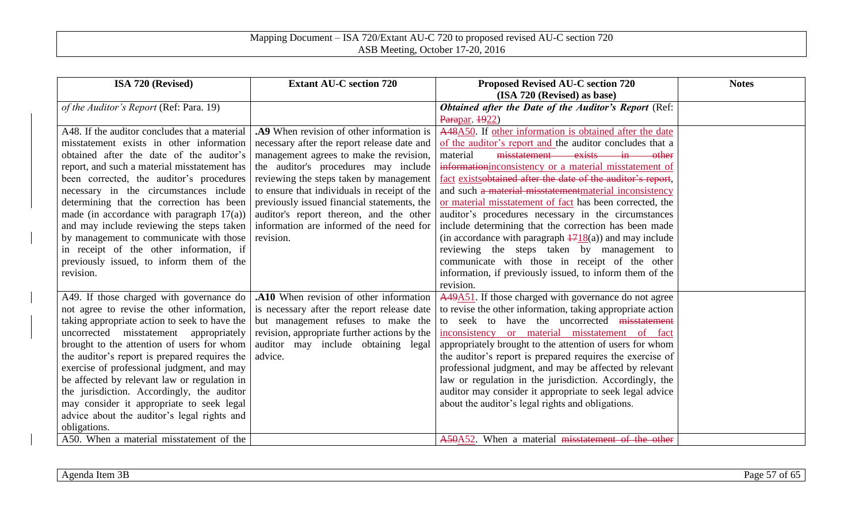| ISA 720 (Revised)                                                                  | <b>Extant AU-C section 720</b>                                                          | <b>Proposed Revised AU-C section 720</b><br>(ISA 720 (Revised) as base)                                         | <b>Notes</b> |
|------------------------------------------------------------------------------------|-----------------------------------------------------------------------------------------|-----------------------------------------------------------------------------------------------------------------|--------------|
|                                                                                    |                                                                                         |                                                                                                                 |              |
| of the Auditor's Report (Ref: Para. 19)                                            |                                                                                         | <b>Obtained after the Date of the Auditor's Report (Ref:</b><br>Parapar. 4922)                                  |              |
| A48. If the auditor concludes that a material                                      | <b>.A9</b> When revision of other information is                                        | A48A50. If other information is obtained after the date                                                         |              |
| misstatement exists in other information                                           | necessary after the report release date and                                             | of the auditor's report and the auditor concludes that a                                                        |              |
| obtained after the date of the auditor's                                           | management agrees to make the revision,                                                 | misstatement-<br>material<br>exists<br>$\frac{1}{1}$<br><del>other</del>                                        |              |
| report, and such a material misstatement has                                       | the auditor's procedures may include                                                    | informationinconsistency or a material misstatement of                                                          |              |
|                                                                                    |                                                                                         | fact existsobtained after the date of the auditor's report,                                                     |              |
| been corrected, the auditor's procedures                                           | reviewing the steps taken by management<br>to ensure that individuals in receipt of the | and such a material misstatementmaterial inconsistency                                                          |              |
| necessary in the circumstances include<br>determining that the correction has been | previously issued financial statements, the                                             |                                                                                                                 |              |
| made (in accordance with paragraph $17(a)$ )                                       | auditor's report thereon, and the other                                                 | or material misstatement of fact has been corrected, the<br>auditor's procedures necessary in the circumstances |              |
|                                                                                    | information are informed of the need for                                                | include determining that the correction has been made                                                           |              |
| and may include reviewing the steps taken                                          | revision.                                                                               |                                                                                                                 |              |
| by management to communicate with those<br>in receipt of the other information, if |                                                                                         | (in accordance with paragraph $\frac{1718}{a}$ ) and may include<br>reviewing the steps taken by management to  |              |
|                                                                                    |                                                                                         |                                                                                                                 |              |
| previously issued, to inform them of the<br>revision.                              |                                                                                         | communicate with those in receipt of the other<br>information, if previously issued, to inform them of the      |              |
|                                                                                    |                                                                                         | revision.                                                                                                       |              |
|                                                                                    | .A10 When revision of other information                                                 |                                                                                                                 |              |
| A49. If those charged with governance do                                           |                                                                                         | A49A51. If those charged with governance do not agree                                                           |              |
| not agree to revise the other information,                                         | is necessary after the report release date                                              | to revise the other information, taking appropriate action<br>to seek to have the uncorrected misstatement      |              |
| taking appropriate action to seek to have the                                      | but management refuses to make the                                                      |                                                                                                                 |              |
| uncorrected misstatement<br>appropriately                                          | revision, appropriate further actions by the                                            | inconsistency or material misstatement of fact                                                                  |              |
| brought to the attention of users for whom                                         | auditor may include obtaining legal                                                     | appropriately brought to the attention of users for whom                                                        |              |
| the auditor's report is prepared requires the                                      | advice.                                                                                 | the auditor's report is prepared requires the exercise of                                                       |              |
| exercise of professional judgment, and may                                         |                                                                                         | professional judgment, and may be affected by relevant                                                          |              |
| be affected by relevant law or regulation in                                       |                                                                                         | law or regulation in the jurisdiction. Accordingly, the                                                         |              |
| the jurisdiction. Accordingly, the auditor                                         |                                                                                         | auditor may consider it appropriate to seek legal advice                                                        |              |
| may consider it appropriate to seek legal                                          |                                                                                         | about the auditor's legal rights and obligations.                                                               |              |
| advice about the auditor's legal rights and                                        |                                                                                         |                                                                                                                 |              |
| obligations.                                                                       |                                                                                         |                                                                                                                 |              |
| A50. When a material misstatement of the                                           |                                                                                         | A50A52. When a material misstatement of the other                                                               |              |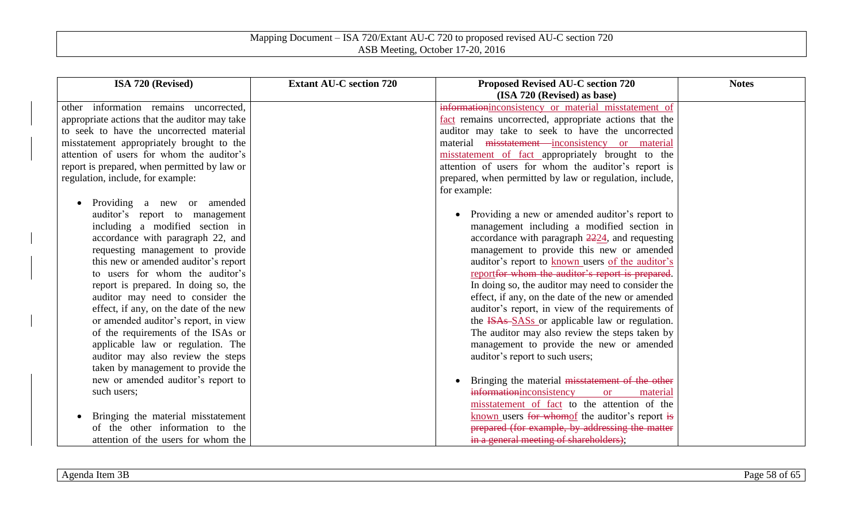| ISA 720 (Revised)                             | <b>Extant AU-C section 720</b> | <b>Proposed Revised AU-C section 720</b>                     | <b>Notes</b> |
|-----------------------------------------------|--------------------------------|--------------------------------------------------------------|--------------|
|                                               |                                | (ISA 720 (Revised) as base)                                  |              |
| other information remains uncorrected,        |                                | informationinconsistency or material misstatement of         |              |
| appropriate actions that the auditor may take |                                | fact remains uncorrected, appropriate actions that the       |              |
| to seek to have the uncorrected material      |                                | auditor may take to seek to have the uncorrected             |              |
| misstatement appropriately brought to the     |                                | material <del>misstatement</del> inconsistency or material   |              |
| attention of users for whom the auditor's     |                                | misstatement of fact appropriately brought to the            |              |
| report is prepared, when permitted by law or  |                                | attention of users for whom the auditor's report is          |              |
| regulation, include, for example:             |                                | prepared, when permitted by law or regulation, include,      |              |
|                                               |                                | for example:                                                 |              |
| Providing a new or amended                    |                                |                                                              |              |
| auditor's report to management                |                                | Providing a new or amended auditor's report to<br>$\bullet$  |              |
| including a modified section in               |                                | management including a modified section in                   |              |
| accordance with paragraph 22, and             |                                | accordance with paragraph $2224$ , and requesting            |              |
| requesting management to provide              |                                | management to provide this new or amended                    |              |
| this new or amended auditor's report          |                                | auditor's report to known users of the auditor's             |              |
| to users for whom the auditor's               |                                | reportfor whom the auditor's report is prepared.             |              |
| report is prepared. In doing so, the          |                                | In doing so, the auditor may need to consider the            |              |
| auditor may need to consider the              |                                | effect, if any, on the date of the new or amended            |              |
| effect, if any, on the date of the new        |                                | auditor's report, in view of the requirements of             |              |
| or amended auditor's report, in view          |                                | the ISAs SASs or applicable law or regulation.               |              |
| of the requirements of the ISAs or            |                                | The auditor may also review the steps taken by               |              |
| applicable law or regulation. The             |                                | management to provide the new or amended                     |              |
| auditor may also review the steps             |                                | auditor's report to such users;                              |              |
| taken by management to provide the            |                                |                                                              |              |
| new or amended auditor's report to            |                                | Bringing the material misstatement of the other<br>$\bullet$ |              |
| such users;                                   |                                | informationinconsistency<br>material<br><b>or</b>            |              |
|                                               |                                | misstatement of fact to the attention of the                 |              |
| Bringing the material misstatement            |                                | known users for whomof the auditor's report is               |              |
| of the other information to the               |                                | prepared (for example, by addressing the matter              |              |
| attention of the users for whom the           |                                | in a general meeting of shareholders);                       |              |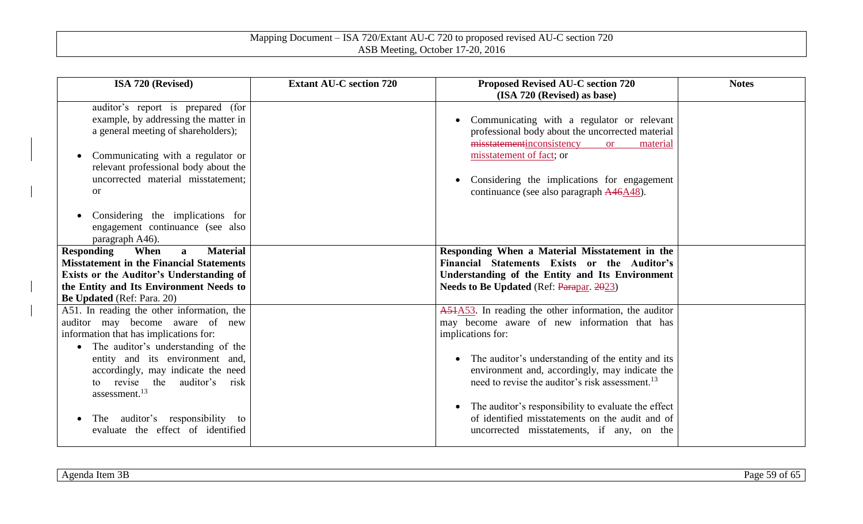| ISA 720 (Revised)                                                                                                                                                                                                                                                                                                         | <b>Extant AU-C section 720</b> | <b>Proposed Revised AU-C section 720</b><br>(ISA 720 (Revised) as base)                                                                                                                                                                                                                          | <b>Notes</b> |
|---------------------------------------------------------------------------------------------------------------------------------------------------------------------------------------------------------------------------------------------------------------------------------------------------------------------------|--------------------------------|--------------------------------------------------------------------------------------------------------------------------------------------------------------------------------------------------------------------------------------------------------------------------------------------------|--------------|
| auditor's report is prepared (for<br>example, by addressing the matter in<br>a general meeting of shareholders);<br>Communicating with a regulator or<br>relevant professional body about the<br>uncorrected material misstatement;<br><sub>or</sub>                                                                      |                                | Communicating with a regulator or relevant<br>professional body about the uncorrected material<br>misstatementinconsistency<br><b>or</b><br>material<br>misstatement of fact; or<br>Considering the implications for engagement<br>continuance (see also paragraph A46A48).                      |              |
| Considering the implications for<br>engagement continuance (see also<br>paragraph A46).                                                                                                                                                                                                                                   |                                |                                                                                                                                                                                                                                                                                                  |              |
| <b>Responding</b><br>When<br><b>Material</b><br>$\mathbf{a}$<br><b>Misstatement in the Financial Statements</b><br><b>Exists or the Auditor's Understanding of</b><br>the Entity and Its Environment Needs to<br>Be Updated (Ref: Para. 20)                                                                               |                                | Responding When a Material Misstatement in the<br>Financial Statements Exists or the Auditor's<br>Understanding of the Entity and Its Environment<br>Needs to Be Updated (Ref: Parapar. 2023)                                                                                                    |              |
| A51. In reading the other information, the<br>auditor may become aware of new<br>information that has implications for:<br>The auditor's understanding of the<br>$\bullet$<br>entity and its environment and,<br>accordingly, may indicate the need<br>revise the<br>auditor's<br>risk<br>to<br>assessment. <sup>13</sup> |                                | A51A53. In reading the other information, the auditor<br>may become aware of new information that has<br>implications for:<br>The auditor's understanding of the entity and its<br>environment and, accordingly, may indicate the<br>need to revise the auditor's risk assessment. <sup>13</sup> |              |
| auditor's responsibility to<br>The<br>evaluate the effect of identified                                                                                                                                                                                                                                                   |                                | The auditor's responsibility to evaluate the effect<br>of identified misstatements on the audit and of<br>uncorrected misstatements, if any, on the                                                                                                                                              |              |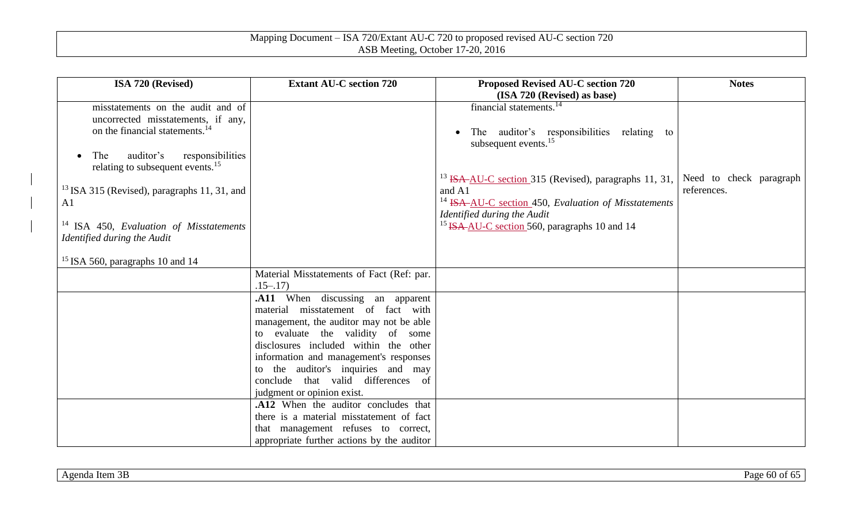| ISA 720 (Revised)                                                                                                                                                                                                                                                                                                                                                          | <b>Extant AU-C section 720</b>                                                                                                                                                                                                                                                                                                                    | <b>Proposed Revised AU-C section 720</b><br>(ISA 720 (Revised) as base)                                                                                                                                                                                                                                                                                           | <b>Notes</b>                           |
|----------------------------------------------------------------------------------------------------------------------------------------------------------------------------------------------------------------------------------------------------------------------------------------------------------------------------------------------------------------------------|---------------------------------------------------------------------------------------------------------------------------------------------------------------------------------------------------------------------------------------------------------------------------------------------------------------------------------------------------|-------------------------------------------------------------------------------------------------------------------------------------------------------------------------------------------------------------------------------------------------------------------------------------------------------------------------------------------------------------------|----------------------------------------|
| misstatements on the audit and of<br>uncorrected misstatements, if any,<br>on the financial statements. <sup>14</sup><br>auditor's<br>responsibilities<br>The<br>$\bullet$<br>relating to subsequent events. <sup>15</sup><br>$^{13}$ ISA 315 (Revised), paragraphs 11, 31, and<br>A1<br><sup>14</sup> ISA 450, Evaluation of Misstatements<br>Identified during the Audit |                                                                                                                                                                                                                                                                                                                                                   | financial statements. <sup>14</sup><br>The auditor's responsibilities relating to<br>subsequent events. <sup>15</sup><br><sup>13</sup> ISA-AU-C section 315 (Revised), paragraphs 11, 31,<br>and A1<br><sup>14</sup> ISA-AU-C section 450, Evaluation of Misstatements<br>Identified during the Audit<br><sup>15</sup> ISA-AU-C section 560, paragraphs 10 and 14 | Need to check paragraph<br>references. |
| <sup>15</sup> ISA 560, paragraphs 10 and 14                                                                                                                                                                                                                                                                                                                                | Material Misstatements of Fact (Ref: par.                                                                                                                                                                                                                                                                                                         |                                                                                                                                                                                                                                                                                                                                                                   |                                        |
|                                                                                                                                                                                                                                                                                                                                                                            | $.15 - .17)$                                                                                                                                                                                                                                                                                                                                      |                                                                                                                                                                                                                                                                                                                                                                   |                                        |
|                                                                                                                                                                                                                                                                                                                                                                            | A11 When discussing an apparent<br>material misstatement of fact with<br>management, the auditor may not be able<br>to evaluate the validity of some<br>disclosures included within the other<br>information and management's responses<br>to the auditor's inquiries and may<br>conclude that valid differences of<br>judgment or opinion exist. |                                                                                                                                                                                                                                                                                                                                                                   |                                        |
|                                                                                                                                                                                                                                                                                                                                                                            | .A12 When the auditor concludes that<br>there is a material misstatement of fact<br>that management refuses to correct,<br>appropriate further actions by the auditor                                                                                                                                                                             |                                                                                                                                                                                                                                                                                                                                                                   |                                        |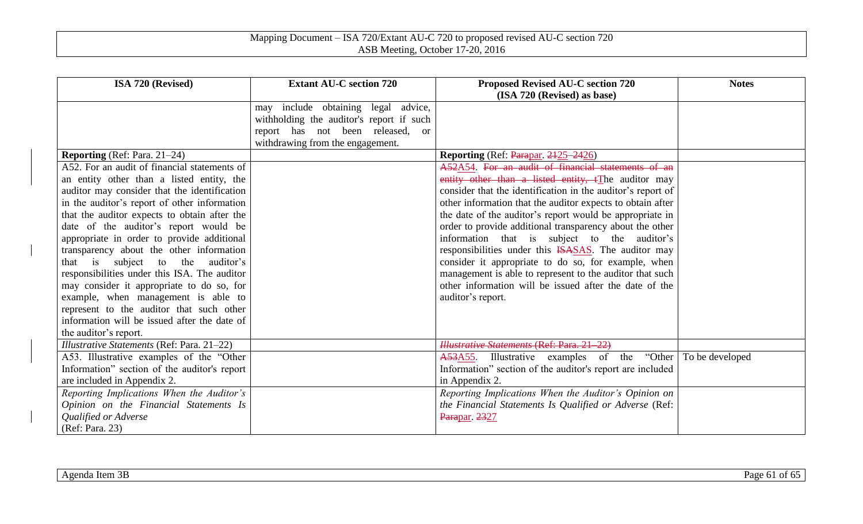| ISA 720 (Revised)                            | <b>Extant AU-C section 720</b>           | <b>Proposed Revised AU-C section 720</b><br>(ISA 720 (Revised) as base) | <b>Notes</b>    |
|----------------------------------------------|------------------------------------------|-------------------------------------------------------------------------|-----------------|
|                                              | include obtaining legal advice,<br>may   |                                                                         |                 |
|                                              | withholding the auditor's report if such |                                                                         |                 |
|                                              | report has not been released, or         |                                                                         |                 |
|                                              | withdrawing from the engagement.         |                                                                         |                 |
| <b>Reporting</b> (Ref: Para. 21–24)          |                                          | Reporting (Ref: Parapar. 2125-2426)                                     |                 |
| A52. For an audit of financial statements of |                                          | A52A54. For an audit of financial statements of an                      |                 |
| an entity other than a listed entity, the    |                                          | entity other than a listed entity, tThe auditor may                     |                 |
| auditor may consider that the identification |                                          | consider that the identification in the auditor's report of             |                 |
| in the auditor's report of other information |                                          | other information that the auditor expects to obtain after              |                 |
| that the auditor expects to obtain after the |                                          | the date of the auditor's report would be appropriate in                |                 |
| date of the auditor's report would be        |                                          | order to provide additional transparency about the other                |                 |
| appropriate in order to provide additional   |                                          | information that is subject to the auditor's                            |                 |
| transparency about the other information     |                                          | responsibilities under this <b>ISASAS</b> . The auditor may             |                 |
| is subject to the auditor's<br>that          |                                          | consider it appropriate to do so, for example, when                     |                 |
| responsibilities under this ISA. The auditor |                                          | management is able to represent to the auditor that such                |                 |
| may consider it appropriate to do so, for    |                                          | other information will be issued after the date of the                  |                 |
| example, when management is able to          |                                          | auditor's report.                                                       |                 |
| represent to the auditor that such other     |                                          |                                                                         |                 |
| information will be issued after the date of |                                          |                                                                         |                 |
| the auditor's report.                        |                                          |                                                                         |                 |
| Illustrative Statements (Ref: Para. 21-22)   |                                          | <b>Hlustrative Statements (Ref: Para, 21-22)</b>                        |                 |
| A53. Illustrative examples of the "Other     |                                          | "Other<br>A53A55. Illustrative examples of the                          | To be developed |
| Information" section of the auditor's report |                                          | Information" section of the auditor's report are included               |                 |
| are included in Appendix 2.                  |                                          | in Appendix 2.                                                          |                 |
| Reporting Implications When the Auditor's    |                                          | Reporting Implications When the Auditor's Opinion on                    |                 |
| Opinion on the Financial Statements Is       |                                          | the Financial Statements Is Qualified or Adverse (Ref:                  |                 |
| Qualified or Adverse                         |                                          | Parapar. 2327                                                           |                 |
| (Ref: Para. 23)                              |                                          |                                                                         |                 |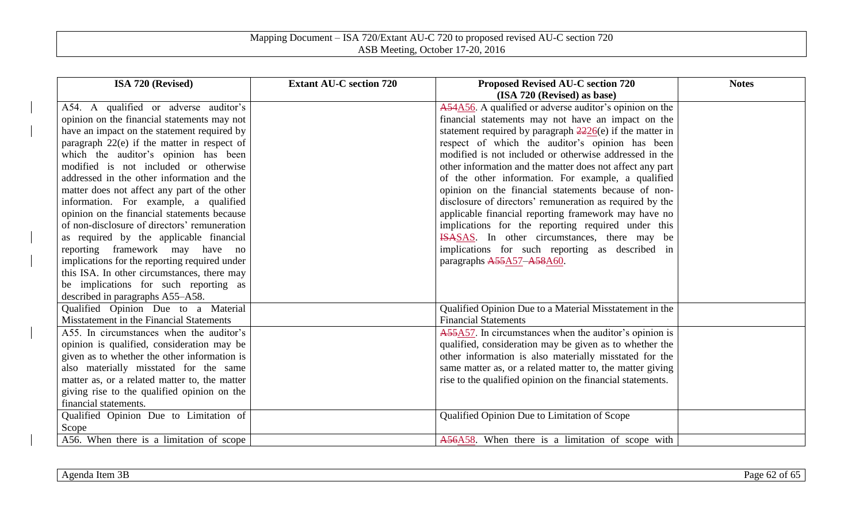| ISA 720 (Revised)                             | <b>Extant AU-C section 720</b> | <b>Proposed Revised AU-C section 720</b><br>(ISA 720 (Revised) as base) | <b>Notes</b> |
|-----------------------------------------------|--------------------------------|-------------------------------------------------------------------------|--------------|
| A54. A qualified or adverse auditor's         |                                | A54A56. A qualified or adverse auditor's opinion on the                 |              |
| opinion on the financial statements may not   |                                | financial statements may not have an impact on the                      |              |
| have an impact on the statement required by   |                                | statement required by paragraph $2226(e)$ if the matter in              |              |
| paragraph 22(e) if the matter in respect of   |                                | respect of which the auditor's opinion has been                         |              |
|                                               |                                | modified is not included or otherwise addressed in the                  |              |
| which the auditor's opinion has been          |                                |                                                                         |              |
| modified is not included or otherwise         |                                | other information and the matter does not affect any part               |              |
| addressed in the other information and the    |                                | of the other information. For example, a qualified                      |              |
| matter does not affect any part of the other  |                                | opinion on the financial statements because of non-                     |              |
| information. For example, a qualified         |                                | disclosure of directors' remuneration as required by the                |              |
| opinion on the financial statements because   |                                | applicable financial reporting framework may have no                    |              |
| of non-disclosure of directors' remuneration  |                                | implications for the reporting required under this                      |              |
| as required by the applicable financial       |                                | <b>ISASAS</b> . In other circumstances, there may<br>be                 |              |
| reporting framework may have no               |                                | implications for such reporting as described<br>in                      |              |
| implications for the reporting required under |                                | paragraphs A55A57-A58A60.                                               |              |
| this ISA. In other circumstances, there may   |                                |                                                                         |              |
| be implications for such reporting as         |                                |                                                                         |              |
| described in paragraphs A55-A58.              |                                |                                                                         |              |
| Qualified Opinion Due to a Material           |                                | Qualified Opinion Due to a Material Misstatement in the                 |              |
| Misstatement in the Financial Statements      |                                | <b>Financial Statements</b>                                             |              |
| A55. In circumstances when the auditor's      |                                | $A\frac{55A57}{ }$ . In circumstances when the auditor's opinion is     |              |
| opinion is qualified, consideration may be    |                                | qualified, consideration may be given as to whether the                 |              |
| given as to whether the other information is  |                                | other information is also materially misstated for the                  |              |
| also materially misstated for the same        |                                | same matter as, or a related matter to, the matter giving               |              |
| matter as, or a related matter to, the matter |                                | rise to the qualified opinion on the financial statements.              |              |
| giving rise to the qualified opinion on the   |                                |                                                                         |              |
| financial statements.                         |                                |                                                                         |              |
| Qualified Opinion Due to Limitation of        |                                | Qualified Opinion Due to Limitation of Scope                            |              |
| Scope                                         |                                |                                                                         |              |
| A56. When there is a limitation of scope      |                                | A56A58. When there is a limitation of scope with                        |              |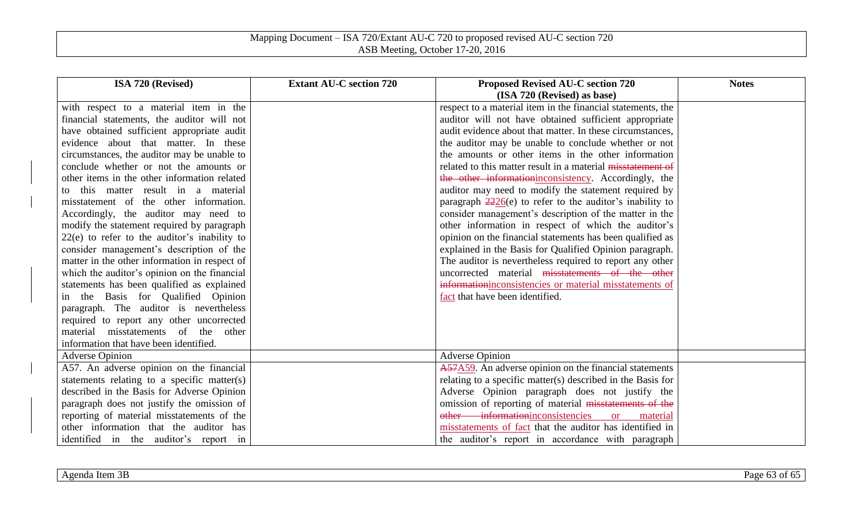| ISA 720 (Revised)                              | <b>Extant AU-C section 720</b> | <b>Proposed Revised AU-C section 720</b>                    | <b>Notes</b> |
|------------------------------------------------|--------------------------------|-------------------------------------------------------------|--------------|
|                                                |                                | (ISA 720 (Revised) as base)                                 |              |
| with respect to a material item in the         |                                | respect to a material item in the financial statements, the |              |
| financial statements, the auditor will not     |                                | auditor will not have obtained sufficient appropriate       |              |
| have obtained sufficient appropriate audit     |                                | audit evidence about that matter. In these circumstances,   |              |
| evidence about that matter. In these           |                                | the auditor may be unable to conclude whether or not        |              |
| circumstances, the auditor may be unable to    |                                | the amounts or other items in the other information         |              |
| conclude whether or not the amounts or         |                                | related to this matter result in a material misstatement of |              |
| other items in the other information related   |                                | the other information inconsistency. Accordingly, the       |              |
| to this matter result in a material            |                                | auditor may need to modify the statement required by        |              |
| misstatement of the other information.         |                                | paragraph $2226(e)$ to refer to the auditor's inability to  |              |
| Accordingly, the auditor may need to           |                                | consider management's description of the matter in the      |              |
| modify the statement required by paragraph     |                                | other information in respect of which the auditor's         |              |
| $22(e)$ to refer to the auditor's inability to |                                | opinion on the financial statements has been qualified as   |              |
| consider management's description of the       |                                | explained in the Basis for Qualified Opinion paragraph.     |              |
| matter in the other information in respect of  |                                | The auditor is nevertheless required to report any other    |              |
| which the auditor's opinion on the financial   |                                | uncorrected material misstatements of the other             |              |
| statements has been qualified as explained     |                                | informationinconsistencies or material misstatements of     |              |
| in the Basis for Qualified Opinion             |                                | fact that have been identified.                             |              |
| paragraph. The auditor is nevertheless         |                                |                                                             |              |
| required to report any other uncorrected       |                                |                                                             |              |
| material misstatements of the<br>other         |                                |                                                             |              |
| information that have been identified.         |                                |                                                             |              |
| <b>Adverse Opinion</b>                         |                                | <b>Adverse Opinion</b>                                      |              |
| A57. An adverse opinion on the financial       |                                | A57A59. An adverse opinion on the financial statements      |              |
| statements relating to a specific matter(s)    |                                | relating to a specific matter(s) described in the Basis for |              |
| described in the Basis for Adverse Opinion     |                                | Adverse Opinion paragraph does not justify the              |              |
| paragraph does not justify the omission of     |                                | omission of reporting of material misstatements of the      |              |
| reporting of material misstatements of the     |                                | other informationinconsistencies or<br>material             |              |
| other information that the auditor has         |                                | misstatements of fact that the auditor has identified in    |              |
| identified in the auditor's report in          |                                | the auditor's report in accordance with paragraph           |              |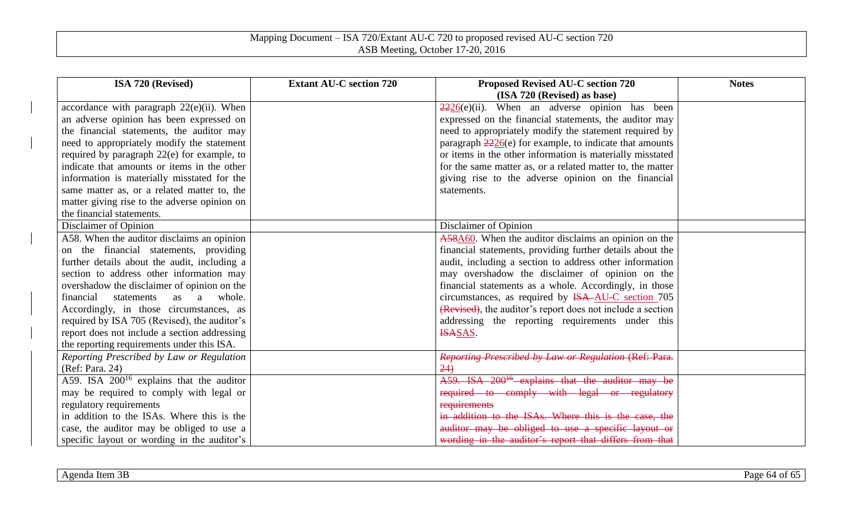| ISA 720 (Revised)                                                         | <b>Extant AU-C section 720</b> | <b>Proposed Revised AU-C section 720</b><br>(ISA 720 (Revised) as base) | <b>Notes</b> |
|---------------------------------------------------------------------------|--------------------------------|-------------------------------------------------------------------------|--------------|
| accordance with paragraph $22(e)(ii)$ . When                              |                                | $2226(e)$ (ii). When an adverse opinion has been                        |              |
| an adverse opinion has been expressed on                                  |                                | expressed on the financial statements, the auditor may                  |              |
| the financial statements, the auditor may                                 |                                | need to appropriately modify the statement required by                  |              |
| need to appropriately modify the statement                                |                                | paragraph $2226(e)$ for example, to indicate that amounts               |              |
| required by paragraph 22(e) for example, to                               |                                | or items in the other information is materially misstated               |              |
| indicate that amounts or items in the other                               |                                | for the same matter as, or a related matter to, the matter              |              |
| information is materially misstated for the                               |                                | giving rise to the adverse opinion on the financial                     |              |
|                                                                           |                                |                                                                         |              |
| same matter as, or a related matter to, the                               |                                | statements.                                                             |              |
| matter giving rise to the adverse opinion on<br>the financial statements. |                                |                                                                         |              |
|                                                                           |                                |                                                                         |              |
| Disclaimer of Opinion                                                     |                                | Disclaimer of Opinion                                                   |              |
| A58. When the auditor disclaims an opinion                                |                                | A58A60. When the auditor disclaims an opinion on the                    |              |
| on the financial statements, providing                                    |                                | financial statements, providing further details about the               |              |
| further details about the audit, including a                              |                                | audit, including a section to address other information                 |              |
| section to address other information may                                  |                                | may overshadow the disclaimer of opinion on the                         |              |
| overshadow the disclaimer of opinion on the                               |                                | financial statements as a whole. Accordingly, in those                  |              |
| financial<br>a whole.<br>statements<br>as                                 |                                | circumstances, as required by <del>ISA-AU-C</del> section 705           |              |
| Accordingly, in those circumstances, as                                   |                                | (Revised), the auditor's report does not include a section              |              |
| required by ISA 705 (Revised), the auditor's                              |                                | addressing the reporting requirements under this                        |              |
| report does not include a section addressing                              |                                | ISASAS.                                                                 |              |
| the reporting requirements under this ISA.                                |                                |                                                                         |              |
| Reporting Prescribed by Law or Regulation                                 |                                | Reporting Prescribed by Law or Regulation (Ref: Para.                   |              |
| (Ref: Para. 24)                                                           |                                | $-24$                                                                   |              |
| $\overline{A59}$ . ISA 200 <sup>16</sup> explains that the auditor        |                                | $A59.$ ISA $200^{16}$ explains that the auditor may be                  |              |
| may be required to comply with legal or                                   |                                | required to comply with legal or regulatory                             |              |
| regulatory requirements                                                   |                                | requirements                                                            |              |
| in addition to the ISAs. Where this is the                                |                                | in addition to the ISAs. Where this is the case, the                    |              |
| case, the auditor may be obliged to use a                                 |                                | auditor may be obliged to use a specific layout or                      |              |
| specific layout or wording in the auditor's                               |                                | wording in the auditor's report that differs from that                  |              |